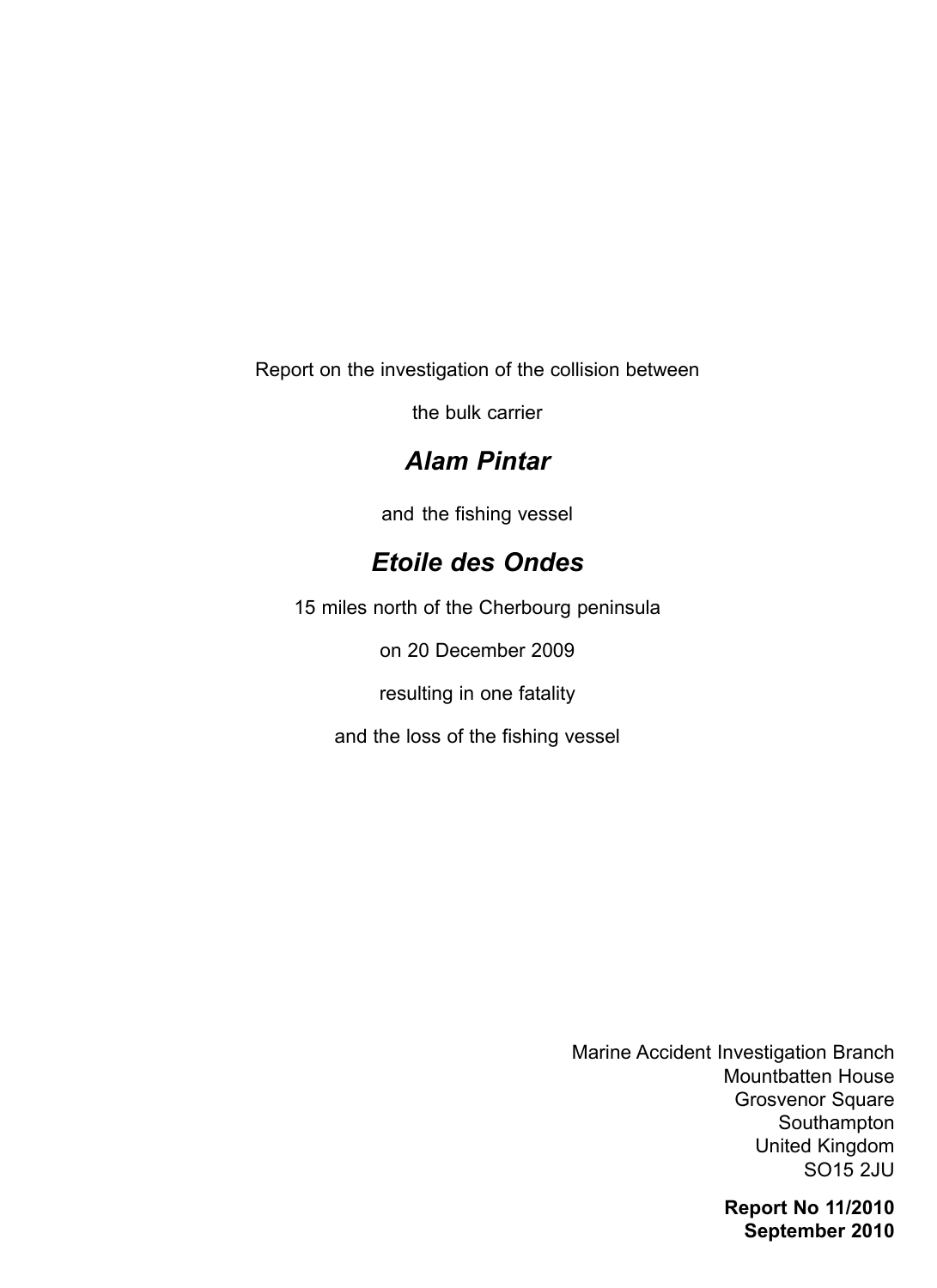Report on the investigation of the collision between

the bulk carrier

# *Alam Pintar*

and the fishing vessel

# *Etoile des Ondes*

15 miles north of the Cherbourg peninsula

on 20 December 2009

resulting in one fatality

and the loss of the fishing vessel

Marine Accident Investigation Branch Mountbatten House Grosvenor Square Southampton United Kingdom SO15 2JU

> **Report No 11/2010 September 2010**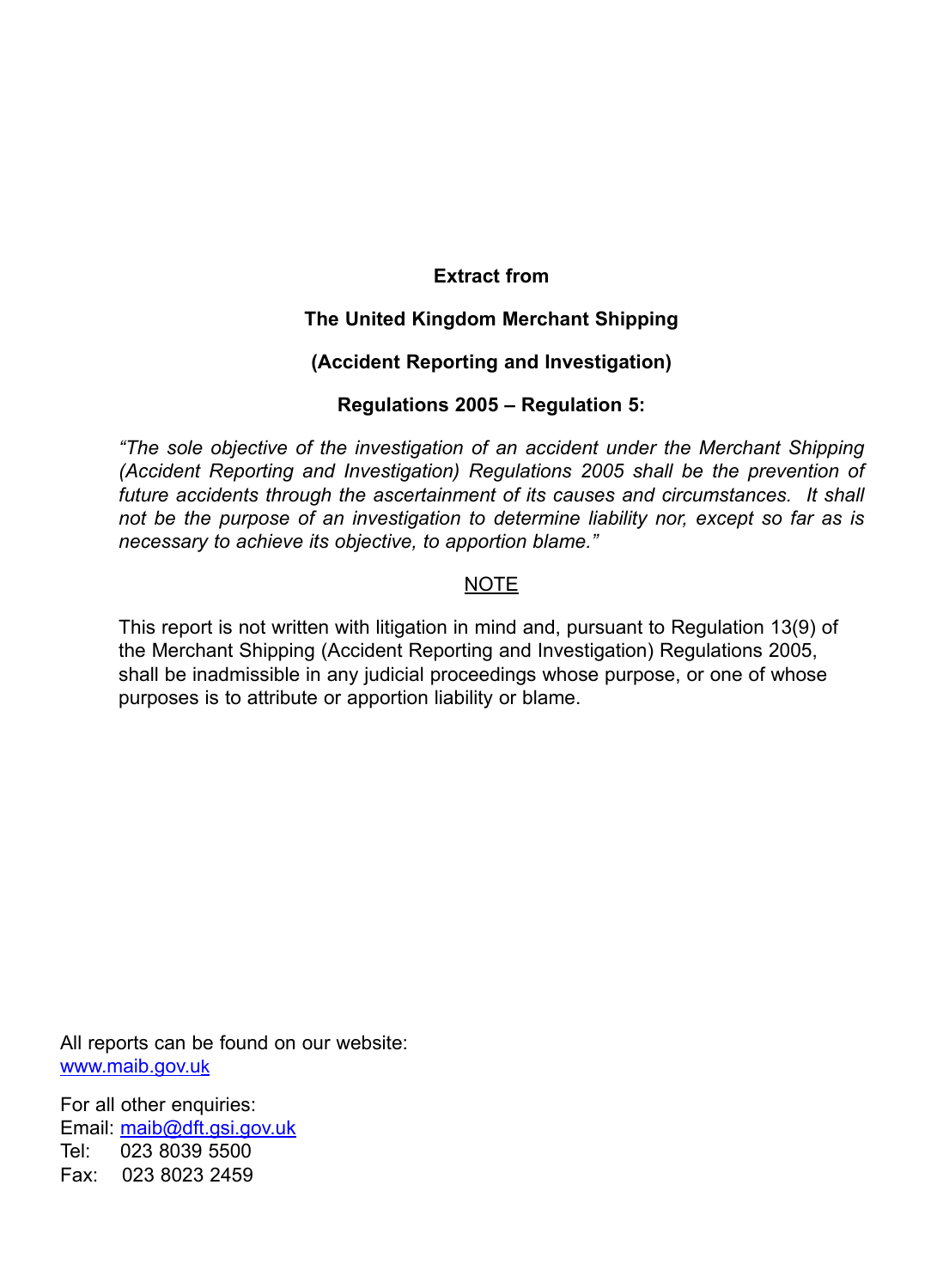#### **Extract from**

#### **The United Kingdom Merchant Shipping**

#### **(Accident Reporting and Investigation)**

#### **Regulations 2005 – Regulation 5:**

*"The sole objective of the investigation of an accident under the Merchant Shipping (Accident Reporting and Investigation) Regulations 2005 shall be the prevention of*  future accidents through the ascertainment of its causes and circumstances. It shall *not be the purpose of an investigation to determine liability nor, except so far as is necessary to achieve its objective, to apportion blame."*

#### NOTE

This report is not written with litigation in mind and, pursuant to Regulation 13(9) of the Merchant Shipping (Accident Reporting and Investigation) Regulations 2005, shall be inadmissible in any judicial proceedings whose purpose, or one of whose purposes is to attribute or apportion liability or blame.

All reports can be found on our website: www.maib.gov.uk

For all other enquiries: Email: maib@dft.gsi.gov.uk Tel: 023 8039 5500 Fax: 023 8023 2459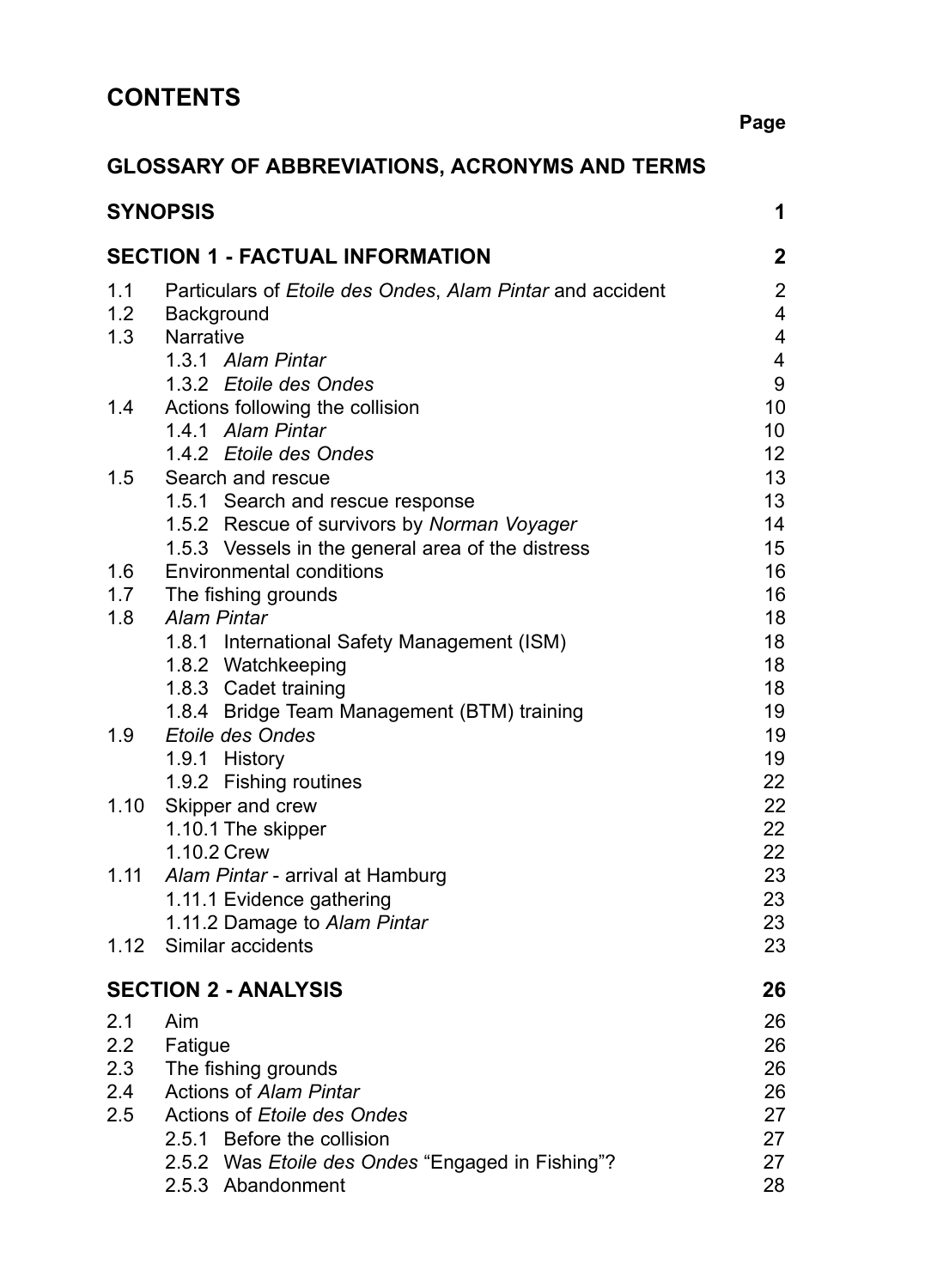# **GLOSSARY OF ABBREVIATIONS, ACRONYMS AND TERMS**

|      | <b>SYNOPSIS</b>                                                          | 1                       |
|------|--------------------------------------------------------------------------|-------------------------|
|      | <b>SECTION 1 - FACTUAL INFORMATION</b>                                   | $\mathbf{2}$            |
| 1.1  | Particulars of <i>Etoile des Ondes</i> , <i>Alam Pintar</i> and accident | $\overline{2}$          |
| 1.2  | Background                                                               | $\overline{\mathbf{4}}$ |
| 1.3  | Narrative                                                                | $\overline{\mathbf{4}}$ |
|      | 1.3.1 Alam Pintar                                                        | $\overline{\mathbf{4}}$ |
|      | 1.3.2 Etoile des Ondes                                                   | 9                       |
| 1.4  | Actions following the collision                                          | 10 <sup>°</sup>         |
|      | 1.4.1 Alam Pintar                                                        | 10                      |
|      | 1.4.2 Etoile des Ondes                                                   | 12 <sub>2</sub>         |
| 1.5  | Search and rescue                                                        | 13                      |
|      | 1.5.1 Search and rescue response                                         | 13                      |
|      | 1.5.2 Rescue of survivors by Norman Voyager                              | 14                      |
|      | 1.5.3 Vessels in the general area of the distress                        | 15                      |
| 1.6  | <b>Environmental conditions</b>                                          | 16                      |
| 1.7  | The fishing grounds                                                      | 16                      |
| 1.8  | <b>Alam Pintar</b>                                                       | 18                      |
|      | 1.8.1 International Safety Management (ISM)                              | 18                      |
|      | 1.8.2 Watchkeeping                                                       | 18                      |
|      | 1.8.3 Cadet training                                                     | 18                      |
|      | 1.8.4 Bridge Team Management (BTM) training                              | 19                      |
| 1.9  | <b>Etoile des Ondes</b>                                                  | 19                      |
|      | 1.9.1 History                                                            | 19                      |
|      | 1.9.2 Fishing routines                                                   | 22                      |
|      | 1.10 Skipper and crew                                                    | 22<br>22                |
|      | 1.10.1 The skipper<br>1.10.2 Crew                                        | 22                      |
| 1.11 | Alam Pintar - arrival at Hamburg                                         | 23                      |
|      | 1.11.1 Evidence gathering                                                | 23                      |
|      | 1.11.2 Damage to Alam Pintar                                             | 23                      |
|      | 1.12 Similar accidents                                                   | 23                      |
|      |                                                                          |                         |
|      | <b>SECTION 2 - ANALYSIS</b>                                              | 26                      |
| 2.1  | Aim                                                                      | 26                      |
| 2.2  | Fatigue                                                                  | 26                      |
| 2.3  | The fishing grounds                                                      | 26                      |
| 2.4  | Actions of Alam Pintar                                                   | 26                      |
| 2.5  | Actions of Etoile des Ondes                                              | 27                      |
|      | 2.5.1 Before the collision                                               | 27                      |
|      | 2.5.2 Was Etoile des Ondes "Engaged in Fishing"?                         | 27                      |
|      | 2.5.3 Abandonment                                                        | 28                      |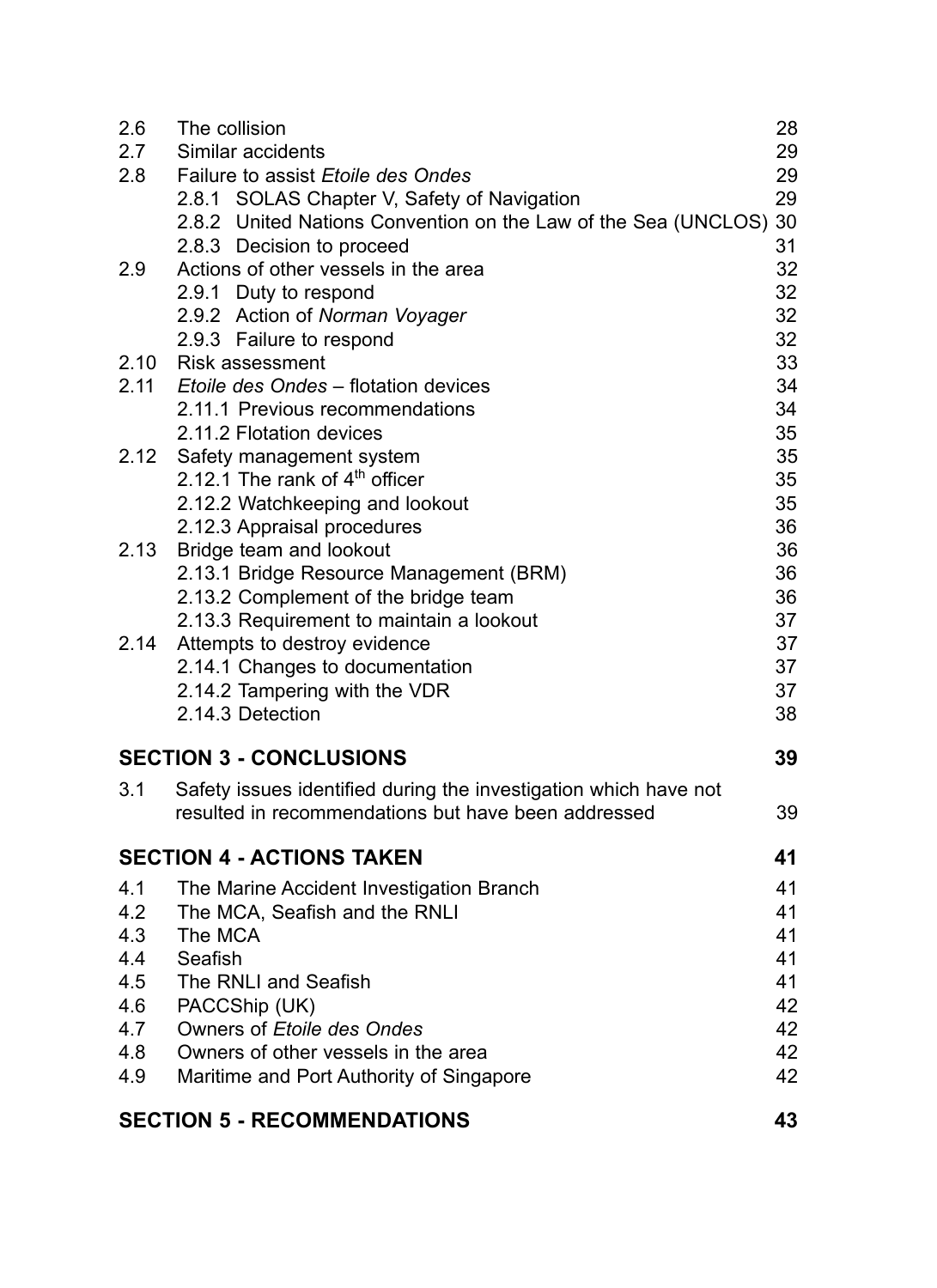| 2.6  | The collision                                                     | 28 |
|------|-------------------------------------------------------------------|----|
| 2.7  | Similar accidents                                                 | 29 |
| 2.8  | <b>Failure to assist Etoile des Ondes</b>                         | 29 |
|      | 2.8.1 SOLAS Chapter V, Safety of Navigation                       | 29 |
|      | 2.8.2 United Nations Convention on the Law of the Sea (UNCLOS) 30 |    |
|      | 2.8.3 Decision to proceed                                         | 31 |
| 2.9  | Actions of other vessels in the area                              | 32 |
|      | 2.9.1 Duty to respond                                             | 32 |
|      | 2.9.2 Action of Norman Voyager                                    | 32 |
|      | 2.9.3 Failure to respond                                          | 32 |
|      | 2.10 Risk assessment                                              | 33 |
|      | 2.11 Etoile des Ondes - flotation devices                         | 34 |
|      | 2.11.1 Previous recommendations                                   | 34 |
|      | 2.11.2 Flotation devices                                          | 35 |
|      | 2.12 Safety management system                                     | 35 |
|      | 2.12.1 The rank of $4th$ officer                                  | 35 |
|      | 2.12.2 Watchkeeping and lookout                                   | 35 |
|      | 2.12.3 Appraisal procedures                                       | 36 |
| 2.13 | Bridge team and lookout                                           | 36 |
|      | 2.13.1 Bridge Resource Management (BRM)                           | 36 |
|      | 2.13.2 Complement of the bridge team                              | 36 |
|      | 2.13.3 Requirement to maintain a lookout                          | 37 |
|      | 2.14 Attempts to destroy evidence                                 | 37 |
|      | 2.14.1 Changes to documentation                                   | 37 |
|      | 2.14.2 Tampering with the VDR                                     | 37 |
|      | 2.14.3 Detection                                                  | 38 |
|      | <b>SECTION 3 - CONCLUSIONS</b>                                    | 39 |
| 3.1  | Safety issues identified during the investigation which have not  |    |
|      | resulted in recommendations but have been addressed               | 39 |
|      | <b>SECTION 4 - ACTIONS TAKEN</b>                                  | 41 |
| 4.1  | The Marine Accident Investigation Branch                          | 41 |
| 4.2  | The MCA, Seafish and the RNLI                                     | 41 |
| 4.3  | The MCA                                                           | 41 |
| 4.4  | Seafish                                                           | 41 |
| 4.5  | The RNLI and Seafish                                              | 41 |
| 4.6  | PACCShip (UK)                                                     | 42 |
| 4.7  | Owners of Etoile des Ondes                                        | 42 |
| 4.8  | Owners of other vessels in the area                               | 42 |
| 4.9  | Maritime and Port Authority of Singapore                          | 42 |
|      | <b>SECTION 5 - RECOMMENDATIONS</b>                                | 43 |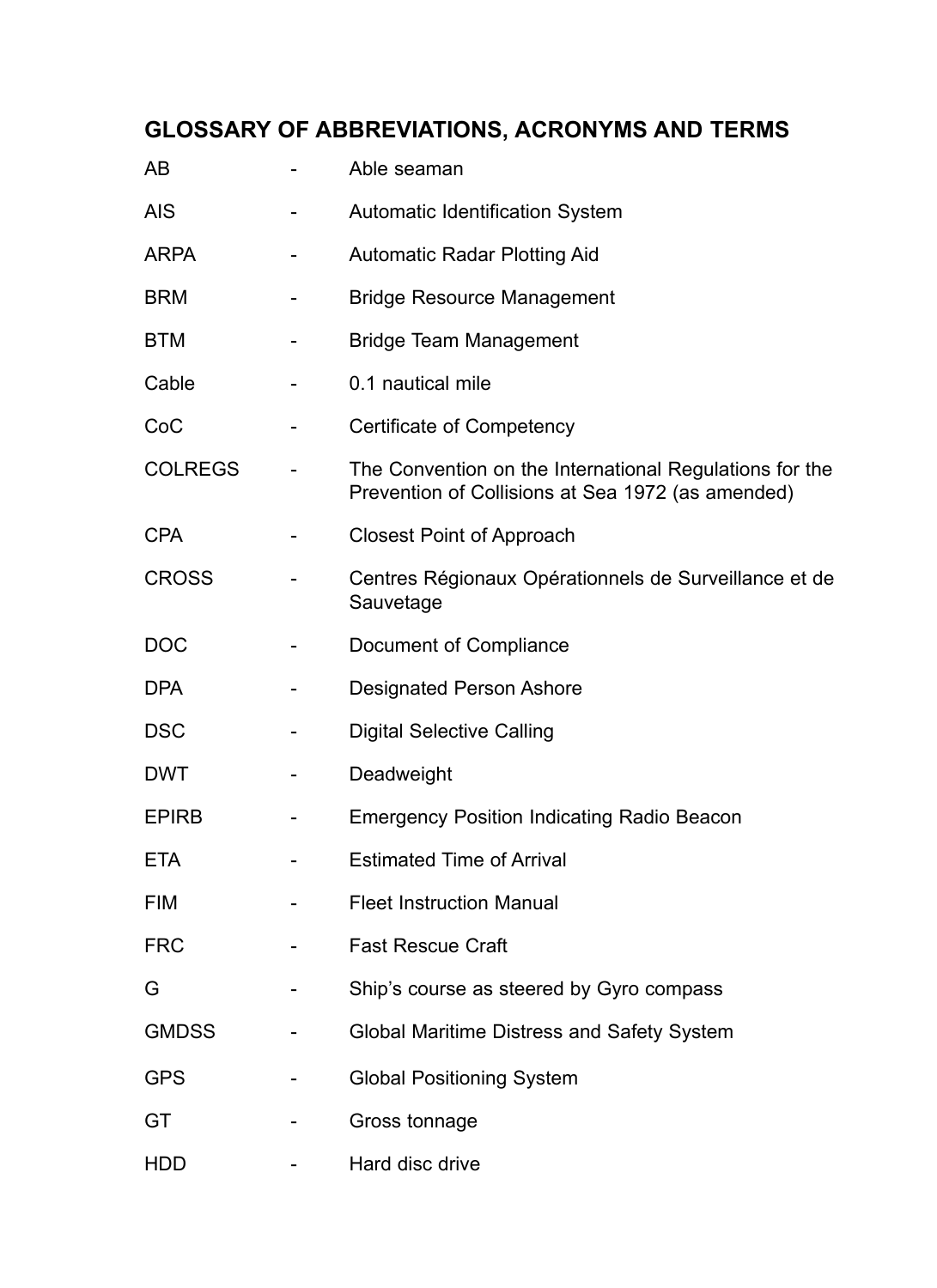# **GLOSSARY OF ABBREVIATIONS, ACRONYMS AND TERMS**

| AB             |   | Able seaman                                                                                                  |
|----------------|---|--------------------------------------------------------------------------------------------------------------|
| <b>AIS</b>     |   | <b>Automatic Identification System</b>                                                                       |
| <b>ARPA</b>    |   | <b>Automatic Radar Plotting Aid</b>                                                                          |
| <b>BRM</b>     |   | <b>Bridge Resource Management</b>                                                                            |
| <b>BTM</b>     |   | <b>Bridge Team Management</b>                                                                                |
| Cable          |   | 0.1 nautical mile                                                                                            |
| CoC            | - | Certificate of Competency                                                                                    |
| <b>COLREGS</b> |   | The Convention on the International Regulations for the<br>Prevention of Collisions at Sea 1972 (as amended) |
| <b>CPA</b>     |   | <b>Closest Point of Approach</b>                                                                             |
| <b>CROSS</b>   |   | Centres Régionaux Opérationnels de Surveillance et de<br>Sauvetage                                           |
| <b>DOC</b>     |   | Document of Compliance                                                                                       |
| <b>DPA</b>     |   | <b>Designated Person Ashore</b>                                                                              |
| <b>DSC</b>     |   | <b>Digital Selective Calling</b>                                                                             |
| <b>DWT</b>     |   | Deadweight                                                                                                   |
| <b>EPIRB</b>   |   | <b>Emergency Position Indicating Radio Beacon</b>                                                            |
| <b>ETA</b>     |   | <b>Estimated Time of Arrival</b>                                                                             |
| FIM            |   | <b>Fleet Instruction Manual</b>                                                                              |
| <b>FRC</b>     |   | <b>Fast Rescue Craft</b>                                                                                     |
| G              |   | Ship's course as steered by Gyro compass                                                                     |
| <b>GMDSS</b>   |   | Global Maritime Distress and Safety System                                                                   |
| <b>GPS</b>     |   | <b>Global Positioning System</b>                                                                             |
| GT             |   | Gross tonnage                                                                                                |
| <b>HDD</b>     |   | Hard disc drive                                                                                              |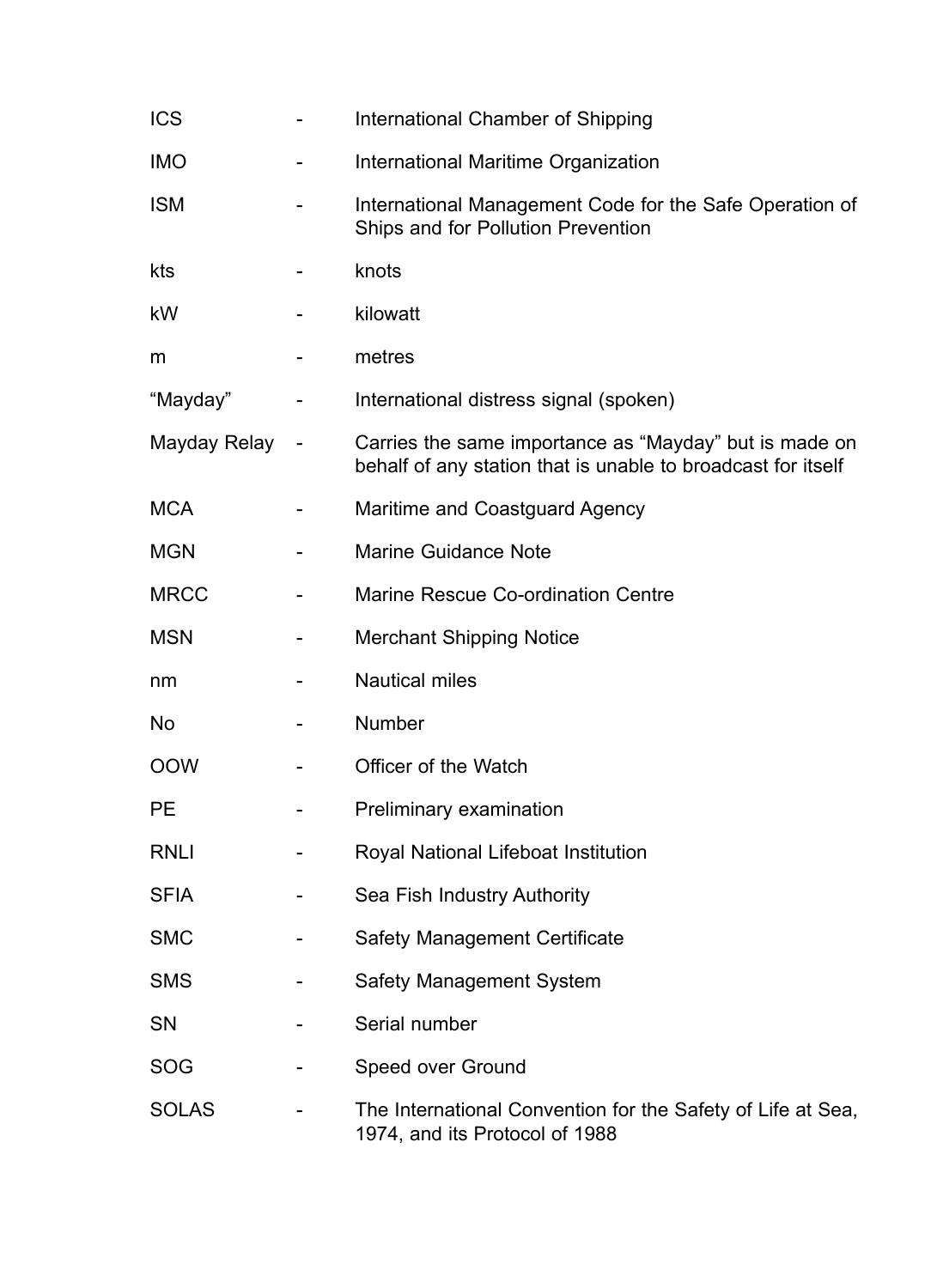| <b>ICS</b>   |                | International Chamber of Shipping                                                                                      |
|--------------|----------------|------------------------------------------------------------------------------------------------------------------------|
| <b>IMO</b>   |                | International Maritime Organization                                                                                    |
| <b>ISM</b>   |                | International Management Code for the Safe Operation of<br>Ships and for Pollution Prevention                          |
| kts          |                | knots                                                                                                                  |
| kW           |                | kilowatt                                                                                                               |
| m            |                | metres                                                                                                                 |
| "Mayday"     |                | International distress signal (spoken)                                                                                 |
| Mayday Relay | $\blacksquare$ | Carries the same importance as "Mayday" but is made on<br>behalf of any station that is unable to broadcast for itself |
| <b>MCA</b>   |                | Maritime and Coastguard Agency                                                                                         |
| <b>MGN</b>   |                | <b>Marine Guidance Note</b>                                                                                            |
| <b>MRCC</b>  |                | Marine Rescue Co-ordination Centre                                                                                     |
| <b>MSN</b>   |                | <b>Merchant Shipping Notice</b>                                                                                        |
| nm           |                | <b>Nautical miles</b>                                                                                                  |
| <b>No</b>    |                | Number                                                                                                                 |
| <b>OOW</b>   |                | Officer of the Watch                                                                                                   |
| <b>PE</b>    |                | Preliminary examination                                                                                                |
| <b>RNLI</b>  |                | Royal National Lifeboat Institution                                                                                    |
| <b>SFIA</b>  |                | Sea Fish Industry Authority                                                                                            |
| <b>SMC</b>   |                | <b>Safety Management Certificate</b>                                                                                   |
| <b>SMS</b>   |                | Safety Management System                                                                                               |
| <b>SN</b>    |                | Serial number                                                                                                          |
| <b>SOG</b>   |                | Speed over Ground                                                                                                      |
| <b>SOLAS</b> |                | The International Convention for the Safety of Life at Sea,<br>1974, and its Protocol of 1988                          |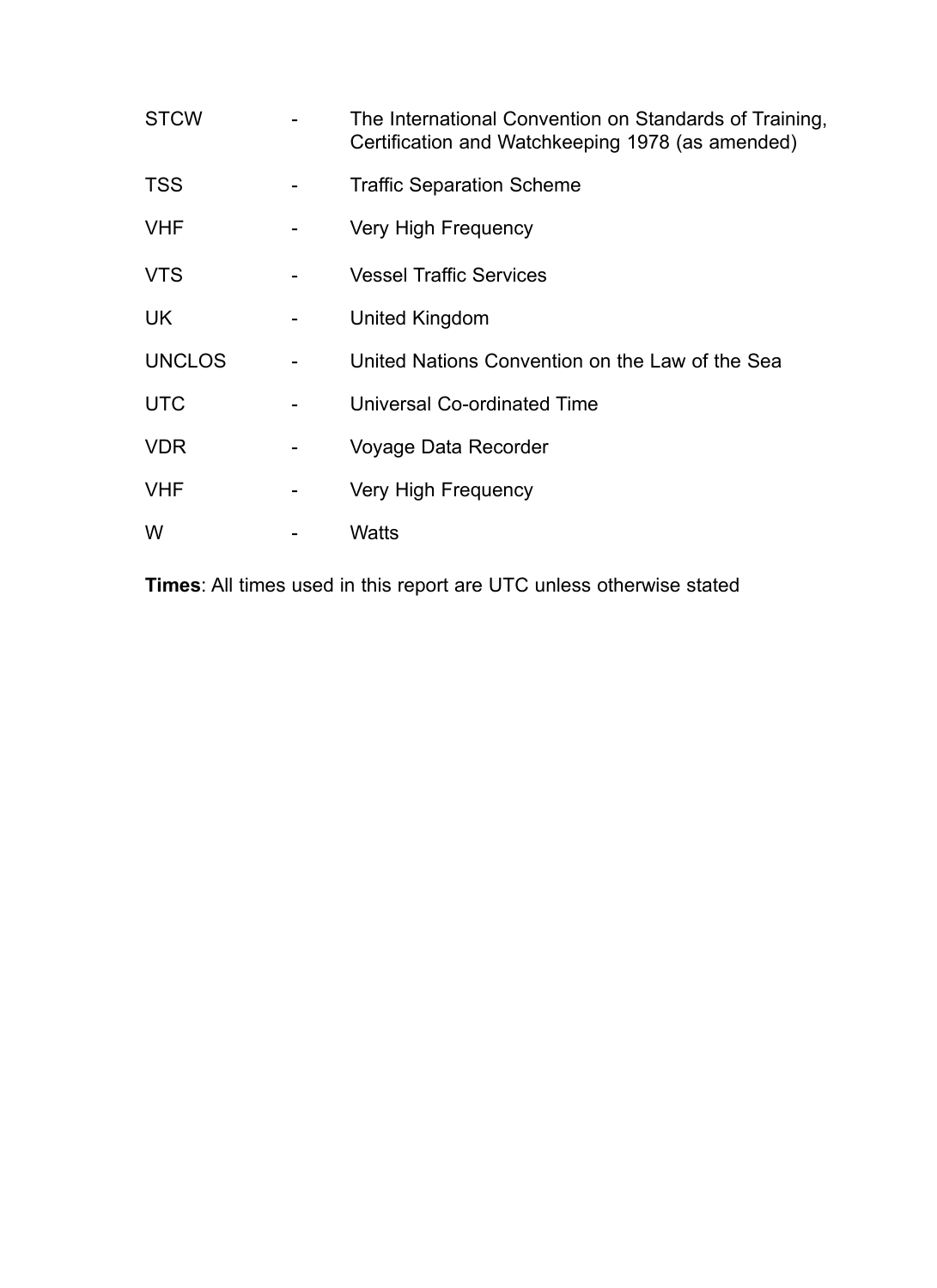| <b>STCW</b>   |                          | The International Convention on Standards of Training,<br>Certification and Watchkeeping 1978 (as amended) |
|---------------|--------------------------|------------------------------------------------------------------------------------------------------------|
| <b>TSS</b>    |                          | <b>Traffic Separation Scheme</b>                                                                           |
| <b>VHF</b>    |                          | Very High Frequency                                                                                        |
| <b>VTS</b>    |                          | <b>Vessel Traffic Services</b>                                                                             |
| <b>UK</b>     |                          | United Kingdom                                                                                             |
| <b>UNCLOS</b> |                          | United Nations Convention on the Law of the Sea                                                            |
| <b>UTC</b>    |                          | Universal Co-ordinated Time                                                                                |
| <b>VDR</b>    | $\overline{\phantom{0}}$ | Voyage Data Recorder                                                                                       |
| <b>VHF</b>    |                          | Very High Frequency                                                                                        |
| W             |                          | Watts                                                                                                      |

**Times**: All times used in this report are UTC unless otherwise stated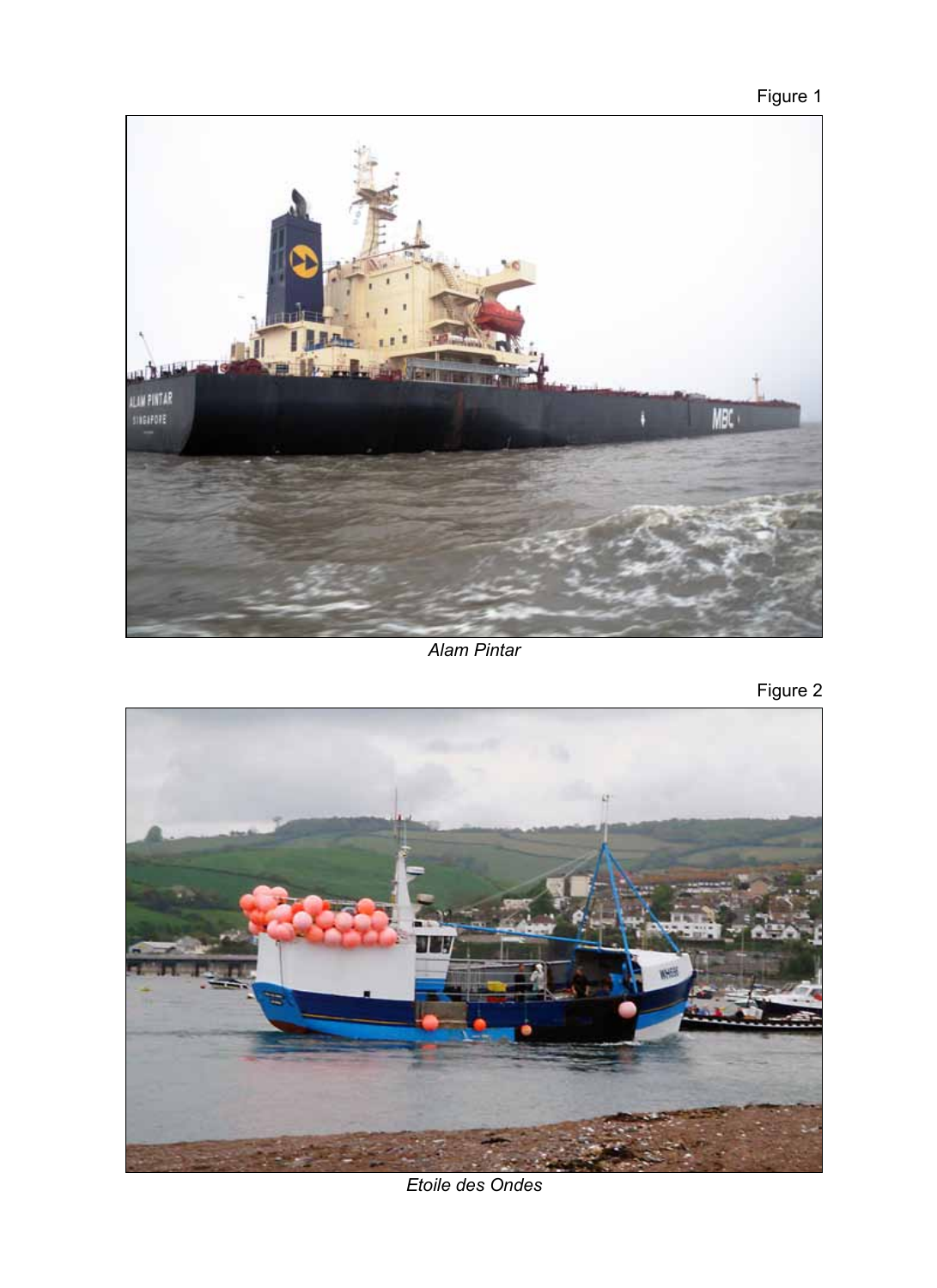



*Alam Pintar*

Figure 2



*Etoile des Ondes*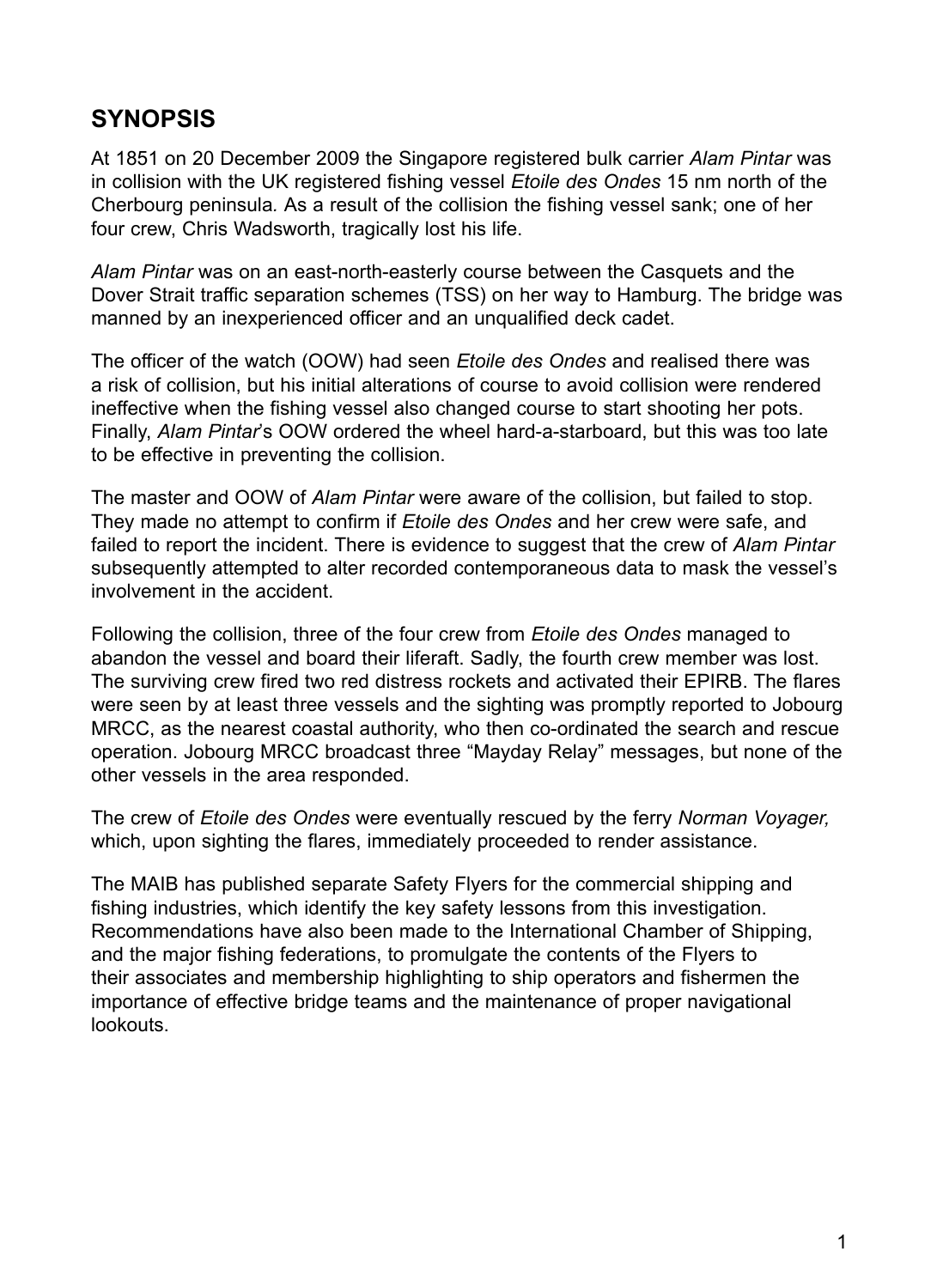# **SYNOPSIS**

At 1851 on 20 December 2009 the Singapore registered bulk carrier *Alam Pintar* was in collision with the UK registered fishing vessel *Etoile des Ondes* 15 nm north of the Cherbourg peninsula*.* As a result of the collision the fishing vessel sank; one of her four crew, Chris Wadsworth, tragically lost his life.

*Alam Pintar* was on an east-north-easterly course between the Casquets and the Dover Strait traffic separation schemes (TSS) on her way to Hamburg. The bridge was manned by an inexperienced officer and an unqualified deck cadet.

The officer of the watch (OOW) had seen *Etoile des Ondes* and realised there was a risk of collision, but his initial alterations of course to avoid collision were rendered ineffective when the fishing vessel also changed course to start shooting her pots. Finally, *Alam Pintar*'s OOW ordered the wheel hard-a-starboard, but this was too late to be effective in preventing the collision.

The master and OOW of *Alam Pintar* were aware of the collision, but failed to stop. They made no attempt to confirm if *Etoile des Ondes* and her crew were safe, and failed to report the incident. There is evidence to suggest that the crew of *Alam Pintar* subsequently attempted to alter recorded contemporaneous data to mask the vessel's involvement in the accident.

Following the collision, three of the four crew from *Etoile des Ondes* managed to abandon the vessel and board their liferaft. Sadly, the fourth crew member was lost. The surviving crew fired two red distress rockets and activated their EPIRB. The flares were seen by at least three vessels and the sighting was promptly reported to Jobourg MRCC, as the nearest coastal authority, who then co-ordinated the search and rescue operation. Jobourg MRCC broadcast three "Mayday Relay" messages, but none of the other vessels in the area responded.

The crew of *Etoile des Ondes* were eventually rescued by the ferry *Norman Voyager,* which, upon sighting the flares, immediately proceeded to render assistance.

The MAIB has published separate Safety Flyers for the commercial shipping and fishing industries, which identify the key safety lessons from this investigation. Recommendations have also been made to the International Chamber of Shipping, and the major fishing federations, to promulgate the contents of the Flyers to their associates and membership highlighting to ship operators and fishermen the importance of effective bridge teams and the maintenance of proper navigational lookouts.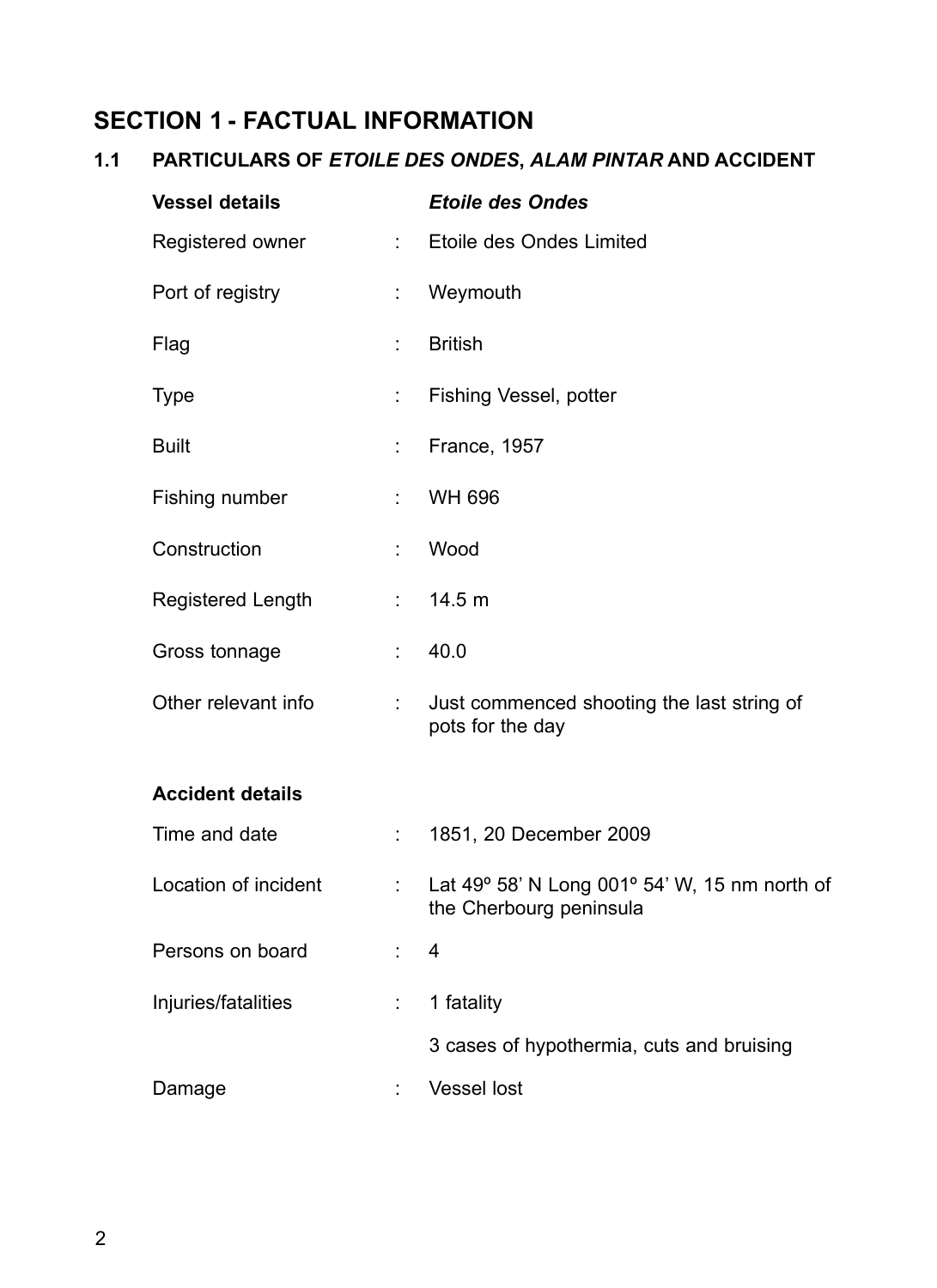# **Section 1 - FACTUAL INFORMATION**

# **1.1 PARTICULARS OF** *ETOILE DES ONDES***,** *ALAM PINTAR* **AND ACCIDENT**

| <b>Vessel details</b>    |                              | <b>Etoile des Ondes</b>                                                  |
|--------------------------|------------------------------|--------------------------------------------------------------------------|
| Registered owner         | $\mathbb{R}^{\mathbb{Z}}$    | Etoile des Ondes Limited                                                 |
| Port of registry         | t.                           | Weymouth                                                                 |
| Flag                     | ÷                            | <b>British</b>                                                           |
| <b>Type</b>              | $\mathbb{R}^{\mathbb{Z}}$    | Fishing Vessel, potter                                                   |
| <b>Built</b>             | ÷.                           | France, 1957                                                             |
| Fishing number           | $\mathcal{L}_{\mathrm{max}}$ | <b>WH 696</b>                                                            |
| Construction             | t.                           | Wood                                                                     |
| <b>Registered Length</b> |                              | : 14.5 m                                                                 |
| Gross tonnage            | ÷.                           | 40.0                                                                     |
| Other relevant info      | $\mathcal{L}_{\mathrm{max}}$ | Just commenced shooting the last string of<br>pots for the day           |
| <b>Accident details</b>  |                              |                                                                          |
| Time and date            | $\mathcal{L}_{\rm{max}}$     | 1851, 20 December 2009                                                   |
| Location of incident     | $\mathcal{L}_{\mathrm{max}}$ | Lat 49° 58' N Long 001° 54' W, 15 nm north of<br>the Cherbourg peninsula |
| Persons on board         |                              | 4                                                                        |
| Injuries/fatalities      | ÷                            | 1 fatality                                                               |
|                          |                              | 3 cases of hypothermia, cuts and bruising                                |
| Damage                   |                              | <b>Vessel lost</b>                                                       |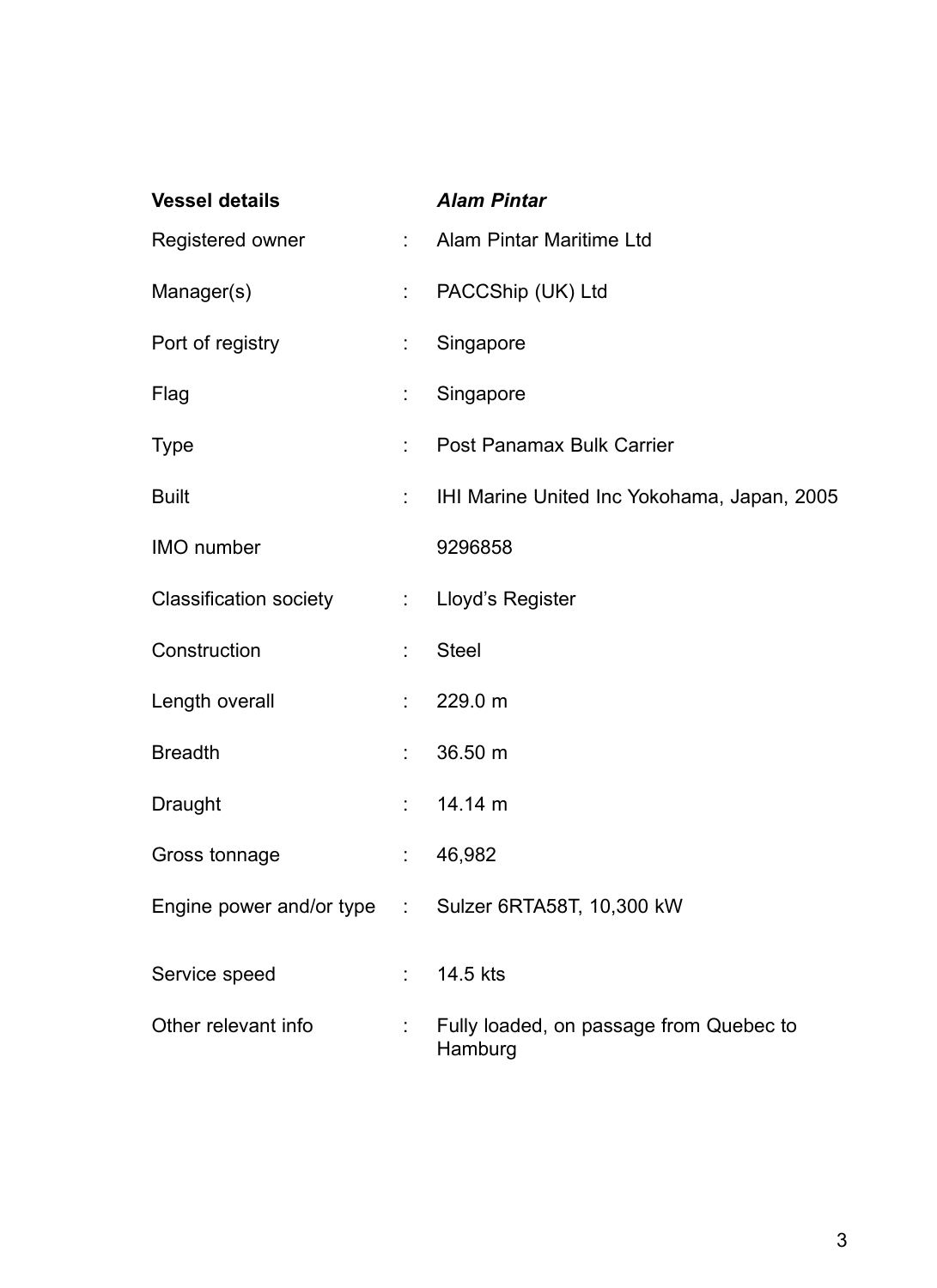| <b>Vessel details</b>         |                             | <b>Alam Pintar</b>                                 |
|-------------------------------|-----------------------------|----------------------------------------------------|
| Registered owner              | $\mathbb{R}^{n+1}$          | Alam Pintar Maritime Ltd                           |
| Manager(s)                    | $\mathbb{Z}^{\mathbb{Z}}$   | PACCShip (UK) Ltd                                  |
| Port of registry              | ÷                           | Singapore                                          |
| Flag                          | $\mathbb{Z}^{\mathbb{Z}}$   | Singapore                                          |
| <b>Type</b>                   | ÷.                          | Post Panamax Bulk Carrier                          |
| <b>Built</b>                  | $\mathcal{L}_{\mathcal{A}}$ | IHI Marine United Inc Yokohama, Japan, 2005        |
| IMO number                    |                             | 9296858                                            |
| <b>Classification society</b> |                             | : Lloyd's Register                                 |
| Construction                  | ÷,                          | <b>Steel</b>                                       |
| Length overall                | $\mathcal{L}_{\mathcal{A}}$ | 229.0 m                                            |
| <b>Breadth</b>                | ÷                           | 36.50 m                                            |
| Draught                       | $\frac{1}{2}$ .             | 14.14 m                                            |
| Gross tonnage                 | ÷                           | 46,982                                             |
| Engine power and/or type      |                             | : Sulzer 6RTA58T, 10,300 kW                        |
| Service speed                 |                             | 14.5 kts                                           |
| Other relevant info           |                             | Fully loaded, on passage from Quebec to<br>Hamburg |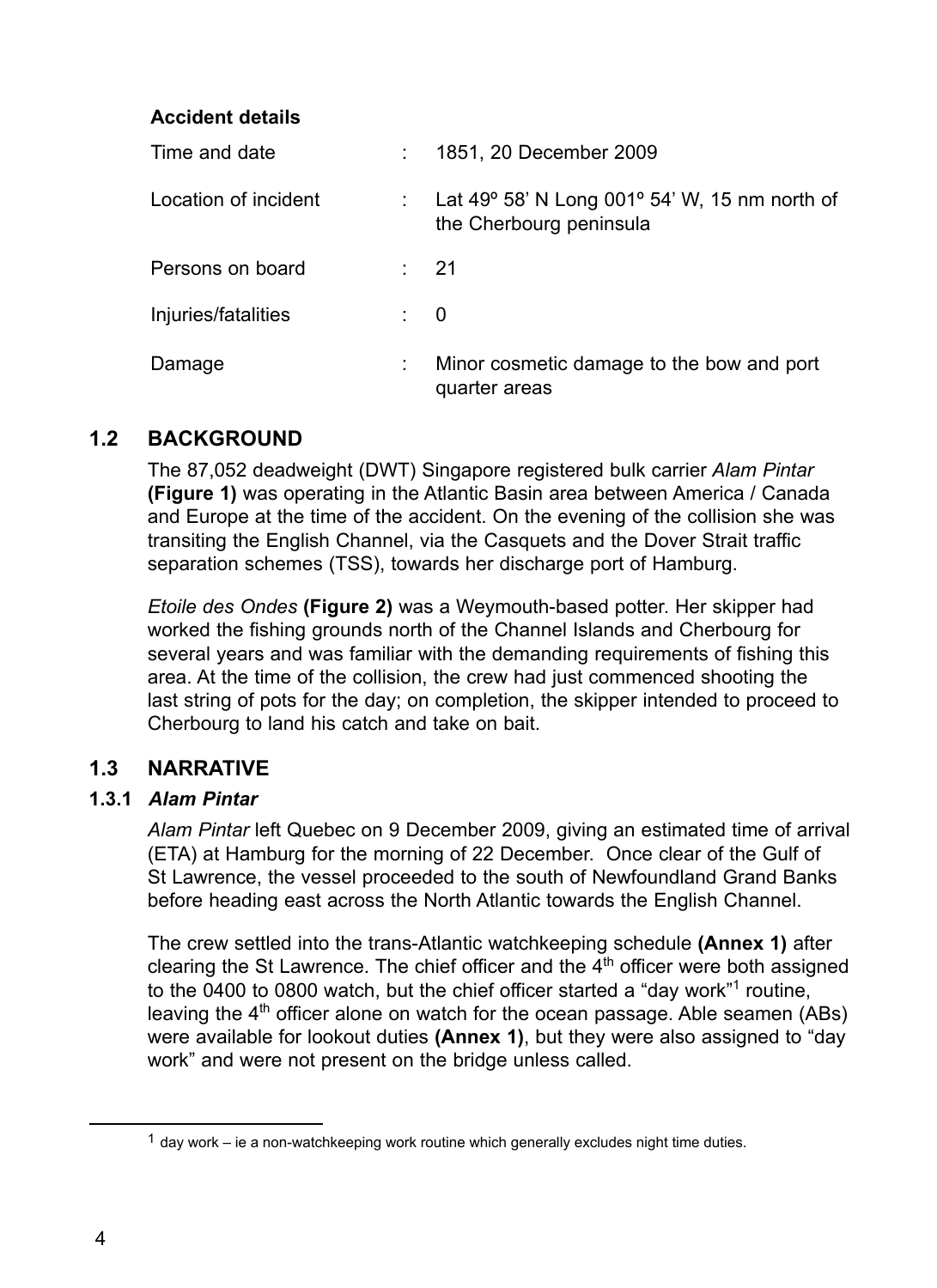### **Accident details**

| Time and date        |                | 1851, 20 December 2009                                                                     |
|----------------------|----------------|--------------------------------------------------------------------------------------------|
| Location of incident |                | Lat 49 $\degree$ 58' N Long 001 $\degree$ 54' W, 15 nm north of<br>the Cherbourg peninsula |
| Persons on board     |                | -21                                                                                        |
| Injuries/fatalities  | $\therefore$ 0 |                                                                                            |
| Damage               | ÷              | Minor cosmetic damage to the bow and port<br>quarter areas                                 |

# **1.2 Background**

The 87,052 deadweight (DWT) Singapore registered bulk carrier *Alam Pintar*  **(Figure 1)** was operating in the Atlantic Basin area between America / Canada and Europe at the time of the accident. On the evening of the collision she was transiting the English Channel, via the Casquets and the Dover Strait traffic separation schemes (TSS), towards her discharge port of Hamburg.

*Etoile des Ondes* **(Figure 2)** was a Weymouth-based potter. Her skipper had worked the fishing grounds north of the Channel Islands and Cherbourg for several years and was familiar with the demanding requirements of fishing this area. At the time of the collision, the crew had just commenced shooting the last string of pots for the day; on completion, the skipper intended to proceed to Cherbourg to land his catch and take on bait.

## **1.3 Narrative**

#### **1.3.1** *Alam Pintar*

*Alam Pintar* left Quebec on 9 December 2009, giving an estimated time of arrival (ETA) at Hamburg for the morning of 22 December. Once clear of the Gulf of St Lawrence, the vessel proceeded to the south of Newfoundland Grand Banks before heading east across the North Atlantic towards the English Channel.

The crew settled into the trans-Atlantic watchkeeping schedule **(Annex 1)** after clearing the St Lawrence. The chief officer and the  $4<sup>th</sup>$  officer were both assigned to the 0400 to 0800 watch, but the chief officer started a "day work"<sup>1</sup> routine, leaving the 4<sup>th</sup> officer alone on watch for the ocean passage. Able seamen (ABs) were available for lookout duties **(Annex 1)**, but they were also assigned to "day work" and were not present on the bridge unless called.

 $1$  day work – ie a non-watchkeeping work routine which generally excludes night time duties.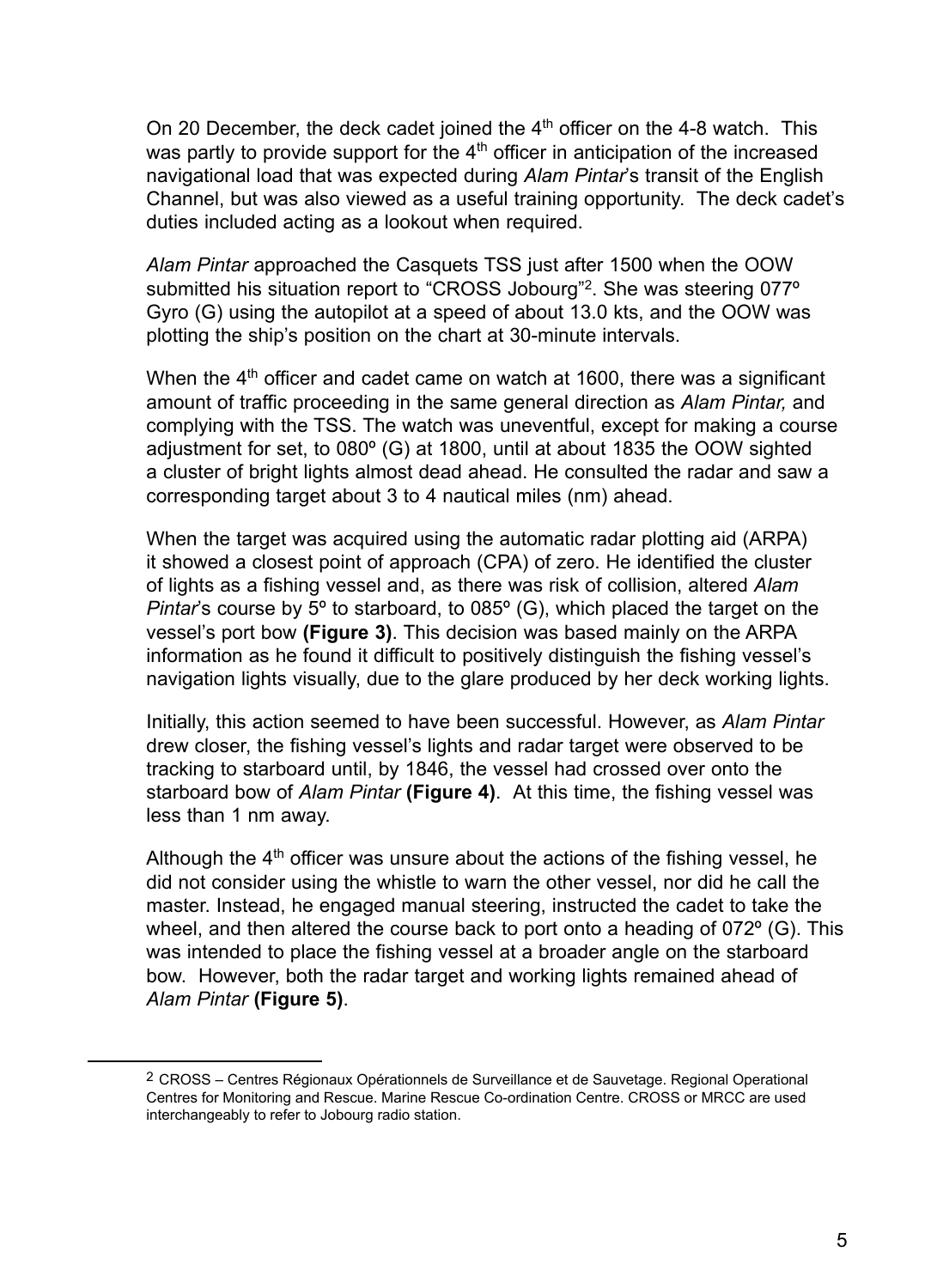On 20 December, the deck cadet joined the  $4<sup>th</sup>$  officer on the 4-8 watch. This was partly to provide support for the  $4<sup>th</sup>$  officer in anticipation of the increased navigational load that was expected during *Alam Pintar*'s transit of the English Channel, but was also viewed as a useful training opportunity. The deck cadet's duties included acting as a lookout when required.

*Alam Pintar* approached the Casquets TSS just after 1500 when the OOW submitted his situation report to "CROSS Jobourg"<sup>2</sup>. She was steering 077° Gyro (G) using the autopilot at a speed of about 13.0 kts, and the OOW was plotting the ship's position on the chart at 30-minute intervals.

When the  $4<sup>th</sup>$  officer and cadet came on watch at 1600, there was a significant amount of traffic proceeding in the same general direction as *Alam Pintar,* and complying with the TSS. The watch was uneventful, except for making a course adjustment for set, to 080º (G) at 1800, until at about 1835 the OOW sighted a cluster of bright lights almost dead ahead. He consulted the radar and saw a corresponding target about 3 to 4 nautical miles (nm) ahead.

When the target was acquired using the automatic radar plotting aid (ARPA) it showed a closest point of approach (CPA) of zero. He identified the cluster of lights as a fishing vessel and, as there was risk of collision, altered *Alam Pintar*'s course by 5º to starboard, to 085º (G), which placed the target on the vessel's port bow **(Figure 3)**. This decision was based mainly on the ARPA information as he found it difficult to positively distinguish the fishing vessel's navigation lights visually, due to the glare produced by her deck working lights.

Initially, this action seemed to have been successful. However, as *Alam Pintar* drew closer, the fishing vessel's lights and radar target were observed to be tracking to starboard until, by 1846, the vessel had crossed over onto the starboard bow of *Alam Pintar* **(Figure 4)**.At this time, the fishing vessel was less than 1 nm away.

Although the  $4<sup>th</sup>$  officer was unsure about the actions of the fishing vessel, he did not consider using the whistle to warn the other vessel, nor did he call the master. Instead, he engaged manual steering, instructed the cadet to take the wheel, and then altered the course back to port onto a heading of 072° (G). This was intended to place the fishing vessel at a broader angle on the starboard bow. However, both the radar target and working lights remained ahead of *Alam Pintar* **(Figure 5)**.

<sup>2</sup> CROSS – Centres Régionaux Opérationnels de Surveillance et de Sauvetage. Regional Operational Centres for Monitoring and Rescue. Marine Rescue Co-ordination Centre. CROSS or MRCC are used interchangeably to refer to Jobourg radio station.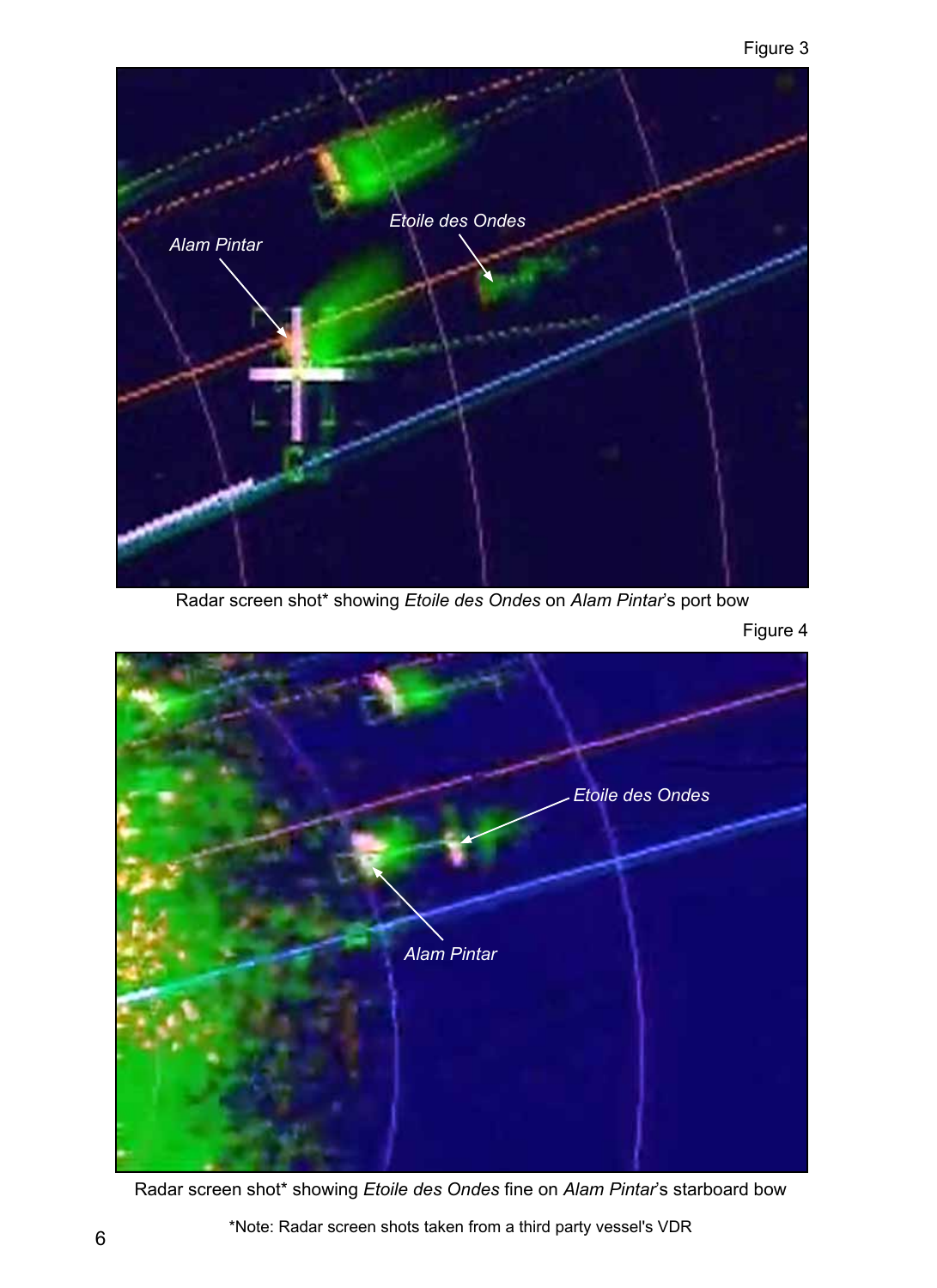

Radar screen shot\* showing *Etoile des Ondes* on *Alam Pintar*'s port bow



Figure 4

Radar screen shot\* showing *Etoile des Ondes* fine on *Alam Pintar*'s starboard bow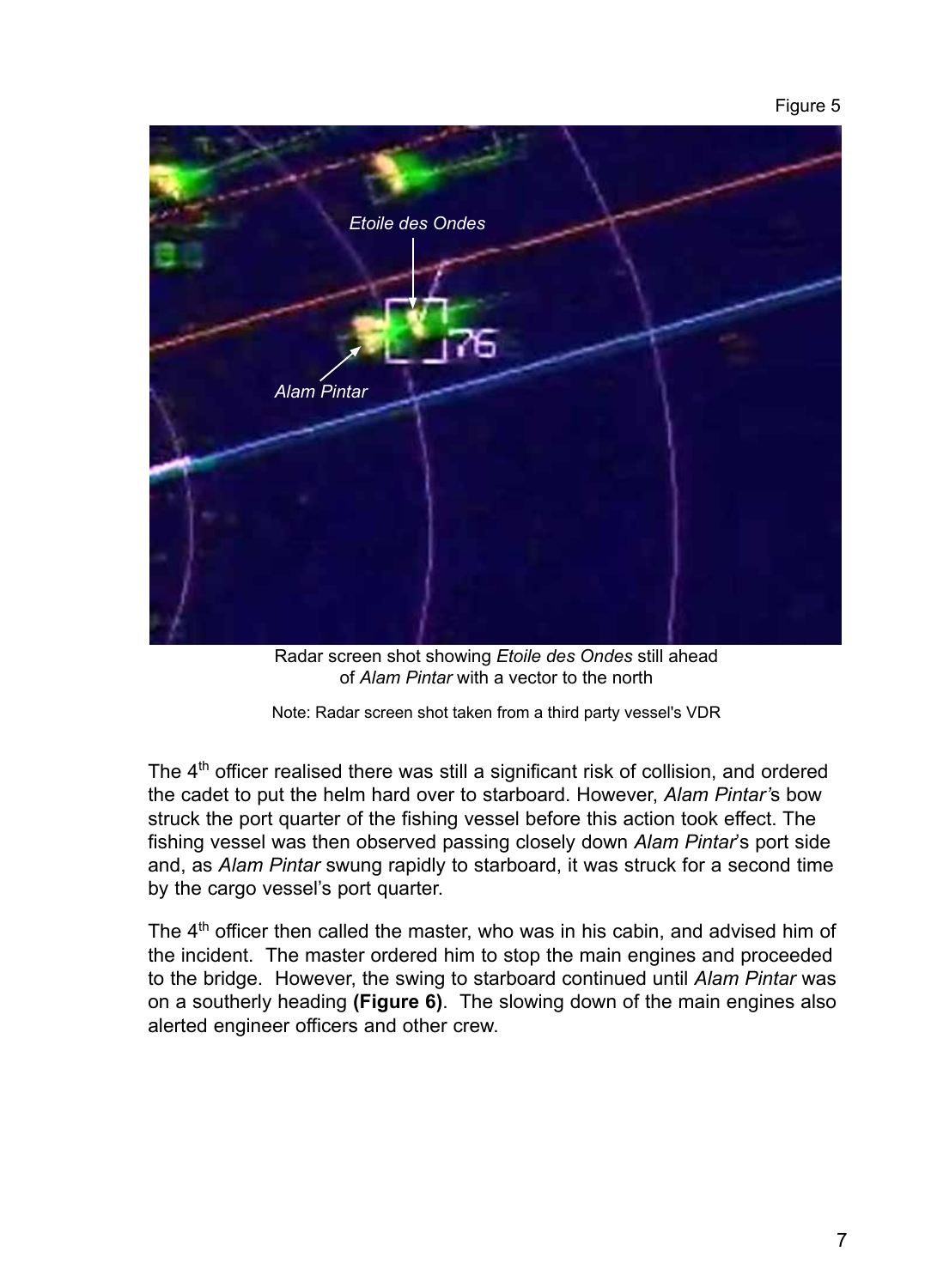Figure 5



Radar screen shot showing *Etoile des Ondes* still ahead of *Alam Pintar* with a vector to the north

The  $4<sup>th</sup>$  officer realised there was still a significant risk of collision, and ordered the cadet to put the helm hard over to starboard. However, *Alam Pintar'*s bow struck the port quarter of the fishing vessel before this action took effect. The fishing vessel was then observed passing closely down *Alam Pintar*'s port side and, as *Alam Pintar* swung rapidly to starboard, it was struck for a second time by the cargo vessel's port quarter.

The  $4<sup>th</sup>$  officer then called the master, who was in his cabin, and advised him of the incident. The master ordered him to stop the main engines and proceeded to the bridge. However, the swing to starboard continued until *Alam Pintar* was on a southerly heading **(Figure 6)**. The slowing down of the main engines also alerted engineer officers and other crew.

Note: Radar screen shot taken from a third party vessel's VDR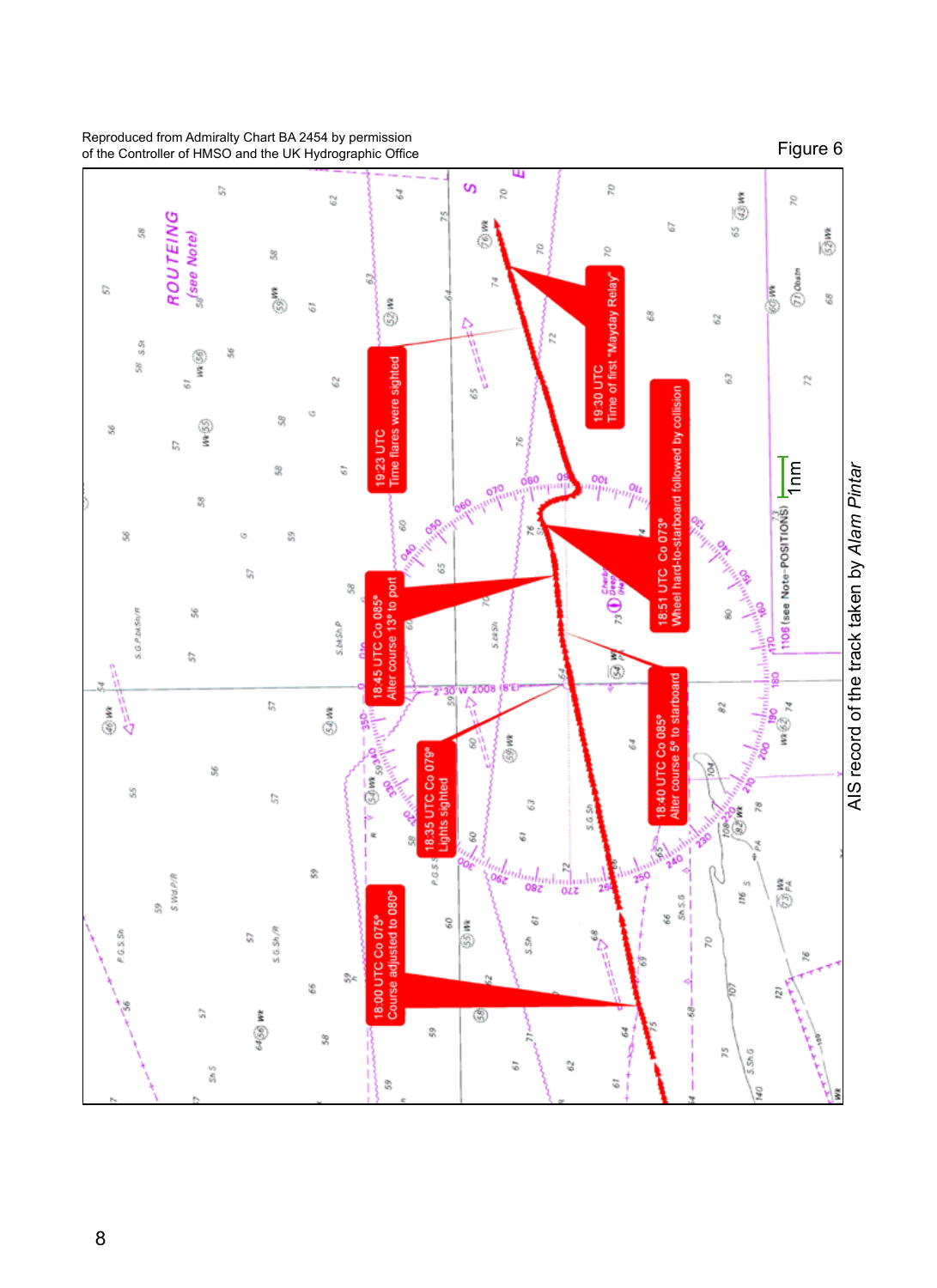

#### Reproduced from Admiralty Chart BA 2454 by permission of the Controller of HMSO and the UK Hydrographic Office

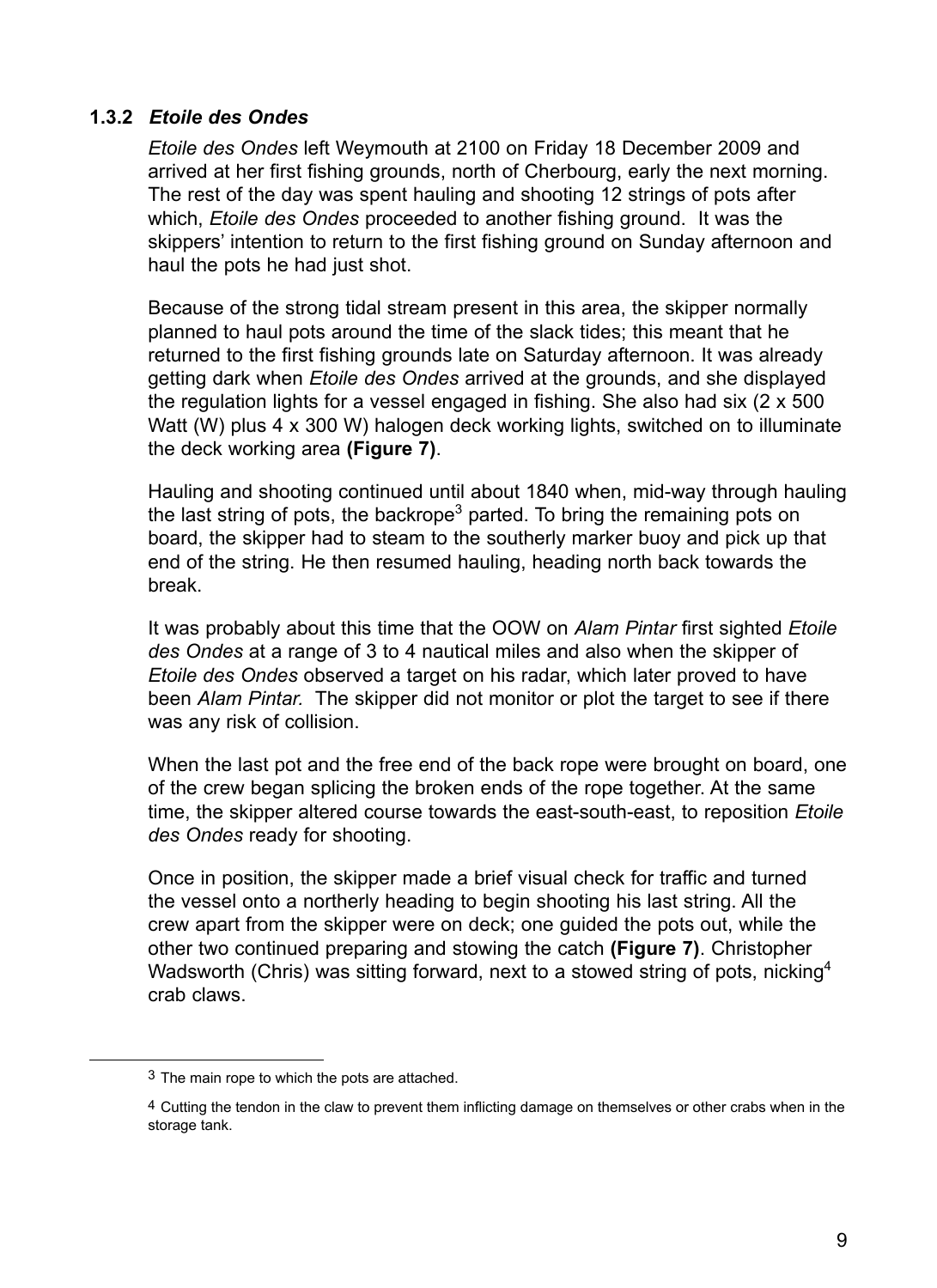#### **1.3.2** *Etoile des Ondes*

*Etoile des Ondes* left Weymouth at 2100 on Friday 18 December 2009 and arrived at her first fishing grounds, north of Cherbourg, early the next morning. The rest of the day was spent hauling and shooting 12 strings of pots after which, *Etoile des Ondes* proceeded to another fishing ground. It was the skippers' intention to return to the first fishing ground on Sunday afternoon and haul the pots he had just shot.

Because of the strong tidal stream present in this area, the skipper normally planned to haul pots around the time of the slack tides; this meant that he returned to the first fishing grounds late on Saturday afternoon. It was already getting dark when *Etoile des Ondes* arrived at the grounds, and she displayed the regulation lights for a vessel engaged in fishing. She also had six (2 x 500 Watt (W) plus 4 x 300 W) halogen deck working lights, switched on to illuminate the deck working area **(Figure 7)**.

Hauling and shooting continued until about 1840 when, mid-way through hauling the last string of pots, the backrope<sup>3</sup> parted. To bring the remaining pots on board, the skipper had to steam to the southerly marker buoy and pick up that end of the string. He then resumed hauling, heading north back towards the break.

It was probably about this time that the OOW on *Alam Pintar* first sighted *Etoile des Ondes* at a range of 3 to 4 nautical miles and also when the skipper of *Etoile des Ondes* observed a target on his radar, which later proved to have been *Alam Pintar.* The skipper did not monitor or plot the target to see if there was any risk of collision.

When the last pot and the free end of the back rope were brought on board, one of the crew began splicing the broken ends of the rope together. At the same time, the skipper altered course towards the east-south-east, to reposition *Etoile des Ondes* ready for shooting.

Once in position, the skipper made a brief visual check for traffic and turned the vessel onto a northerly heading to begin shooting his last string. All the crew apart from the skipper were on deck; one guided the pots out, while the other two continued preparing and stowing the catch **(Figure 7)**. Christopher Wadsworth (Chris) was sitting forward, next to a stowed string of pots, nicking<sup>4</sup> crab claws.

<sup>3</sup> The main rope to which the pots are attached.

<sup>4</sup> Cutting the tendon in the claw to prevent them inflicting damage on themselves or other crabs when in the storage tank.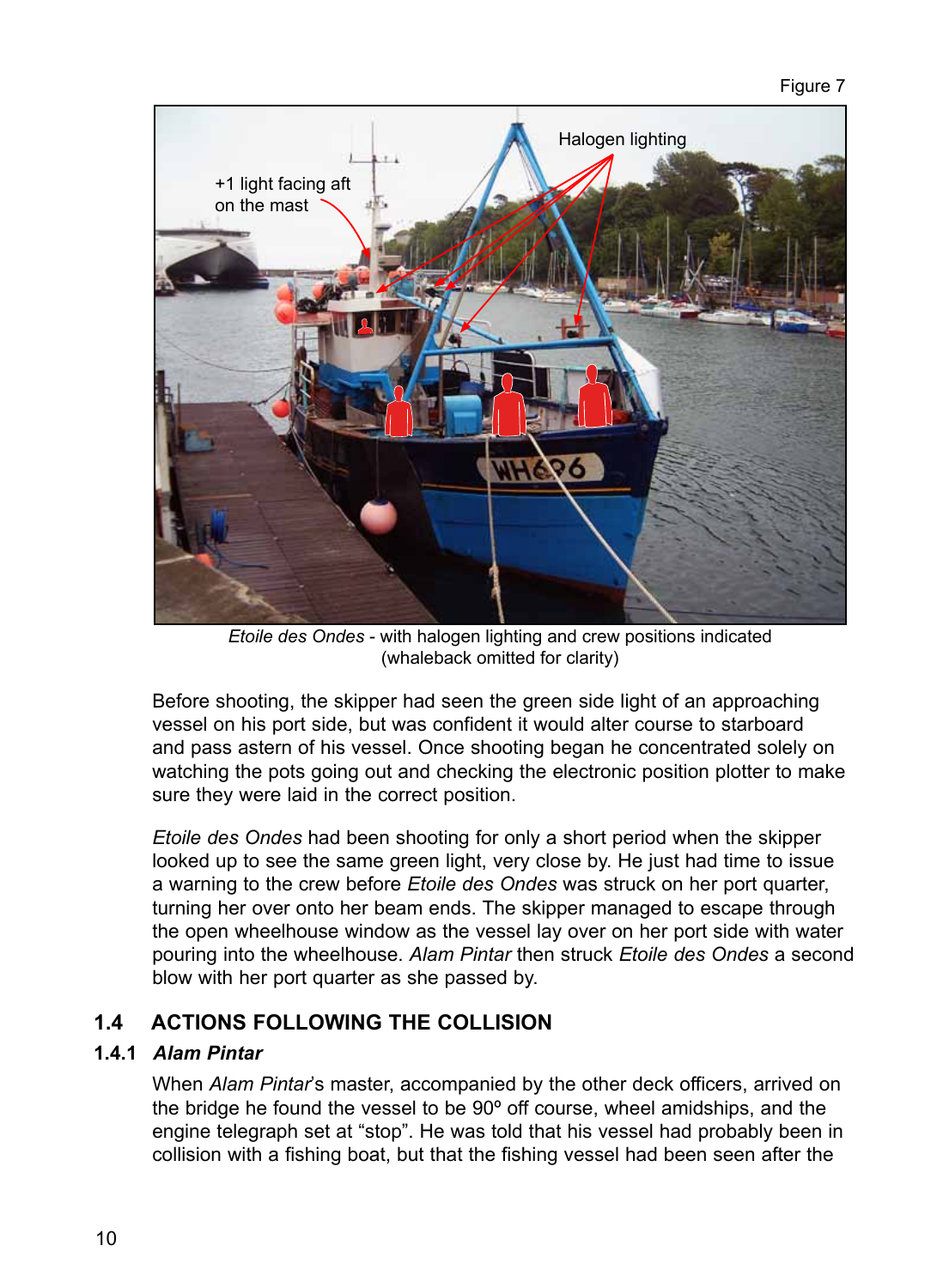

*Etoile des Ondes* - with halogen lighting and crew positions indicated (whaleback omitted for clarity)

Before shooting, the skipper had seen the green side light of an approaching vessel on his port side, but was confident it would alter course to starboard and pass astern of his vessel. Once shooting began he concentrated solely on watching the pots going out and checking the electronic position plotter to make sure they were laid in the correct position.

*Etoile des Ondes* had been shooting for only a short period when the skipper looked up to see the same green light, very close by. He just had time to issue a warning to the crew before *Etoile des Ondes* was struck on her port quarter, turning her over onto her beam ends. The skipper managed to escape through the open wheelhouse window as the vessel lay over on her port side with water pouring into the wheelhouse. *Alam Pintar* then struck *Etoile des Ondes* a second blow with her port quarter as she passed by.

# **1.4 Actions following the collision**

## **1.4.1** *Alam Pintar*

When *Alam Pintar*'s master, accompanied by the other deck officers, arrived on the bridge he found the vessel to be 90º off course, wheel amidships, and the engine telegraph set at "stop". He was told that his vessel had probably been in collision with a fishing boat, but that the fishing vessel had been seen after the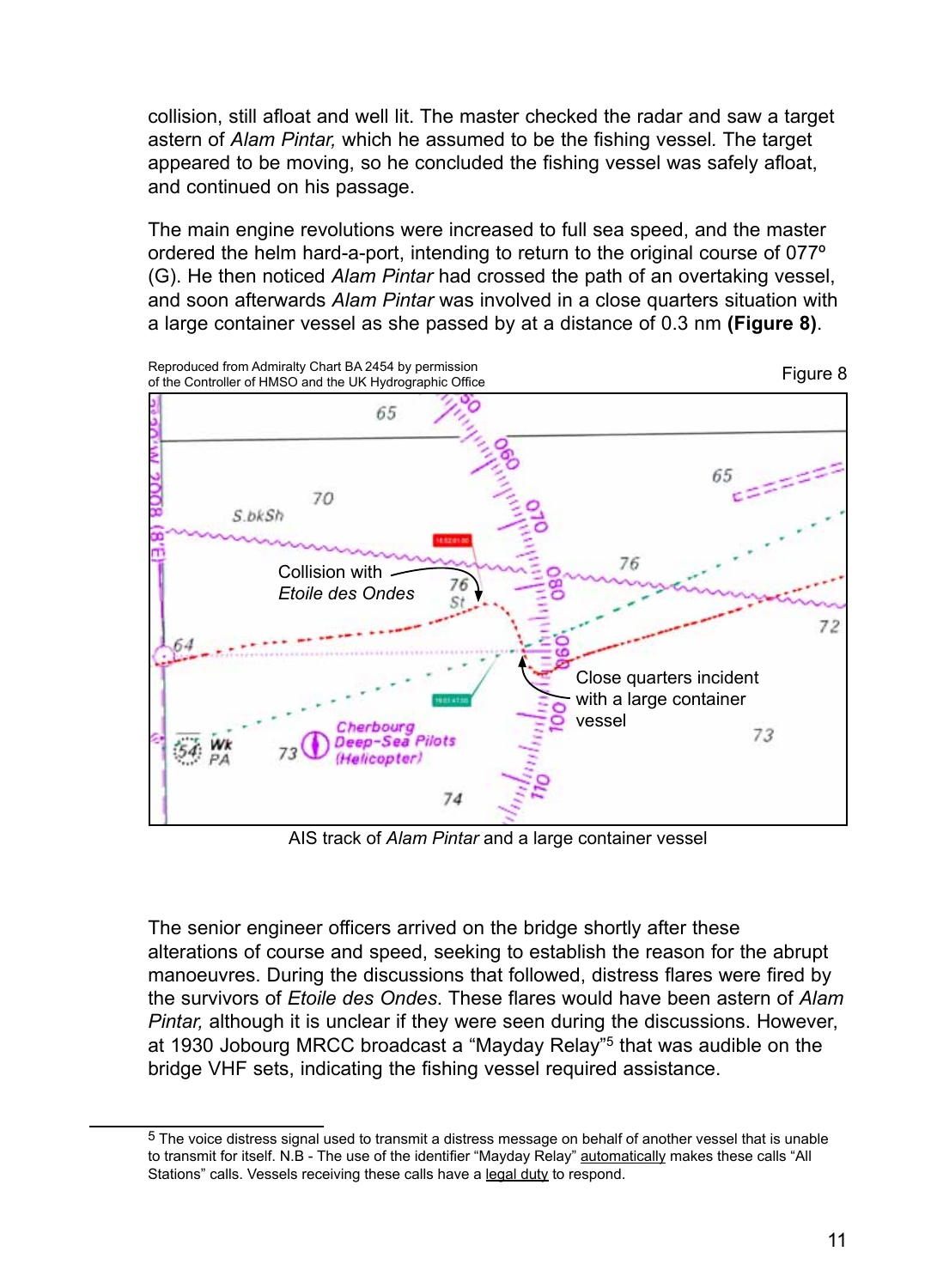collision, still afloat and well lit. The master checked the radar and saw a target astern of *Alam Pintar,* which he assumed to be the fishing vessel*.* The target appeared to be moving, so he concluded the fishing vessel was safely afloat, and continued on his passage.

The main engine revolutions were increased to full sea speed, and the master ordered the helm hard-a-port, intending to return to the original course of 077º (G). He then noticed *Alam Pintar* had crossed the path of an overtaking vessel, and soon afterwards *Alam Pintar* was involved in a close quarters situation with a large container vessel as she passed by at a distance of 0.3 nm **(Figure 8)**.



AIS track of *Alam Pintar* and a large container vessel

The senior engineer officers arrived on the bridge shortly after these alterations of course and speed, seeking to establish the reason for the abrupt manoeuvres. During the discussions that followed, distress flares were fired by the survivors of *Etoile des Ondes*. These flares would have been astern of *Alam Pintar,* although it is unclear if they were seen during the discussions. However, at 1930 Jobourg MRCC broadcast a "Mayday Relay"5 that was audible on the bridge VHF sets, indicating the fishing vessel required assistance.

<sup>5</sup> The voice distress signal used to transmit a distress message on behalf of another vessel that is unable to transmit for itself. N.B - The use of the identifier "Mayday Relay" automatically makes these calls "All Stations" calls. Vessels receiving these calls have a legal duty to respond.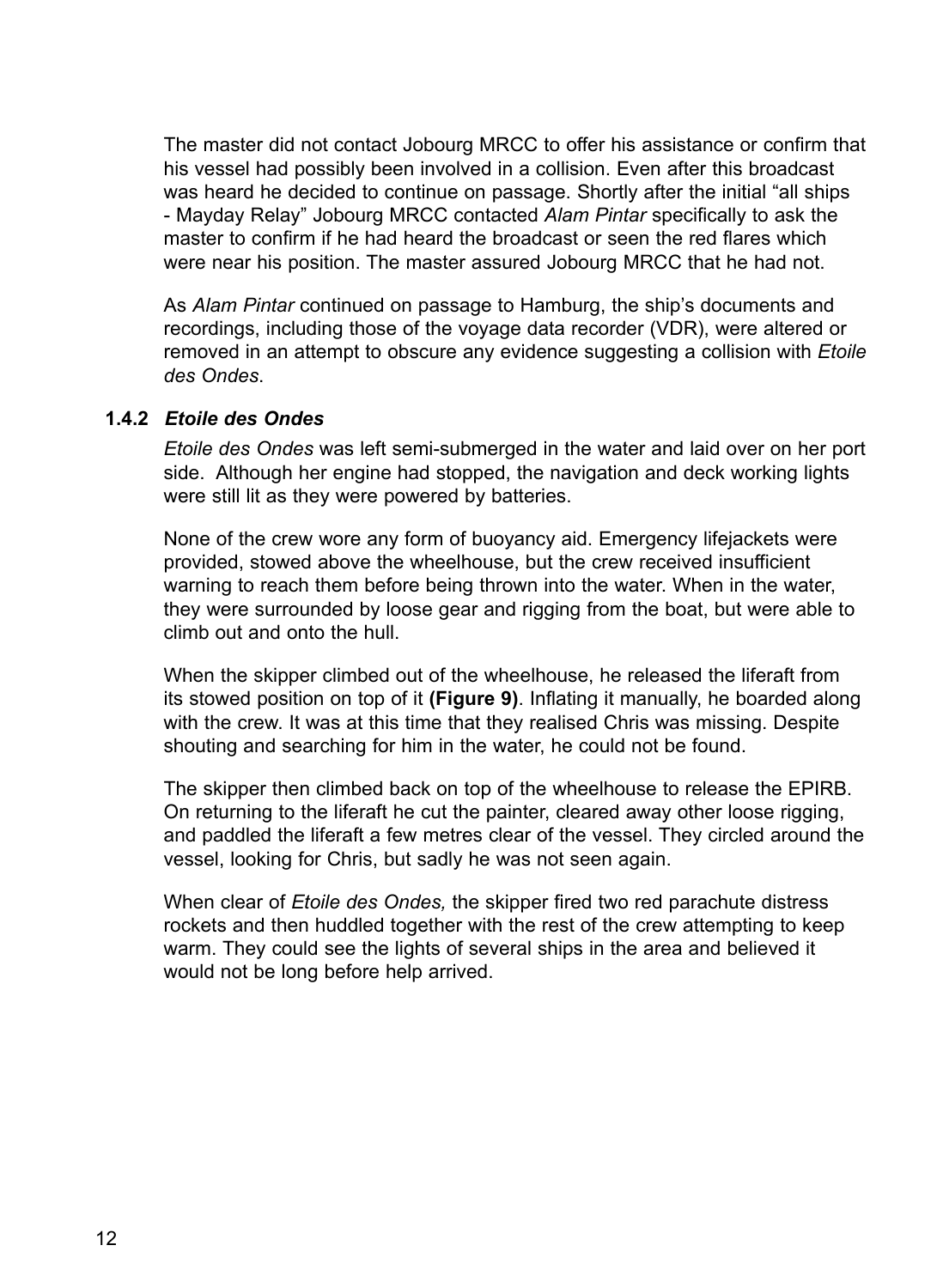The master did not contact Jobourg MRCC to offer his assistance or confirm that his vessel had possibly been involved in a collision. Even after this broadcast was heard he decided to continue on passage. Shortly after the initial "all ships - Mayday Relay" Jobourg MRCC contacted *Alam Pintar* specifically to ask the master to confirm if he had heard the broadcast or seen the red flares which were near his position. The master assured Jobourg MRCC that he had not.

As *Alam Pintar* continued on passage to Hamburg, the ship's documents and recordings, including those of the voyage data recorder (VDR), were altered or removed in an attempt to obscure any evidence suggesting a collision with *Etoile des Ondes*.

#### **1.4.2** *Etoile des Ondes*

*Etoile des Ondes* was left semi-submerged in the water and laid over on her port side. Although her engine had stopped, the navigation and deck working lights were still lit as they were powered by batteries.

None of the crew wore any form of buoyancy aid. Emergency lifejackets were provided, stowed above the wheelhouse, but the crew received insufficient warning to reach them before being thrown into the water. When in the water, they were surrounded by loose gear and rigging from the boat, but were able to climb out and onto the hull.

When the skipper climbed out of the wheelhouse, he released the liferaft from its stowed position on top of it **(Figure 9)**. Inflating it manually, he boarded along with the crew. It was at this time that they realised Chris was missing. Despite shouting and searching for him in the water, he could not be found.

The skipper then climbed back on top of the wheelhouse to release the EPIRB. On returning to the liferaft he cut the painter, cleared away other loose rigging, and paddled the liferaft a few metres clear of the vessel. They circled around the vessel, looking for Chris, but sadly he was not seen again.

When clear of *Etoile des Ondes,* the skipper fired two red parachute distress rockets and then huddled together with the rest of the crew attempting to keep warm. They could see the lights of several ships in the area and believed it would not be long before help arrived.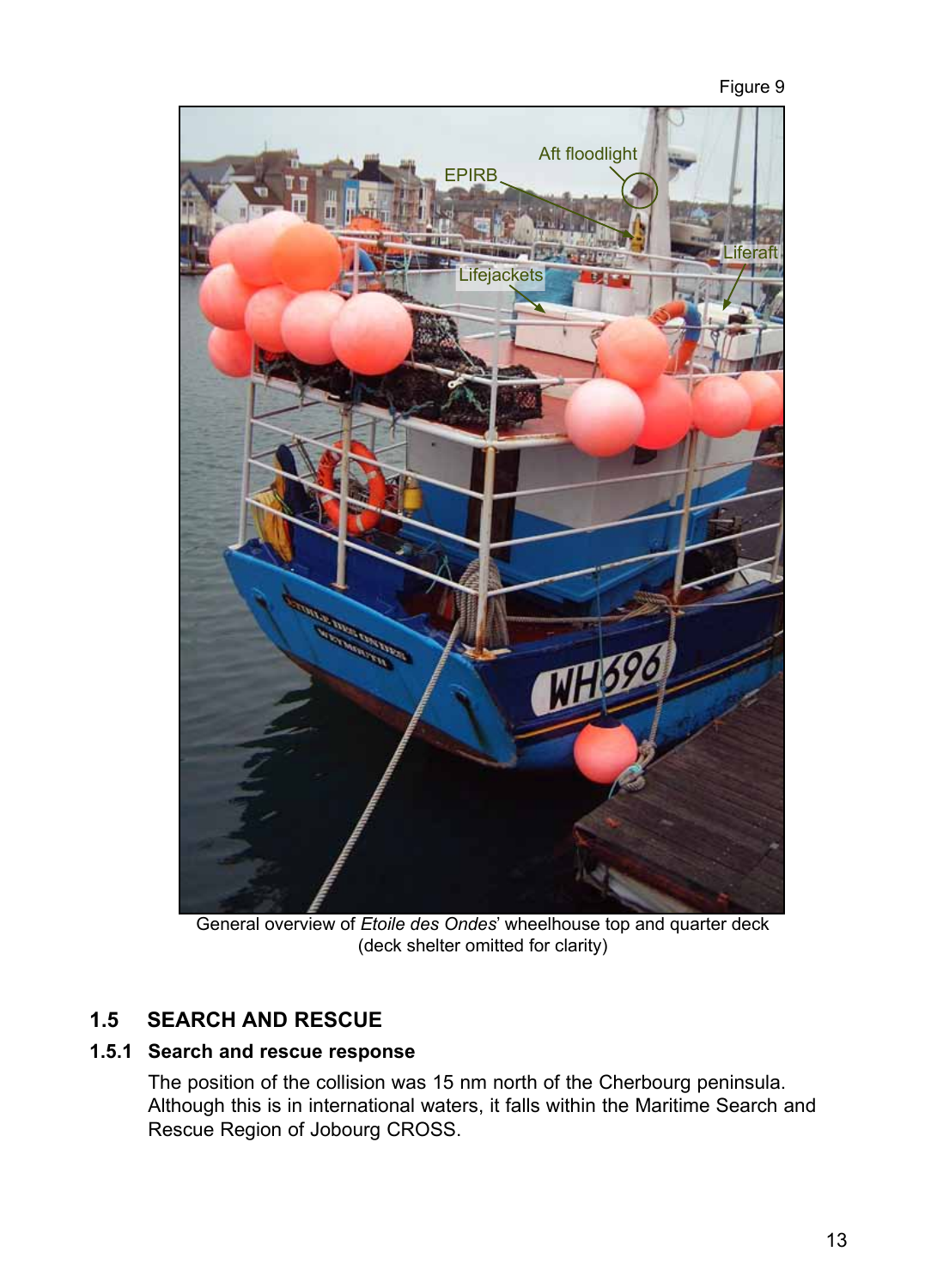

General overview of *Etoile des Ondes*' wheelhouse top and quarter deck (deck shelter omitted for clarity)

# **1.5 Search and rescue**

# **1.5.1 Search and rescue response**

The position of the collision was 15 nm north of the Cherbourg peninsula. Although this is in international waters, it falls within the Maritime Search and Rescue Region of Jobourg CROSS.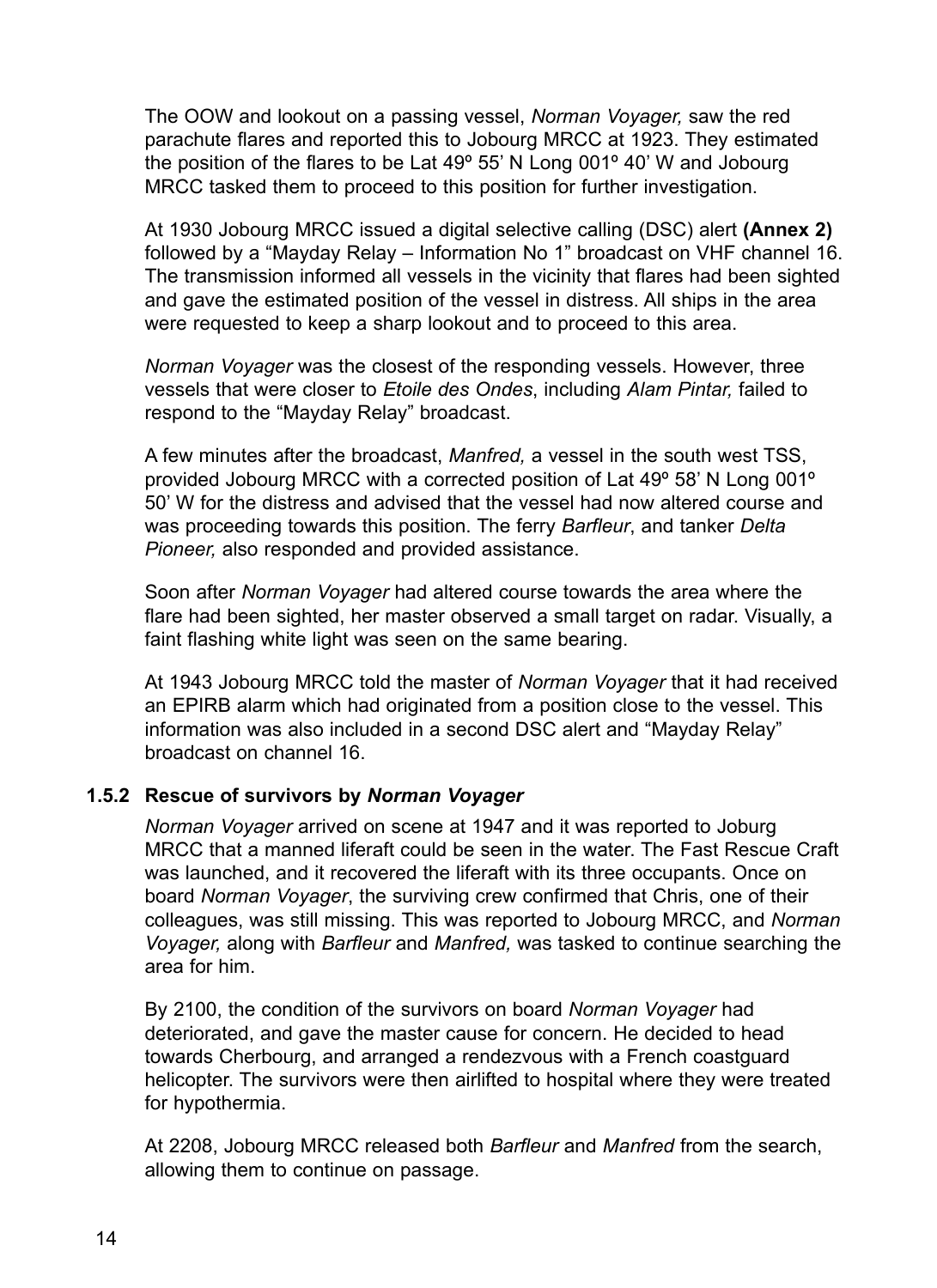The OOW and lookout on a passing vessel, *Norman Voyager,* saw the red parachute flares and reported this to Jobourg MRCC at 1923. They estimated the position of the flares to be Lat 49º 55' N Long 001º 40' W and Jobourg MRCC tasked them to proceed to this position for further investigation.

At 1930 Jobourg MRCC issued a digital selective calling (DSC) alert **(Annex 2)** followed by a "Mayday Relay – Information No 1" broadcast on VHF channel 16. The transmission informed all vessels in the vicinity that flares had been sighted and gave the estimated position of the vessel in distress. All ships in the area were requested to keep a sharp lookout and to proceed to this area.

*Norman Voyager* was the closest of the responding vessels. However, three vessels that were closer to *Etoile des Ondes*, including *Alam Pintar,* failed to respond to the "Mayday Relay" broadcast.

A few minutes after the broadcast, *Manfred,* a vessel in the south west TSS, provided Jobourg MRCC with a corrected position of Lat 49º 58' N Long 001º 50' W for the distress and advised that the vessel had now altered course and was proceeding towards this position. The ferry *Barfleur*, and tanker *Delta Pioneer,* also responded and provided assistance.

Soon after *Norman Voyager* had altered course towards the area where the flare had been sighted, her master observed a small target on radar. Visually, a faint flashing white light was seen on the same bearing.

At 1943 Jobourg MRCC told the master of *Norman Voyager* that it had received an EPIRB alarm which had originated from a position close to the vessel. This information was also included in a second DSC alert and "Mayday Relay" broadcast on channel 16.

#### **1.5.2 Rescue of survivors by** *Norman Voyager*

*Norman Voyager* arrived on scene at 1947 and it was reported to Joburg MRCC that a manned liferaft could be seen in the water. The Fast Rescue Craft was launched, and it recovered the liferaft with its three occupants. Once on board *Norman Voyager*, the surviving crew confirmed that Chris, one of their colleagues, was still missing. This was reported to Jobourg MRCC, and *Norman Voyager,* along with *Barfleur* and *Manfred,* was tasked to continue searching the area for him.

By 2100, the condition of the survivors on board *Norman Voyager* had deteriorated, and gave the master cause for concern. He decided to head towards Cherbourg, and arranged a rendezvous with a French coastguard helicopter. The survivors were then airlifted to hospital where they were treated for hypothermia.

At 2208, Jobourg MRCC released both *Barfleur* and *Manfred* from the search, allowing them to continue on passage.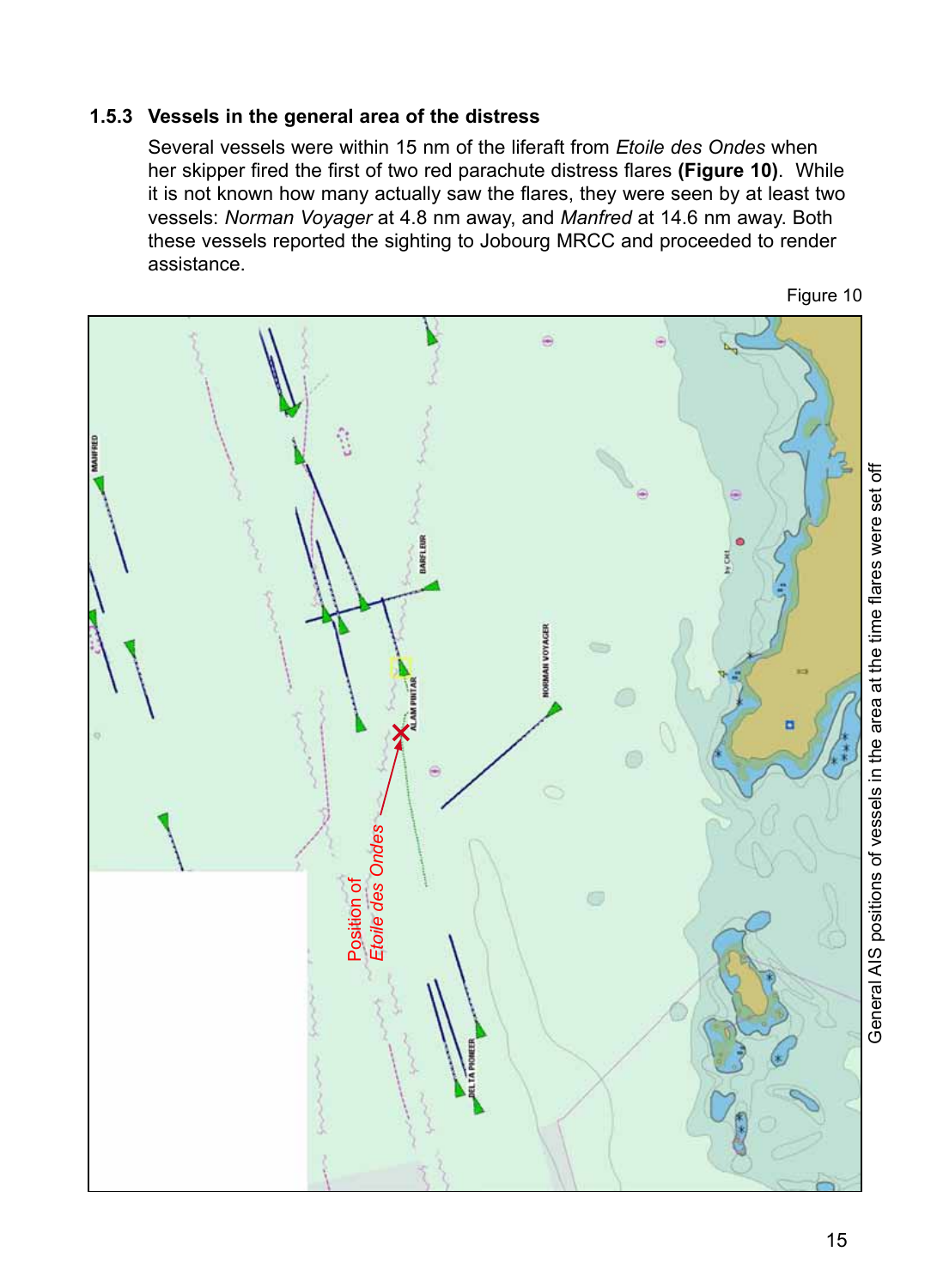#### **1.5.3 Vessels in the general area of the distress**

Several vessels were within 15 nm of the liferaft from *Etoile des Ondes* when her skipper fired the first of two red parachute distress flares **(Figure 10)**. While it is not known how many actually saw the flares, they were seen by at least two vessels: *Norman Voyager* at 4.8 nm away, and *Manfred* at 14.6 nm away. Both these vessels reported the sighting to Jobourg MRCC and proceeded to render assistance.



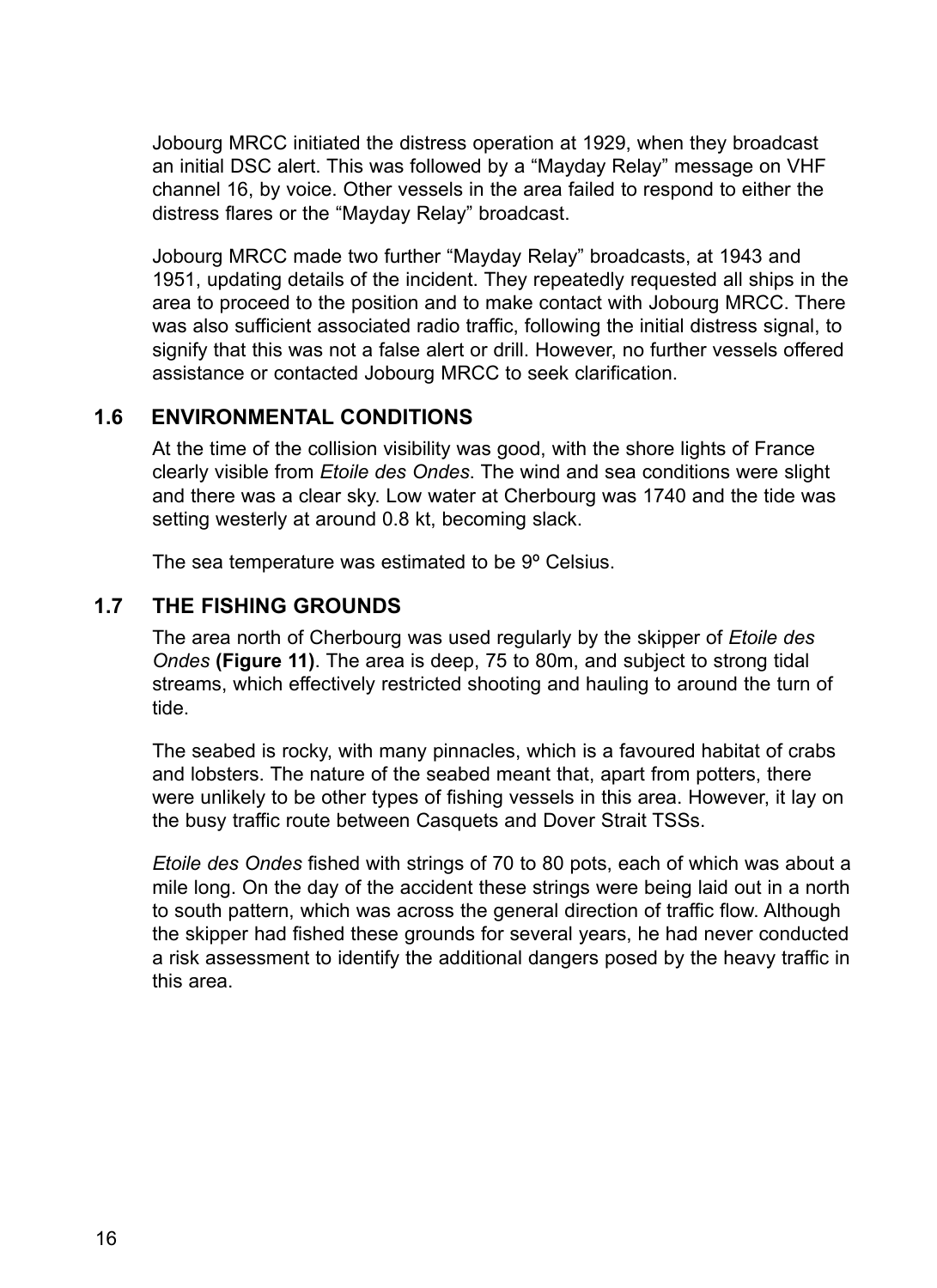Jobourg MRCC initiated the distress operation at 1929, when they broadcast an initial DSC alert. This was followed by a "Mayday Relay" message on VHF channel 16, by voice. Other vessels in the area failed to respond to either the distress flares or the "Mayday Relay" broadcast.

Jobourg MRCC made two further "Mayday Relay" broadcasts, at 1943 and 1951, updating details of the incident. They repeatedly requested all ships in the area to proceed to the position and to make contact with Jobourg MRCC. There was also sufficient associated radio traffic, following the initial distress signal, to signify that this was not a false alert or drill. However, no further vessels offered assistance or contacted Jobourg MRCC to seek clarification.

# **1.6 Environmental conditions**

At the time of the collision visibility was good, with the shore lights of France clearly visible from *Etoile des Ondes*. The wind and sea conditions were slight and there was a clear sky. Low water at Cherbourg was 1740 and the tide was setting westerly at around 0.8 kt, becoming slack.

The sea temperature was estimated to be 9º Celsius.

# **1.7 The fishing grounds**

The area north of Cherbourg was used regularly by the skipper of *Etoile des Ondes* **(Figure 11)**. The area is deep, 75 to 80m, and subject to strong tidal streams, which effectively restricted shooting and hauling to around the turn of tide.

The seabed is rocky, with many pinnacles, which is a favoured habitat of crabs and lobsters. The nature of the seabed meant that, apart from potters, there were unlikely to be other types of fishing vessels in this area. However, it lay on the busy traffic route between Casquets and Dover Strait TSSs.

*Etoile des Ondes* fished with strings of 70 to 80 pots, each of which was about a mile long. On the day of the accident these strings were being laid out in a north to south pattern, which was across the general direction of traffic flow. Although the skipper had fished these grounds for several years, he had never conducted a risk assessment to identify the additional dangers posed by the heavy traffic in this area.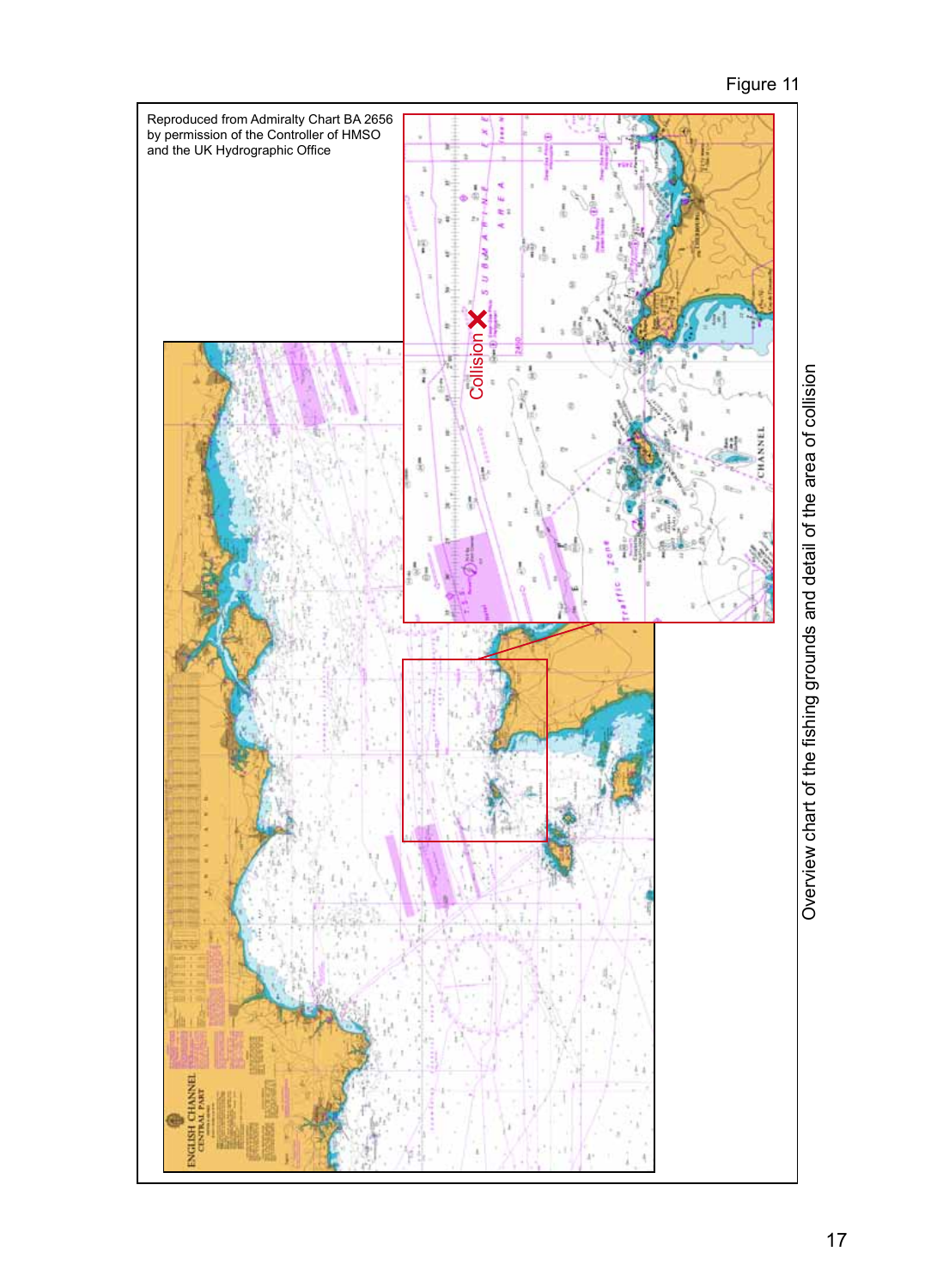

Overview chart of the fishing grounds and detail of the area of collision Overview chart of the fishing grounds and detail of the area of collision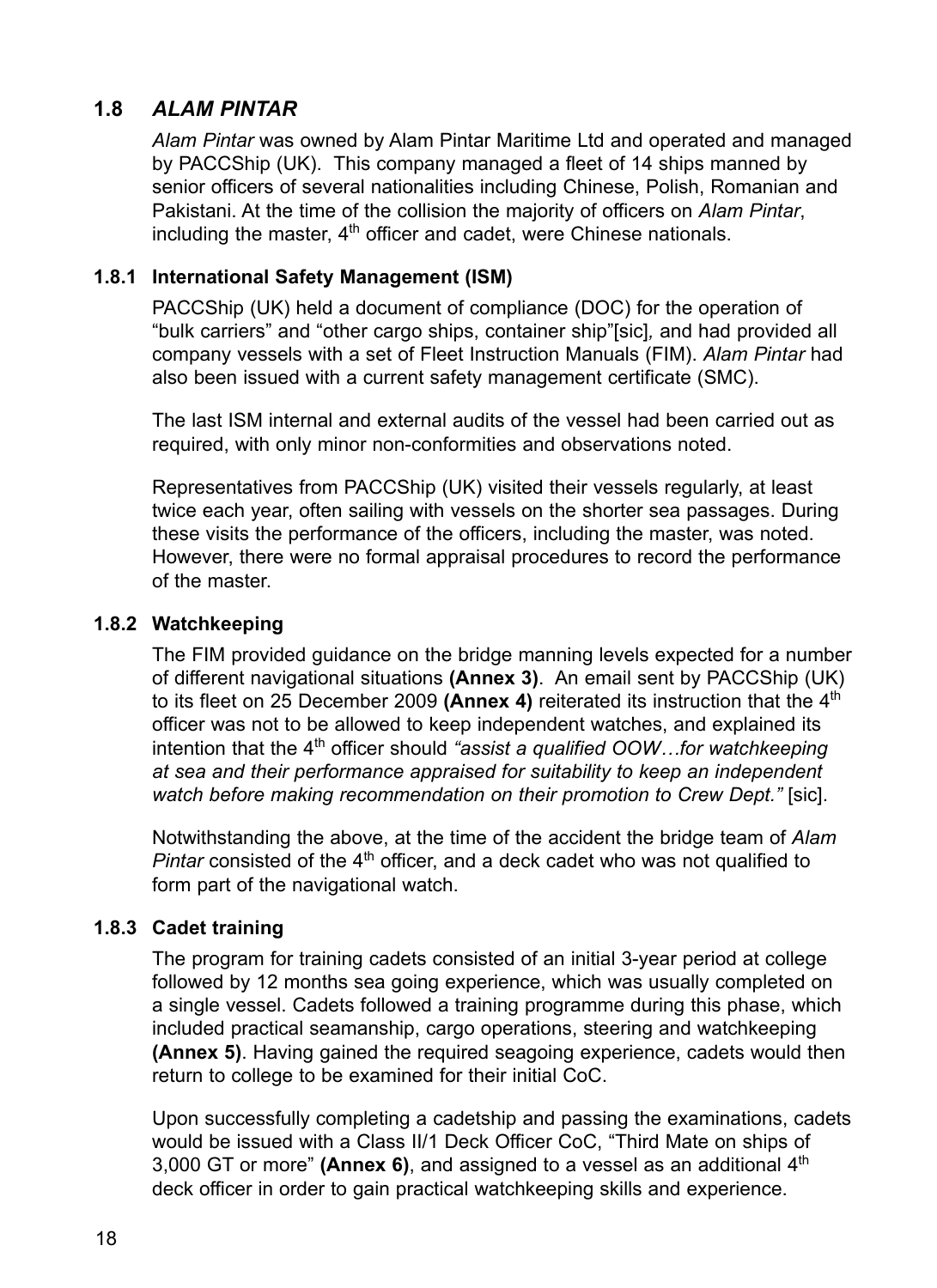# **1.8** *Alam Pintar*

*Alam Pintar* was owned by Alam Pintar Maritime Ltd and operated and managed by PACCShip (UK). This company managed a fleet of 14 ships manned by senior officers of several nationalities including Chinese, Polish, Romanian and Pakistani. At the time of the collision the majority of officers on *Alam Pintar*, including the master,  $4<sup>th</sup>$  officer and cadet, were Chinese nationals.

### **1.8.1 International Safety Management (ISM)**

PACCShip (UK) held a document of compliance (DOC) for the operation of "bulk carriers" and "other cargo ships, container ship"[sic]*,* and had provided all company vessels with a set of Fleet Instruction Manuals (FIM). *Alam Pintar* had also been issued with a current safety management certificate (SMC).

The last ISM internal and external audits of the vessel had been carried out as required, with only minor non-conformities and observations noted.

Representatives from PACCShip (UK) visited their vessels regularly, at least twice each year, often sailing with vessels on the shorter sea passages. During these visits the performance of the officers, including the master, was noted. However, there were no formal appraisal procedures to record the performance of the master.

#### **1.8.2 Watchkeeping**

The FIM provided guidance on the bridge manning levels expected for a number of different navigational situations **(Annex 3)**. An email sent by PACCShip (UK) to its fleet on 25 December 2009 **(Annex 4)** reiterated its instruction that the 4th officer was not to be allowed to keep independent watches, and explained its intention that the 4<sup>th</sup> officer should "assist a qualified OOW...for watchkeeping *at sea and their performance appraised for suitability to keep an independent watch before making recommendation on their promotion to Crew Dept."* [sic].

Notwithstanding the above, at the time of the accident the bridge team of *Alam Pintar* consisted of the 4<sup>th</sup> officer, and a deck cadet who was not qualified to form part of the navigational watch.

#### **1.8.3 Cadet training**

The program for training cadets consisted of an initial 3-year period at college followed by 12 months sea going experience, which was usually completed on a single vessel. Cadets followed a training programme during this phase, which included practical seamanship, cargo operations, steering and watchkeeping **(Annex 5)**. Having gained the required seagoing experience, cadets would then return to college to be examined for their initial CoC.

Upon successfully completing a cadetship and passing the examinations, cadets would be issued with a Class II/1 Deck Officer CoC, "Third Mate on ships of 3,000 GT or more" **(Annex 6)**, and assigned to a vessel as an additional 4th deck officer in order to gain practical watchkeeping skills and experience.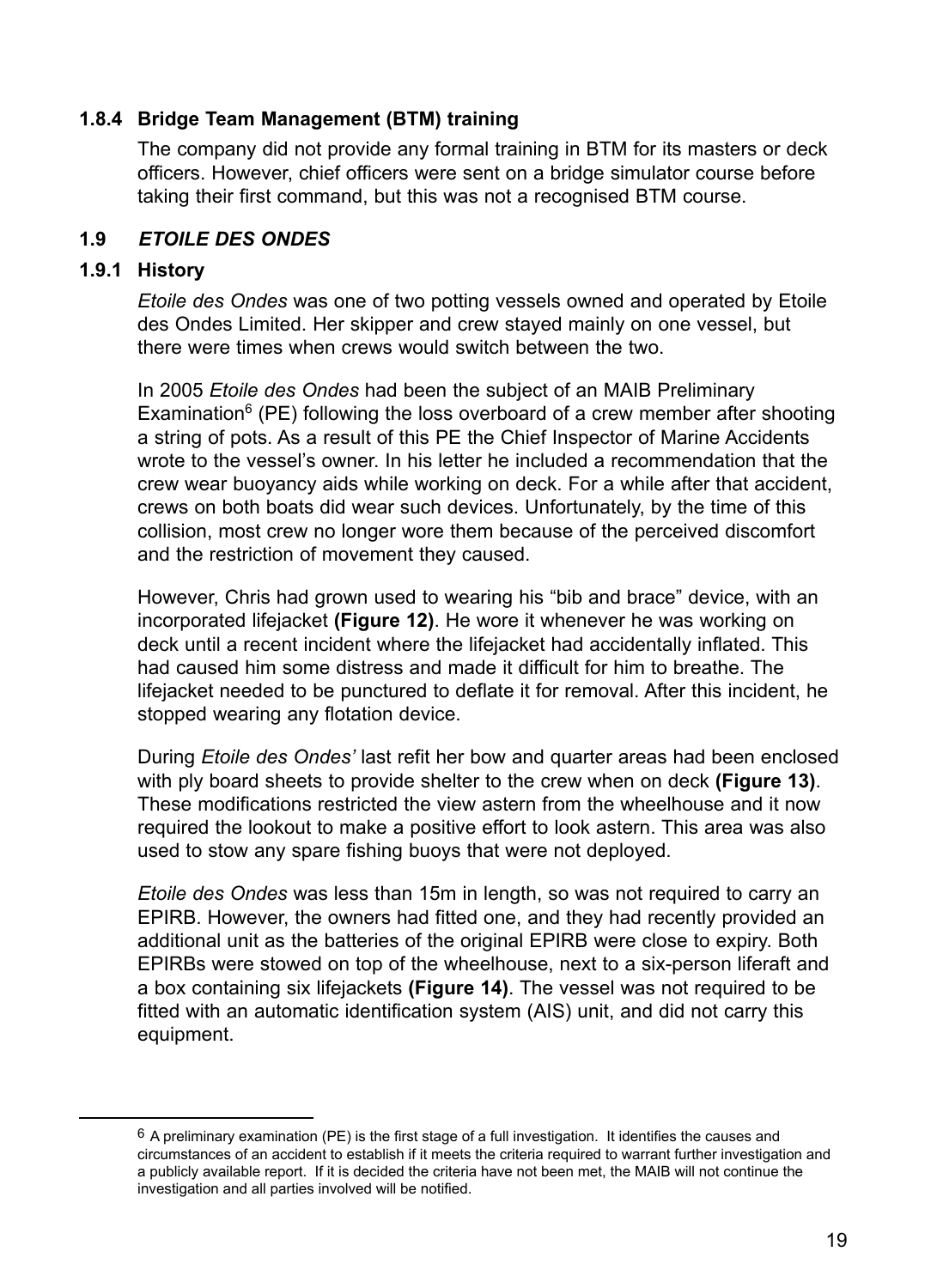#### **1.8.4 Bridge Team Management (BTM) training**

The company did not provide any formal training in BTM for its masters or deck officers. However, chief officers were sent on a bridge simulator course before taking their first command, but this was not a recognised BTM course.

#### **1.9** *Etoile des Ondes*

#### **1.9.1 History**

*Etoile des Ondes* was one of two potting vessels owned and operated by Etoile des Ondes Limited. Her skipper and crew stayed mainly on one vessel, but there were times when crews would switch between the two.

In 2005 *Etoile des Ondes* had been the subject of an MAIB Preliminary Examination $6$  (PE) following the loss overboard of a crew member after shooting a string of pots. As a result of this PE the Chief Inspector of Marine Accidents wrote to the vessel's owner. In his letter he included a recommendation that the crew wear buoyancy aids while working on deck. For a while after that accident, crews on both boats did wear such devices. Unfortunately, by the time of this collision, most crew no longer wore them because of the perceived discomfort and the restriction of movement they caused.

However, Chris had grown used to wearing his "bib and brace" device, with an incorporated lifejacket **(Figure 12)**. He wore it whenever he was working on deck until a recent incident where the lifejacket had accidentally inflated. This had caused him some distress and made it difficult for him to breathe. The lifejacket needed to be punctured to deflate it for removal. After this incident, he stopped wearing any flotation device.

During *Etoile des Ondes'* last refit her bow and quarter areas had been enclosed with ply board sheets to provide shelter to the crew when on deck **(Figure 13)**. These modifications restricted the view astern from the wheelhouse and it now required the lookout to make a positive effort to look astern. This area was also used to stow any spare fishing buoys that were not deployed.

*Etoile des Ondes* was less than 15m in length, so was not required to carry an EPIRB. However, the owners had fitted one, and they had recently provided an additional unit as the batteries of the original EPIRB were close to expiry. Both EPIRBs were stowed on top of the wheelhouse, next to a six-person liferaft and a box containing six lifejackets **(Figure 14)**. The vessel was not required to be fitted with an automatic identification system (AIS) unit, and did not carry this equipment.

 $6$  A preliminary examination (PE) is the first stage of a full investigation. It identifies the causes and circumstances of an accident to establish if it meets the criteria required to warrant further investigation and a publicly available report. If it is decided the criteria have not been met, the MAIB will not continue the investigation and all parties involved will be notified.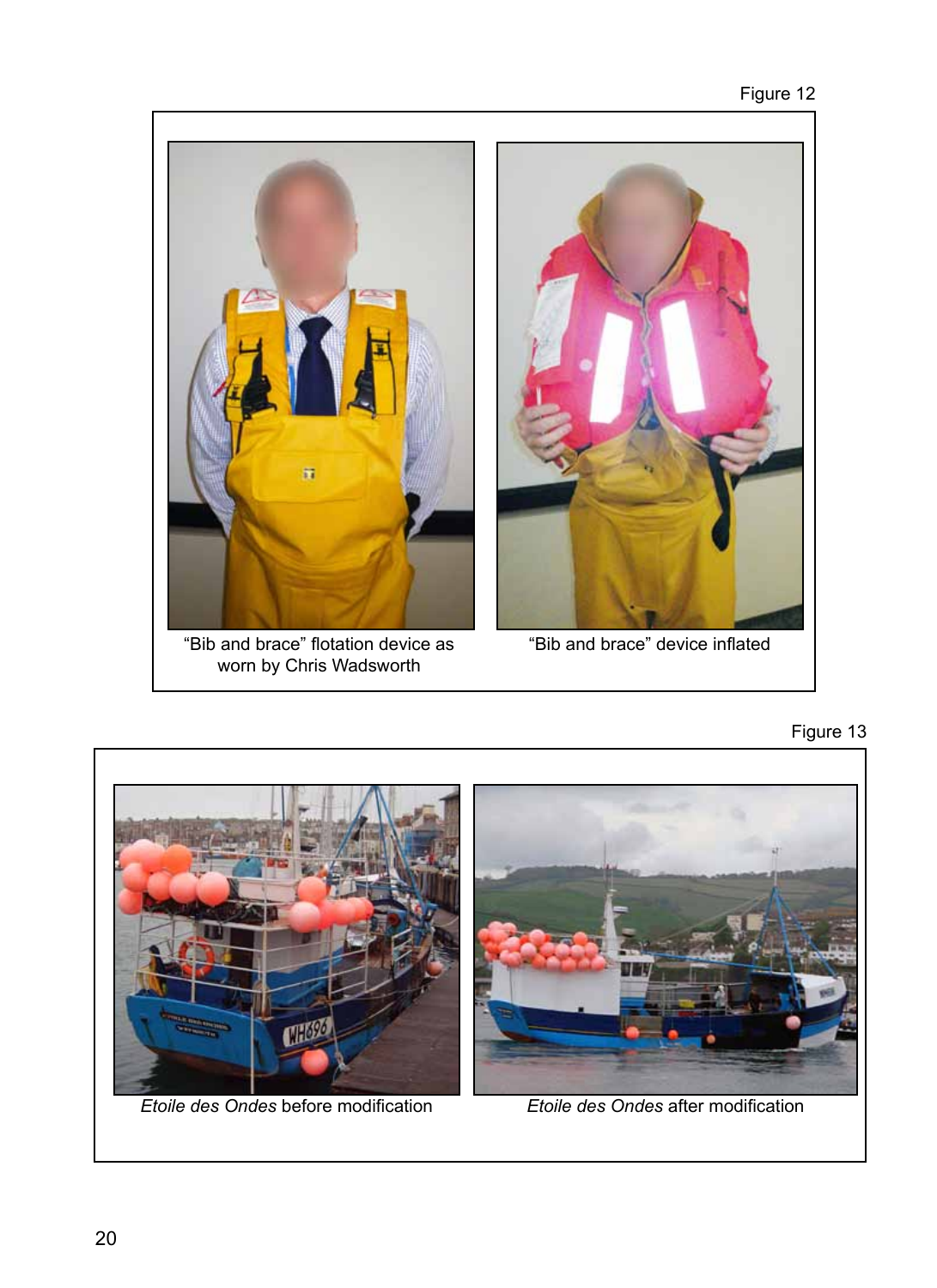

worn by Chris Wadsworth





*Etoile des Ondes* before modification *Etoile des Ondes* after modification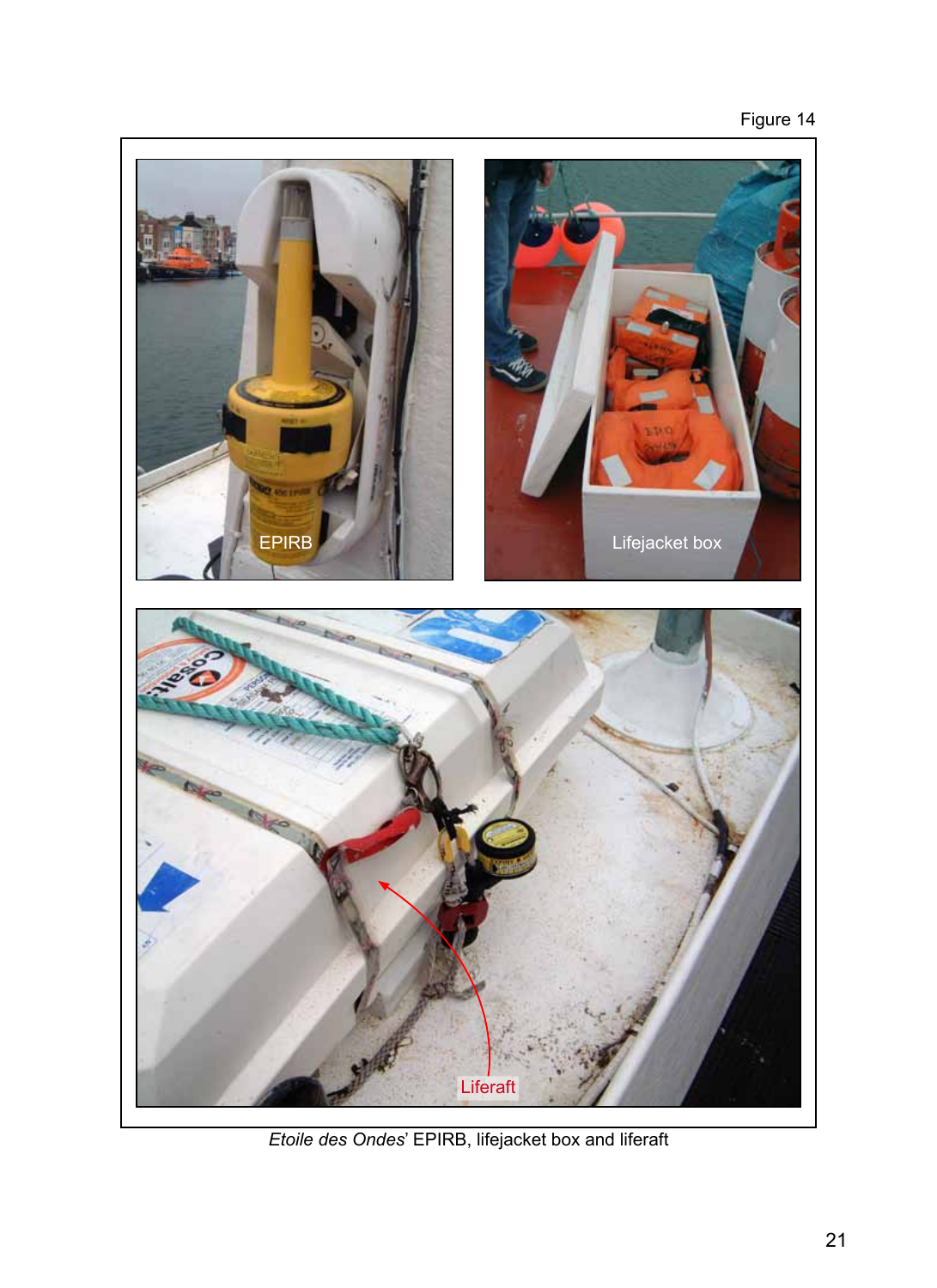# Figure 14



*Etoile des Ondes*' EPIRB, lifejacket box and liferaft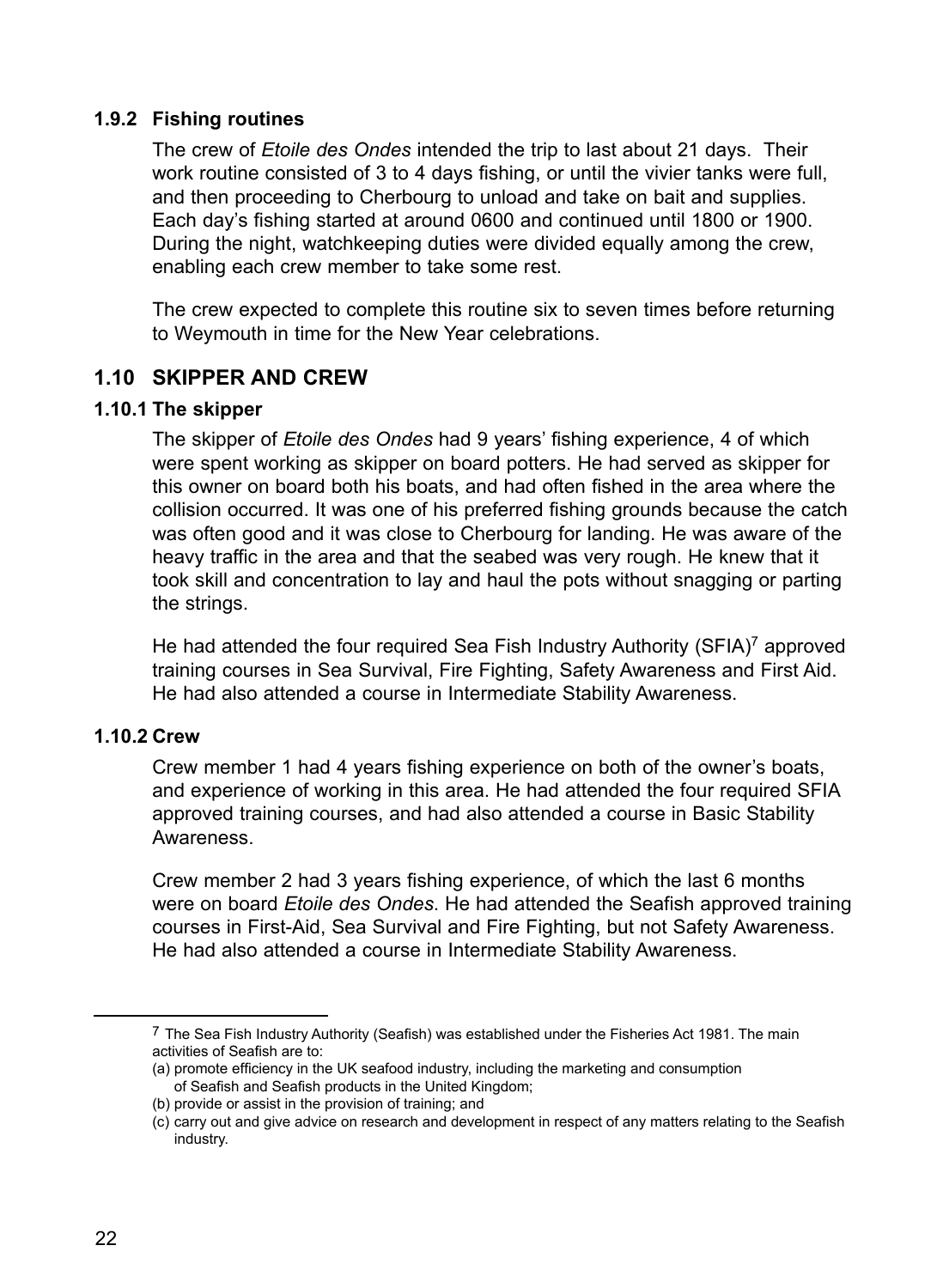#### **1.9.2 Fishing routines**

The crew of *Etoile des Ondes* intended the trip to last about 21 days. Their work routine consisted of 3 to 4 days fishing, or until the vivier tanks were full, and then proceeding to Cherbourg to unload and take on bait and supplies. Each day's fishing started at around 0600 and continued until 1800 or 1900. During the night, watchkeeping duties were divided equally among the crew, enabling each crew member to take some rest.

The crew expected to complete this routine six to seven times before returning to Weymouth in time for the New Year celebrations.

## **1.10 Skipper and crew**

#### **1.10.1 The skipper**

The skipper of *Etoile des Ondes* had 9 years' fishing experience, 4 of which were spent working as skipper on board potters. He had served as skipper for this owner on board both his boats, and had often fished in the area where the collision occurred. It was one of his preferred fishing grounds because the catch was often good and it was close to Cherbourg for landing. He was aware of the heavy traffic in the area and that the seabed was very rough. He knew that it took skill and concentration to lay and haul the pots without snagging or parting the strings.

He had attended the four required Sea Fish Industry Authority (SFIA)<sup>7</sup> approved training courses in Sea Survival, Fire Fighting, Safety Awareness and First Aid. He had also attended a course in Intermediate Stability Awareness.

#### **1.10.2 Crew**

Crew member 1 had 4 years fishing experience on both of the owner's boats, and experience of working in this area. He had attended the four required SFIA approved training courses, and had also attended a course in Basic Stability Awareness.

Crew member 2 had 3 years fishing experience, of which the last 6 months were on board *Etoile des Ondes*. He had attended the Seafish approved training courses in First-Aid, Sea Survival and Fire Fighting, but not Safety Awareness. He had also attended a course in Intermediate Stability Awareness.

<sup>7</sup> The Sea Fish Industry Authority (Seafish) was established under the Fisheries Act 1981. The main activities of Seafish are to:

<sup>(</sup>a) promote efficiency in the UK seafood industry, including the marketing and consumption of Seafish and Seafish products in the United Kingdom;

<sup>(</sup>b) provide or assist in the provision of training; and

<sup>(</sup>c) carry out and give advice on research and development in respect of any matters relating to the Seafish industry.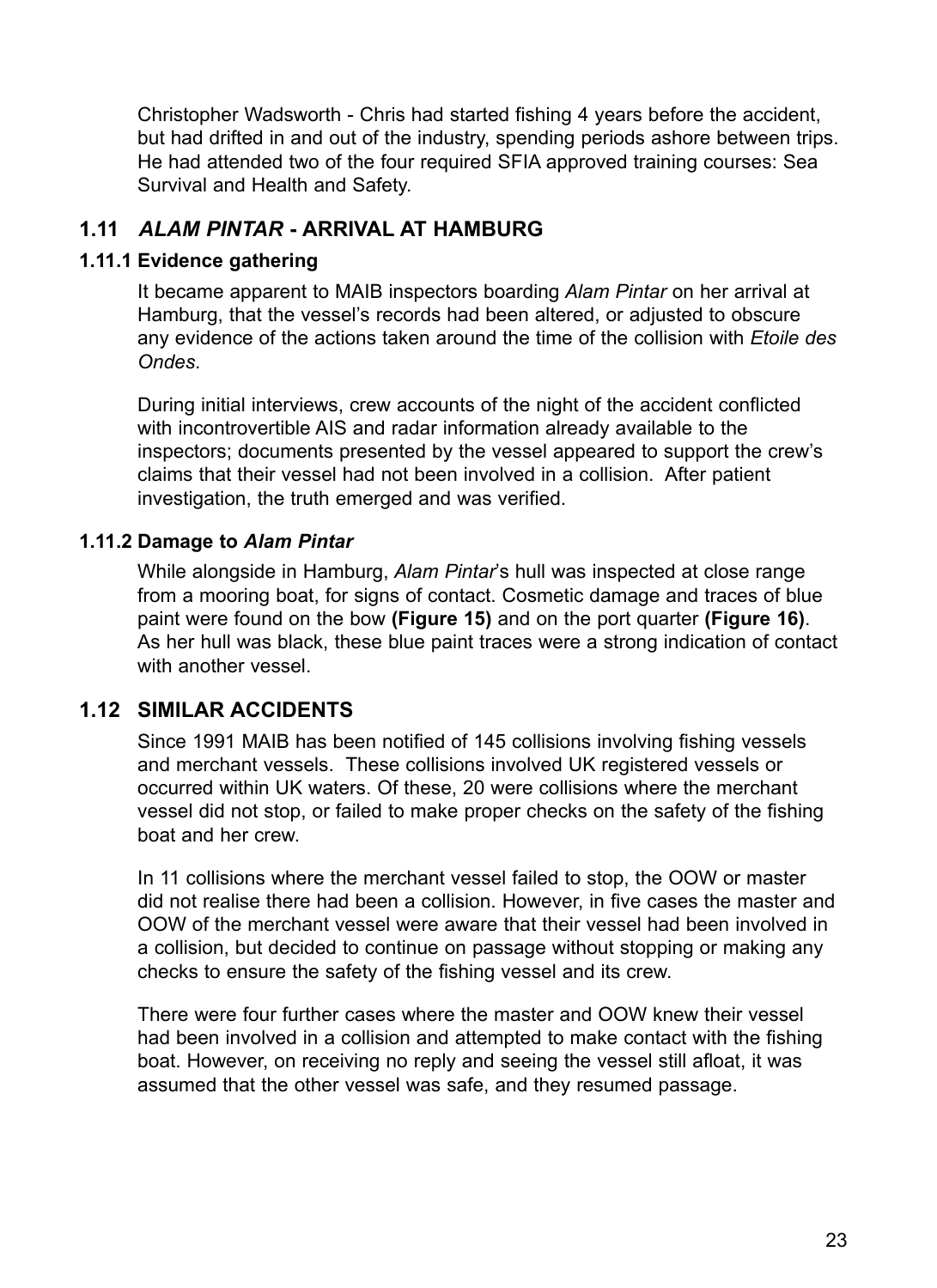Christopher Wadsworth - Chris had started fishing 4 years before the accident, but had drifted in and out of the industry, spending periods ashore between trips. He had attended two of the four required SFIA approved training courses: Sea Survival and Health and Safety.

# **1.11** *Alam Pintar* **- arrival at Hamburg**

#### **1.11.1 Evidence gathering**

It became apparent to MAIB inspectors boarding *Alam Pintar* on her arrival at Hamburg, that the vessel's records had been altered, or adjusted to obscure any evidence of the actions taken around the time of the collision with *Etoile des Ondes*.

During initial interviews, crew accounts of the night of the accident conflicted with incontrovertible AIS and radar information already available to the inspectors; documents presented by the vessel appeared to support the crew's claims that their vessel had not been involved in a collision. After patient investigation, the truth emerged and was verified.

## **1.11.2 Damage to** *Alam Pintar*

While alongside in Hamburg, *Alam Pintar*'s hull was inspected at close range from a mooring boat, for signs of contact. Cosmetic damage and traces of blue paint were found on the bow **(Figure 15)** and on the port quarter **(Figure 16)**. As her hull was black, these blue paint traces were a strong indication of contact with another vessel.

# **1.12 Similar accidents**

Since 1991 MAIB has been notified of 145 collisions involving fishing vessels and merchant vessels. These collisions involved UK registered vessels or occurred within UK waters. Of these, 20 were collisions where the merchant vessel did not stop, or failed to make proper checks on the safety of the fishing boat and her crew.

In 11 collisions where the merchant vessel failed to stop, the OOW or master did not realise there had been a collision. However, in five cases the master and OOW of the merchant vessel were aware that their vessel had been involved in a collision, but decided to continue on passage without stopping or making any checks to ensure the safety of the fishing vessel and its crew.

There were four further cases where the master and OOW knew their vessel had been involved in a collision and attempted to make contact with the fishing boat. However, on receiving no reply and seeing the vessel still afloat, it was assumed that the other vessel was safe, and they resumed passage.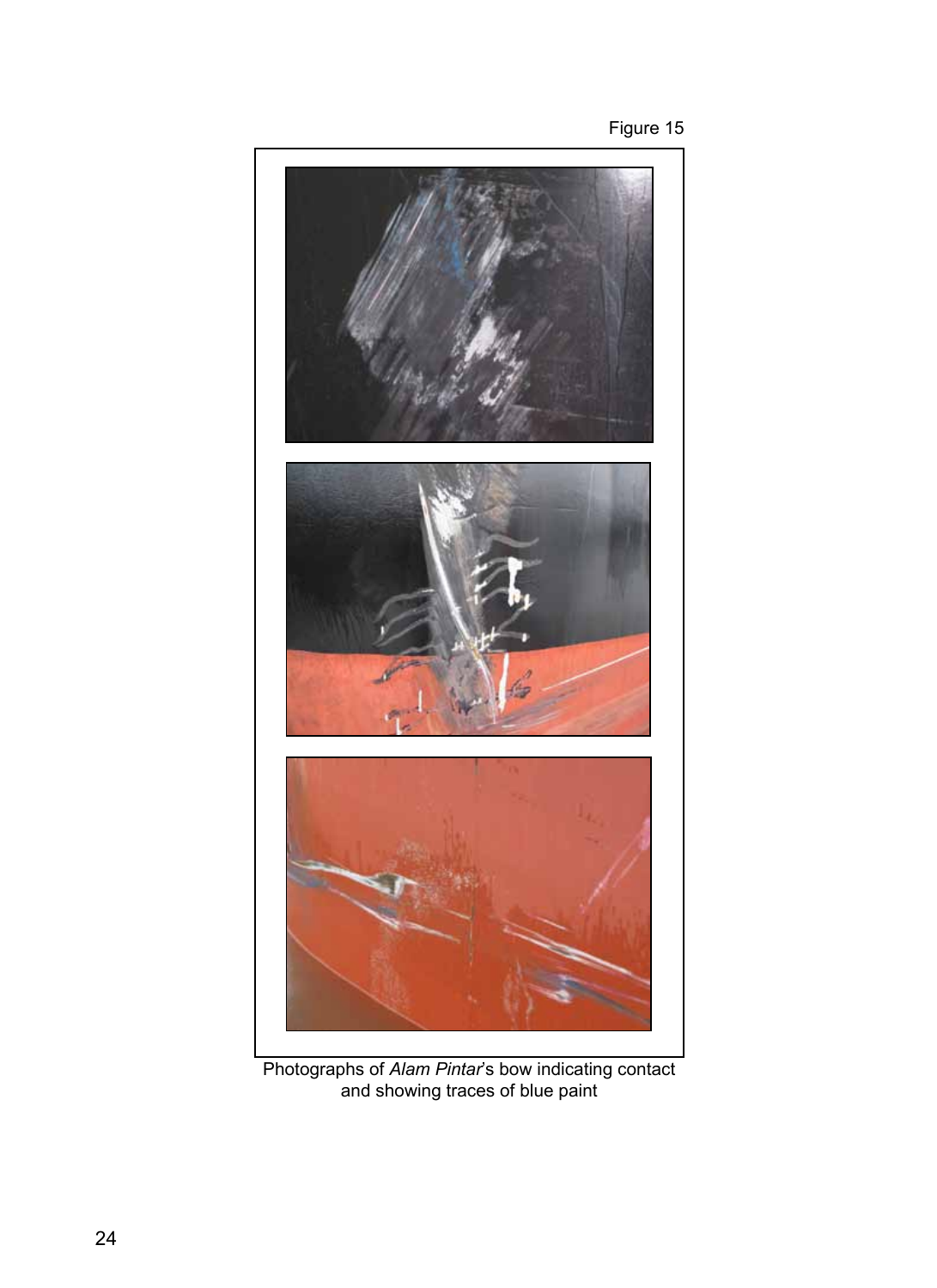



Photographs of *Alam Pintar*'s bow indicating contact and showing traces of blue paint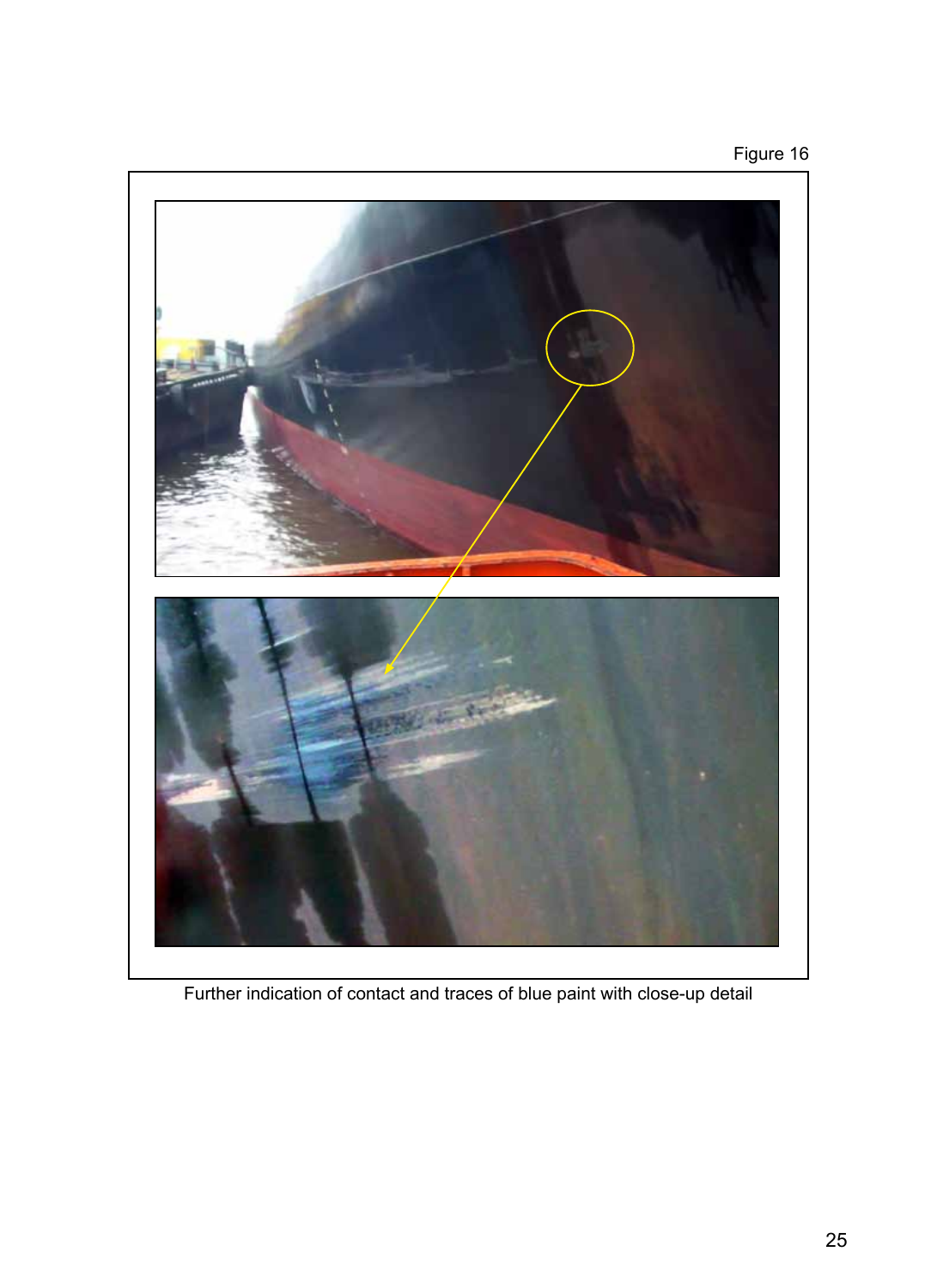# Figure 16



Further indication of contact and traces of blue paint with close-up detail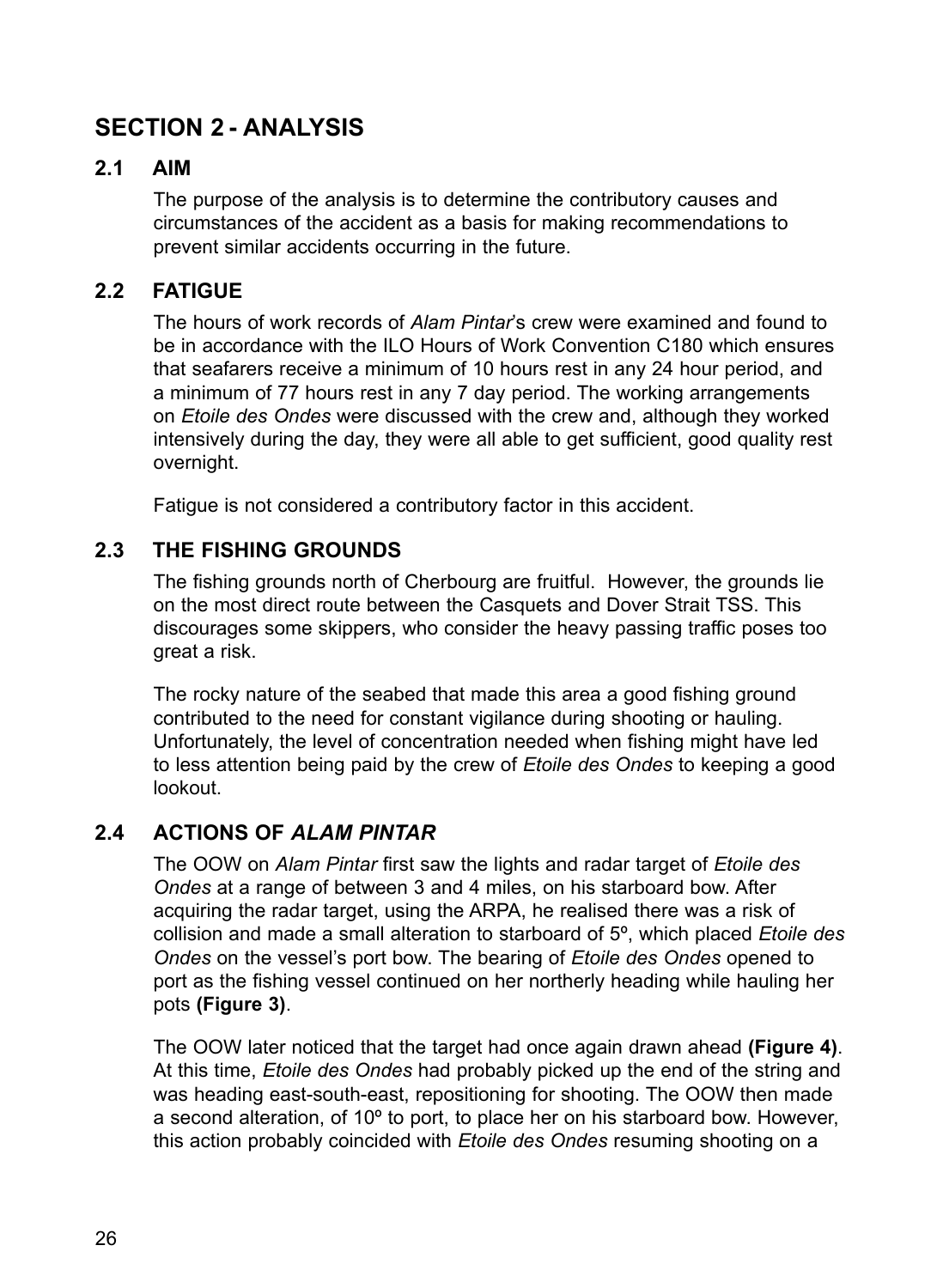# **Section 2 - ANALYSIS**

# **2.1 Aim**

The purpose of the analysis is to determine the contributory causes and circumstances of the accident as a basis for making recommendations to prevent similar accidents occurring in the future.

# **2.2 Fatigue**

The hours of work records of *Alam Pintar*'s crew were examined and found to be in accordance with the ILO Hours of Work Convention C180 which ensures that seafarers receive a minimum of 10 hours rest in any 24 hour period, and a minimum of 77 hours rest in any 7 day period. The working arrangements on *Etoile des Ondes* were discussed with the crew and, although they worked intensively during the day, they were all able to get sufficient, good quality rest overnight.

Fatigue is not considered a contributory factor in this accident.

# **2.3 The fishing grounds**

The fishing grounds north of Cherbourg are fruitful. However, the grounds lie on the most direct route between the Casquets and Dover Strait TSS. This discourages some skippers, who consider the heavy passing traffic poses too great a risk.

The rocky nature of the seabed that made this area a good fishing ground contributed to the need for constant vigilance during shooting or hauling. Unfortunately, the level of concentration needed when fishing might have led to less attention being paid by the crew of *Etoile des Ondes* to keeping a good lookout.

## **2.4 Actions of** *Alam Pintar*

The OOW on *Alam Pintar* first saw the lights and radar target of *Etoile des Ondes* at a range of between 3 and 4 miles, on his starboard bow. After acquiring the radar target, using the ARPA, he realised there was a risk of collision and made a small alteration to starboard of 5º, which placed *Etoile des Ondes* on the vessel's port bow. The bearing of *Etoile des Ondes* opened to port as the fishing vessel continued on her northerly heading while hauling her pots **(Figure 3)**.

The OOW later noticed that the target had once again drawn ahead **(Figure 4)**. At this time, *Etoile des Ondes* had probably picked up the end of the string and was heading east-south-east, repositioning for shooting. The OOW then made a second alteration, of 10º to port, to place her on his starboard bow. However, this action probably coincided with *Etoile des Ondes* resuming shooting on a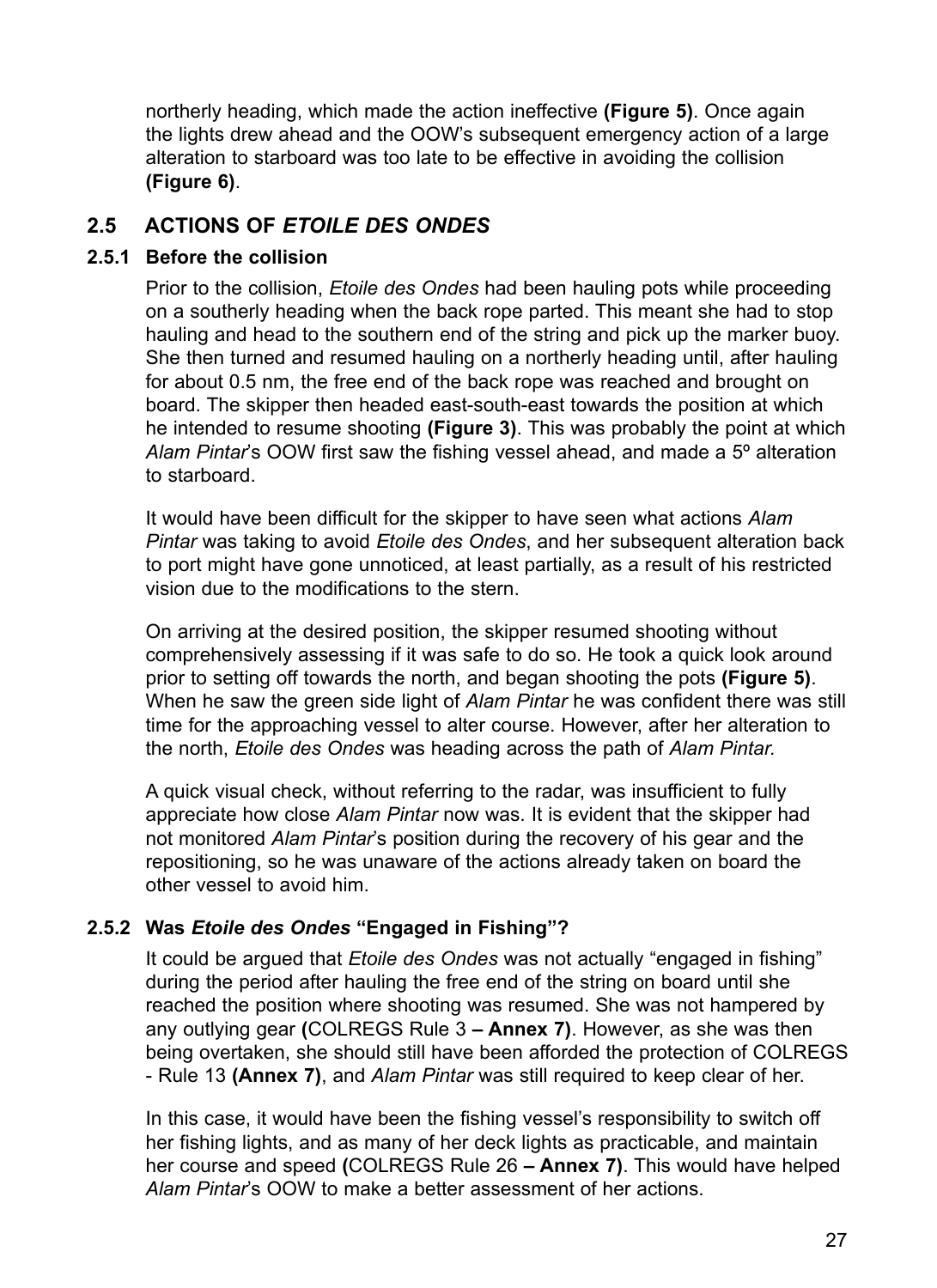northerly heading, which made the action ineffective **(Figure 5)**. Once again the lights drew ahead and the OOW's subsequent emergency action of a large alteration to starboard was too late to be effective in avoiding the collision **(Figure 6)**.

# **2.5 Actions of** *Etoile des Ondes*

#### **2.5.1 Before the collision**

Prior to the collision, *Etoile des Ondes* had been hauling pots while proceeding on a southerly heading when the back rope parted. This meant she had to stop hauling and head to the southern end of the string and pick up the marker buoy. She then turned and resumed hauling on a northerly heading until, after hauling for about 0.5 nm, the free end of the back rope was reached and brought on board. The skipper then headed east-south-east towards the position at which he intended to resume shooting **(Figure 3)**. This was probably the point at which *Alam Pintar*'s OOW first saw the fishing vessel ahead, and made a 5º alteration to starboard.

It would have been difficult for the skipper to have seen what actions *Alam Pintar* was taking to avoid *Etoile des Ondes*, and her subsequent alteration back to port might have gone unnoticed, at least partially, as a result of his restricted vision due to the modifications to the stern.

On arriving at the desired position, the skipper resumed shooting without comprehensively assessing if it was safe to do so. He took a quick look around prior to setting off towards the north, and began shooting the pots **(Figure 5)**. When he saw the green side light of *Alam Pintar* he was confident there was still time for the approaching vessel to alter course. However, after her alteration to the north, *Etoile des Ondes* was heading across the path of *Alam Pintar.*

A quick visual check, without referring to the radar, was insufficient to fully appreciate how close *Alam Pintar* now was. It is evident that the skipper had not monitored *Alam Pintar*'s position during the recovery of his gear and the repositioning, so he was unaware of the actions already taken on board the other vessel to avoid him.

#### **2.5.2 Was** *Etoile des Ondes* **"Engaged in Fishing"?**

It could be argued that *Etoile des Ondes* was not actually "engaged in fishing" during the period after hauling the free end of the string on board until she reached the position where shooting was resumed. She was not hampered by any outlying gear **(**COLREGS Rule 3 **– Annex 7)**. However, as she was then being overtaken, she should still have been afforded the protection of COLREGS - Rule 13 **(Annex 7)**, and *Alam Pintar* was still required to keep clear of her.

In this case, it would have been the fishing vessel's responsibility to switch off her fishing lights, and as many of her deck lights as practicable, and maintain her course and speed **(**COLREGS Rule 26 **– Annex 7)**. This would have helped *Alam Pintar*'s OOW to make a better assessment of her actions.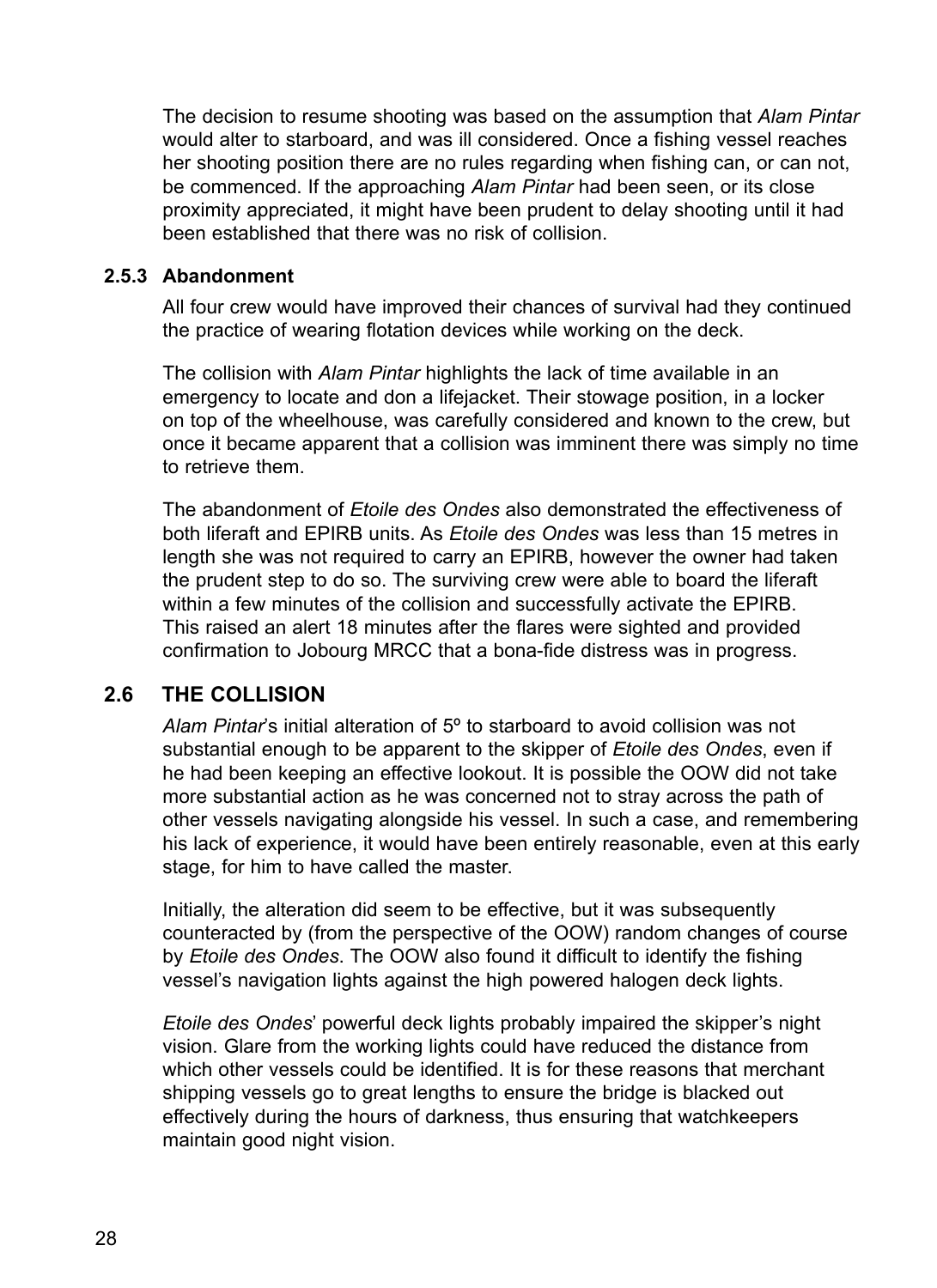The decision to resume shooting was based on the assumption that *Alam Pintar*  would alter to starboard, and was ill considered. Once a fishing vessel reaches her shooting position there are no rules regarding when fishing can, or can not, be commenced. If the approaching *Alam Pintar* had been seen, or its close proximity appreciated, it might have been prudent to delay shooting until it had been established that there was no risk of collision.

#### **2.5.3 Abandonment**

All four crew would have improved their chances of survival had they continued the practice of wearing flotation devices while working on the deck.

The collision with *Alam Pintar* highlights the lack of time available in an emergency to locate and don a lifejacket. Their stowage position, in a locker on top of the wheelhouse, was carefully considered and known to the crew, but once it became apparent that a collision was imminent there was simply no time to retrieve them.

The abandonment of *Etoile des Ondes* also demonstrated the effectiveness of both liferaft and EPIRB units. As *Etoile des Ondes* was less than 15 metres in length she was not required to carry an EPIRB, however the owner had taken the prudent step to do so. The surviving crew were able to board the liferaft within a few minutes of the collision and successfully activate the EPIRB. This raised an alert 18 minutes after the flares were sighted and provided confirmation to Jobourg MRCC that a bona-fide distress was in progress.

## **2.6 The collision**

*Alam Pintar*'s initial alteration of 5º to starboard to avoid collision was not substantial enough to be apparent to the skipper of *Etoile des Ondes*, even if he had been keeping an effective lookout. It is possible the OOW did not take more substantial action as he was concerned not to stray across the path of other vessels navigating alongside his vessel. In such a case, and remembering his lack of experience, it would have been entirely reasonable, even at this early stage, for him to have called the master.

Initially, the alteration did seem to be effective, but it was subsequently counteracted by (from the perspective of the OOW) random changes of course by *Etoile des Ondes*. The OOW also found it difficult to identify the fishing vessel's navigation lights against the high powered halogen deck lights.

*Etoile des Ondes*' powerful deck lights probably impaired the skipper's night vision. Glare from the working lights could have reduced the distance from which other vessels could be identified. It is for these reasons that merchant shipping vessels go to great lengths to ensure the bridge is blacked out effectively during the hours of darkness, thus ensuring that watchkeepers maintain good night vision.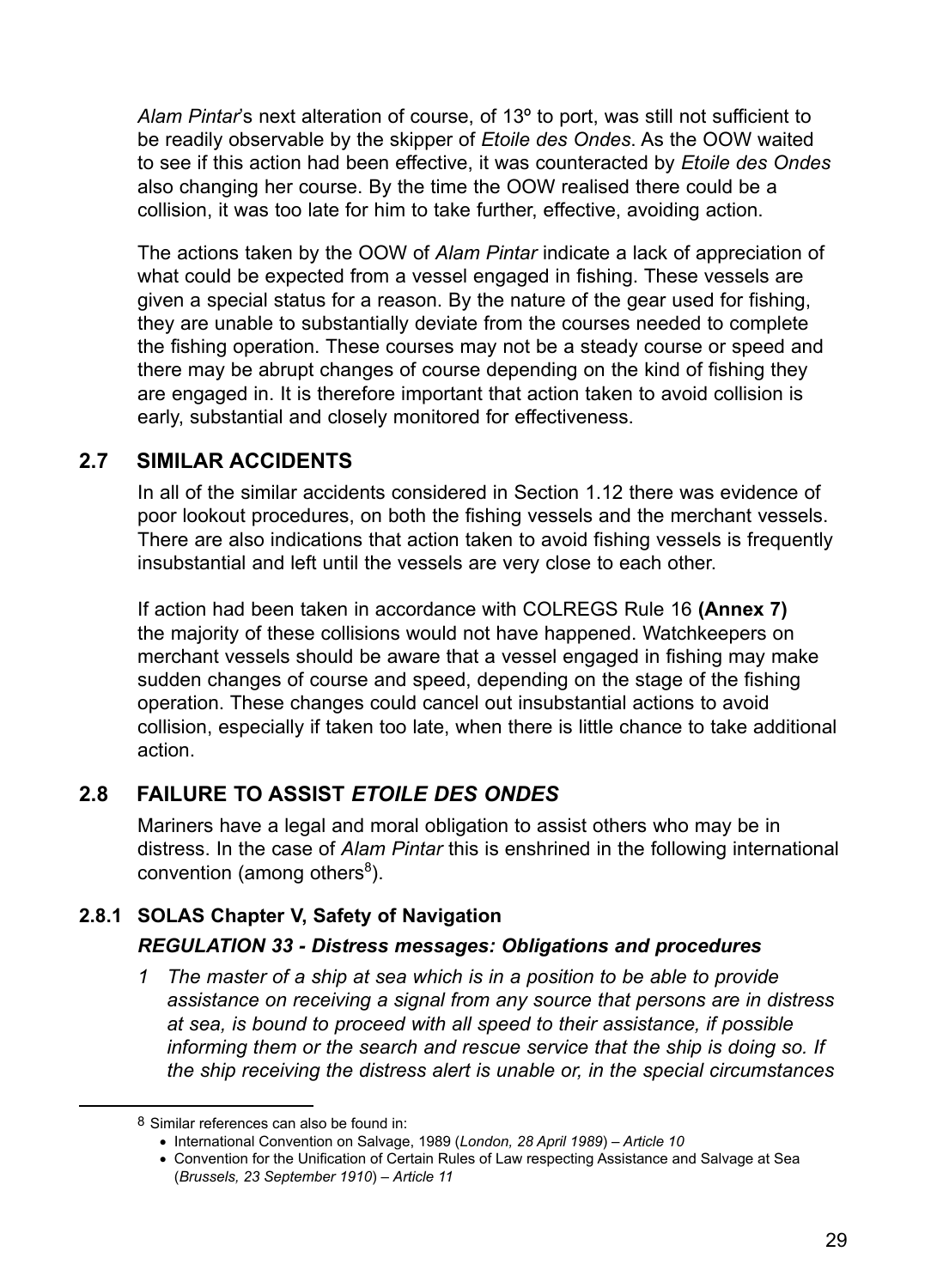*Alam Pintar*'s next alteration of course, of 13º to port, was still not sufficient to be readily observable by the skipper of *Etoile des Ondes*. As the OOW waited to see if this action had been effective, it was counteracted by *Etoile des Ondes* also changing her course. By the time the OOW realised there could be a collision, it was too late for him to take further, effective, avoiding action.

The actions taken by the OOW of *Alam Pintar* indicate a lack of appreciation of what could be expected from a vessel engaged in fishing. These vessels are given a special status for a reason. By the nature of the gear used for fishing, they are unable to substantially deviate from the courses needed to complete the fishing operation. These courses may not be a steady course or speed and there may be abrupt changes of course depending on the kind of fishing they are engaged in. It is therefore important that action taken to avoid collision is early, substantial and closely monitored for effectiveness.

# **2.7 Similar accidents**

In all of the similar accidents considered in Section 1.12 there was evidence of poor lookout procedures, on both the fishing vessels and the merchant vessels. There are also indications that action taken to avoid fishing vessels is frequently insubstantial and left until the vessels are very close to each other.

If action had been taken in accordance with COLREGS Rule 16 **(Annex 7)** the majority of these collisions would not have happened. Watchkeepers on merchant vessels should be aware that a vessel engaged in fishing may make sudden changes of course and speed, depending on the stage of the fishing operation. These changes could cancel out insubstantial actions to avoid collision, especially if taken too late, when there is little chance to take additional action.

# **2.8 Failure to assist** *Etoile des Ondes*

Mariners have a legal and moral obligation to assist others who may be in distress. In the case of *Alam Pintar* this is enshrined in the following international convention (among others<sup>8</sup>).

# **2.8.1 SOLAS Chapter V, Safety of Navigation**

## *REGULATION 33 - Distress messages: Obligations and procedures*

*1 The master of a ship at sea which is in a position to be able to provide assistance on receiving a signal from any source that persons are in distress at sea, is bound to proceed with all speed to their assistance, if possible informing them or the search and rescue service that the ship is doing so. If the ship receiving the distress alert is unable or, in the special circumstances* 

<sup>8</sup> Similar references can also be found in:

<sup>•</sup>  International Convention on Salvage, 1989 (*London, 28 April 1989*) *– Article 10*

<sup>•</sup>  Convention for the Unification of Certain Rules of Law respecting Assistance and Salvage at Sea (*Brussels, 23 September 1910*) – *Article 11*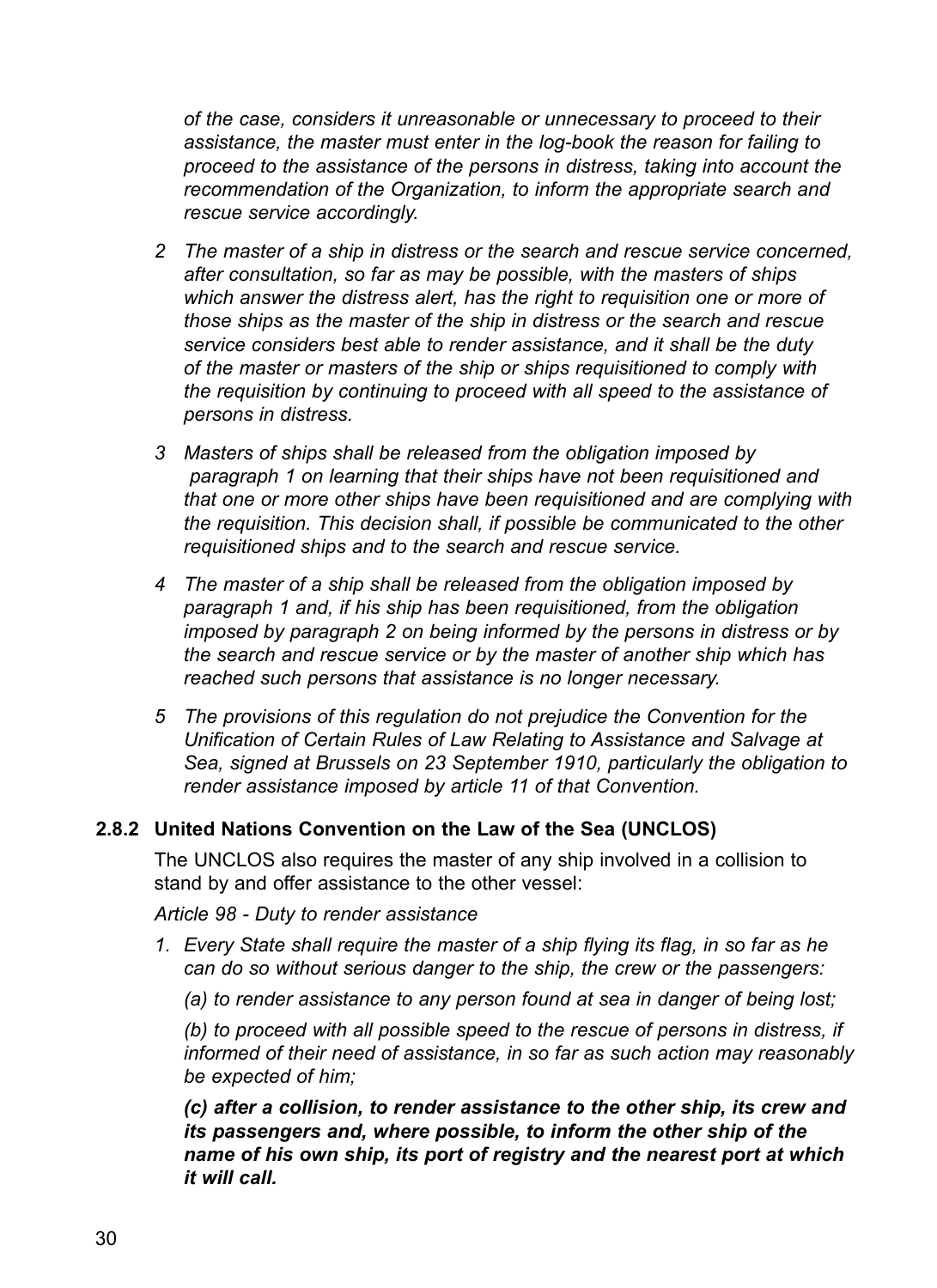*of the case, considers it unreasonable or unnecessary to proceed to their assistance, the master must enter in the log-book the reason for failing to proceed to the assistance of the persons in distress, taking into account the recommendation of the Organization, to inform the appropriate search and rescue service accordingly.*

- *2 The master of a ship in distress or the search and rescue service concerned, after consultation, so far as may be possible, with the masters of ships which answer the distress alert, has the right to requisition one or more of those ships as the master of the ship in distress or the search and rescue service considers best able to render assistance, and it shall be the duty of the master or masters of the ship or ships requisitioned to comply with the requisition by continuing to proceed with all speed to the assistance of persons in distress.*
- *3 Masters of ships shall be released from the obligation imposed by paragraph 1 on learning that their ships have not been requisitioned and that one or more other ships have been requisitioned and are complying with the requisition. This decision shall, if possible be communicated to the other requisitioned ships and to the search and rescue service.*
- *4 The master of a ship shall be released from the obligation imposed by paragraph 1 and, if his ship has been requisitioned, from the obligation imposed by paragraph 2 on being informed by the persons in distress or by the search and rescue service or by the master of another ship which has reached such persons that assistance is no longer necessary.*
- *5 The provisions of this regulation do not prejudice the Convention for the Unification of Certain Rules of Law Relating to Assistance and Salvage at Sea, signed at Brussels on 23 September 1910, particularly the obligation to render assistance imposed by article 11 of that Convention.*

#### **2.8.2 United Nations Convention on the Law of the Sea (UNCLOS)**

The UNCLOS also requires the master of any ship involved in a collision to stand by and offer assistance to the other vessel:

*Article 98 - Duty to render assistance*

- *1. Every State shall require the master of a ship flying its flag, in so far as he can do so without serious danger to the ship, the crew or the passengers:*
	- *(a) to render assistance to any person found at sea in danger of being lost;*

*(b) to proceed with all possible speed to the rescue of persons in distress, if informed of their need of assistance, in so far as such action may reasonably be expected of him;*

*(c) after a collision, to render assistance to the other ship, its crew and its passengers and, where possible, to inform the other ship of the name of his own ship, its port of registry and the nearest port at which it will call.*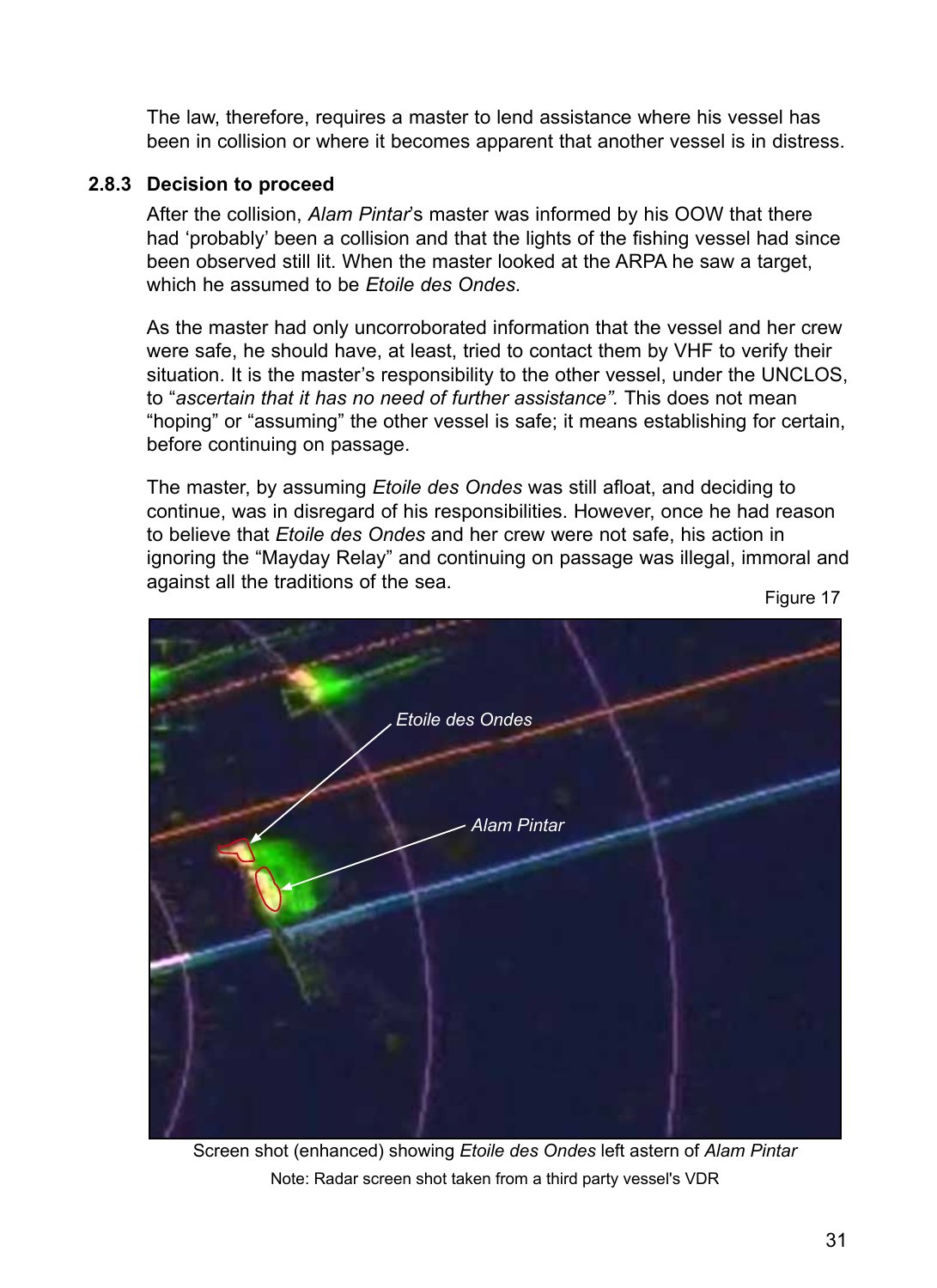The law, therefore, requires a master to lend assistance where his vessel has been in collision or where it becomes apparent that another vessel is in distress.

#### **2.8.3 Decision to proceed**

After the collision, *Alam Pintar*'s master was informed by his OOW that there had 'probably' been a collision and that the lights of the fishing vessel had since been observed still lit. When the master looked at the ARPA he saw a target, which he assumed to be *Etoile des Ondes*.

As the master had only uncorroborated information that the vessel and her crew were safe, he should have, at least, tried to contact them by VHF to verify their situation. It is the master's responsibility to the other vessel, under the UNCLOS, to "*ascertain that it has no need of further assistance".* This does not mean "hoping" or "assuming" the other vessel is safe; it means establishing for certain, before continuing on passage.

The master, by assuming *Etoile des Ondes* was still afloat, and deciding to continue, was in disregard of his responsibilities. However, once he had reason to believe that *Etoile des Ondes* and her crew were not safe, his action in ignoring the "Mayday Relay" and continuing on passage was illegal, immoral and against all the traditions of the sea.<br>Figure 17



Screen shot (enhanced) showing *Etoile des Ondes* left astern of *Alam Pintar* Note: Radar screen shot taken from a third party vessel's VDR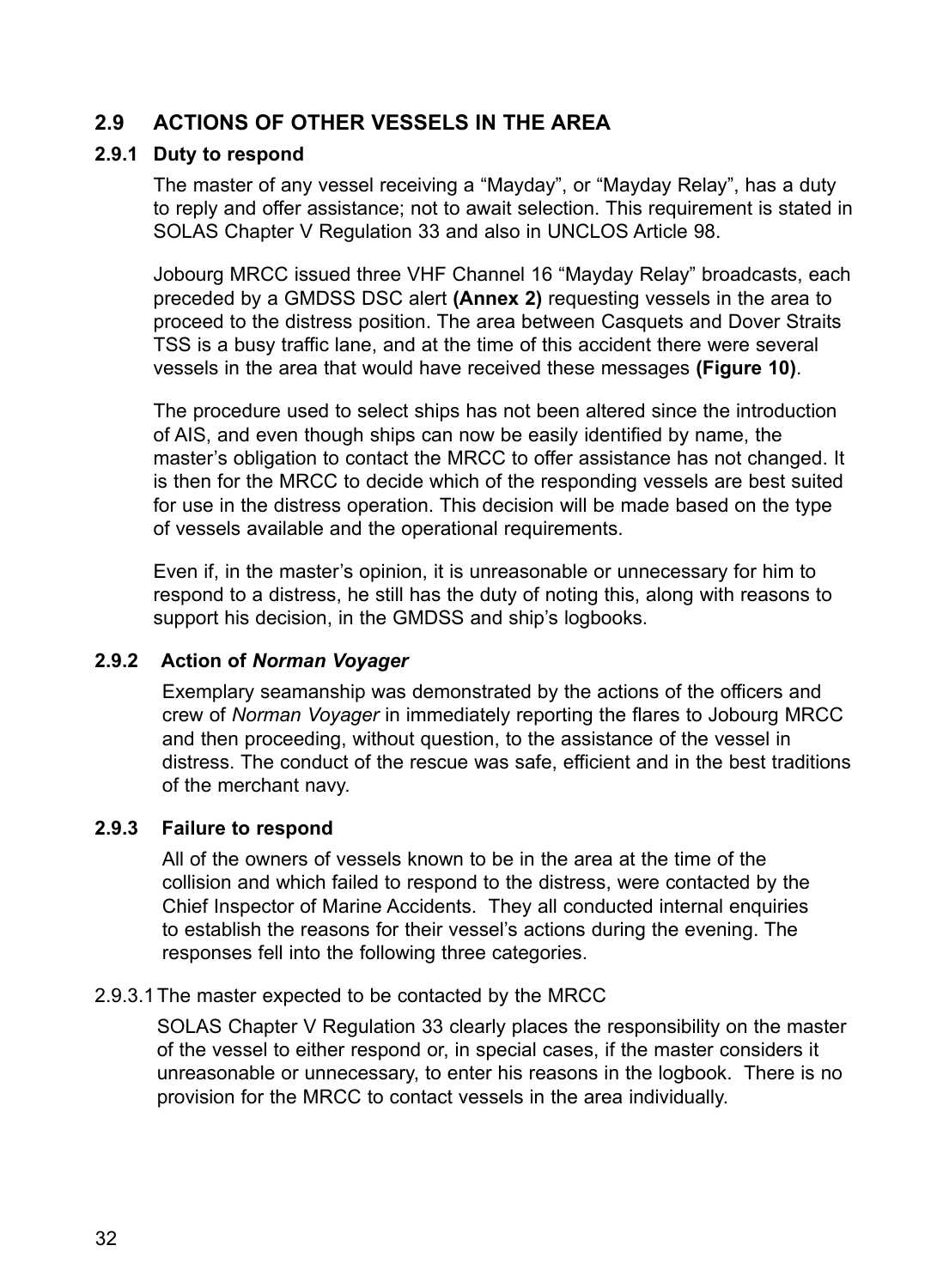# **2.9 Actions of other vessels in the area**

#### **2.9.1 Duty to respond**

The master of any vessel receiving a "Mayday", or "Mayday Relay", has a duty to reply and offer assistance; not to await selection. This requirement is stated in SOLAS Chapter V Regulation 33 and also in UNCLOS Article 98.

Jobourg MRCC issued three VHF Channel 16 "Mayday Relay" broadcasts, each preceded by a GMDSS DSC alert **(Annex 2)** requesting vessels in the area to proceed to the distress position. The area between Casquets and Dover Straits TSS is a busy traffic lane, and at the time of this accident there were several vessels in the area that would have received these messages **(Figure 10)**.

The procedure used to select ships has not been altered since the introduction of AIS, and even though ships can now be easily identified by name, the master's obligation to contact the MRCC to offer assistance has not changed. It is then for the MRCC to decide which of the responding vessels are best suited for use in the distress operation. This decision will be made based on the type of vessels available and the operational requirements.

Even if, in the master's opinion, it is unreasonable or unnecessary for him to respond to a distress, he still has the duty of noting this, along with reasons to support his decision, in the GMDSS and ship's logbooks.

#### **2.9.2 Action of** *Norman Voyager*

Exemplary seamanship was demonstrated by the actions of the officers and crew of *Norman Voyager* in immediately reporting the flares to Jobourg MRCC and then proceeding, without question, to the assistance of the vessel in distress. The conduct of the rescue was safe, efficient and in the best traditions of the merchant navy.

#### **2.9.3 Failure to respond**

All of the owners of vessels known to be in the area at the time of the collision and which failed to respond to the distress, were contacted by the Chief Inspector of Marine Accidents. They all conducted internal enquiries to establish the reasons for their vessel's actions during the evening. The responses fell into the following three categories.

#### 2.9.3.1The master expected to be contacted by the MRCC

SOLAS Chapter V Regulation 33 clearly places the responsibility on the master of the vessel to either respond or, in special cases, if the master considers it unreasonable or unnecessary, to enter his reasons in the logbook. There is no provision for the MRCC to contact vessels in the area individually.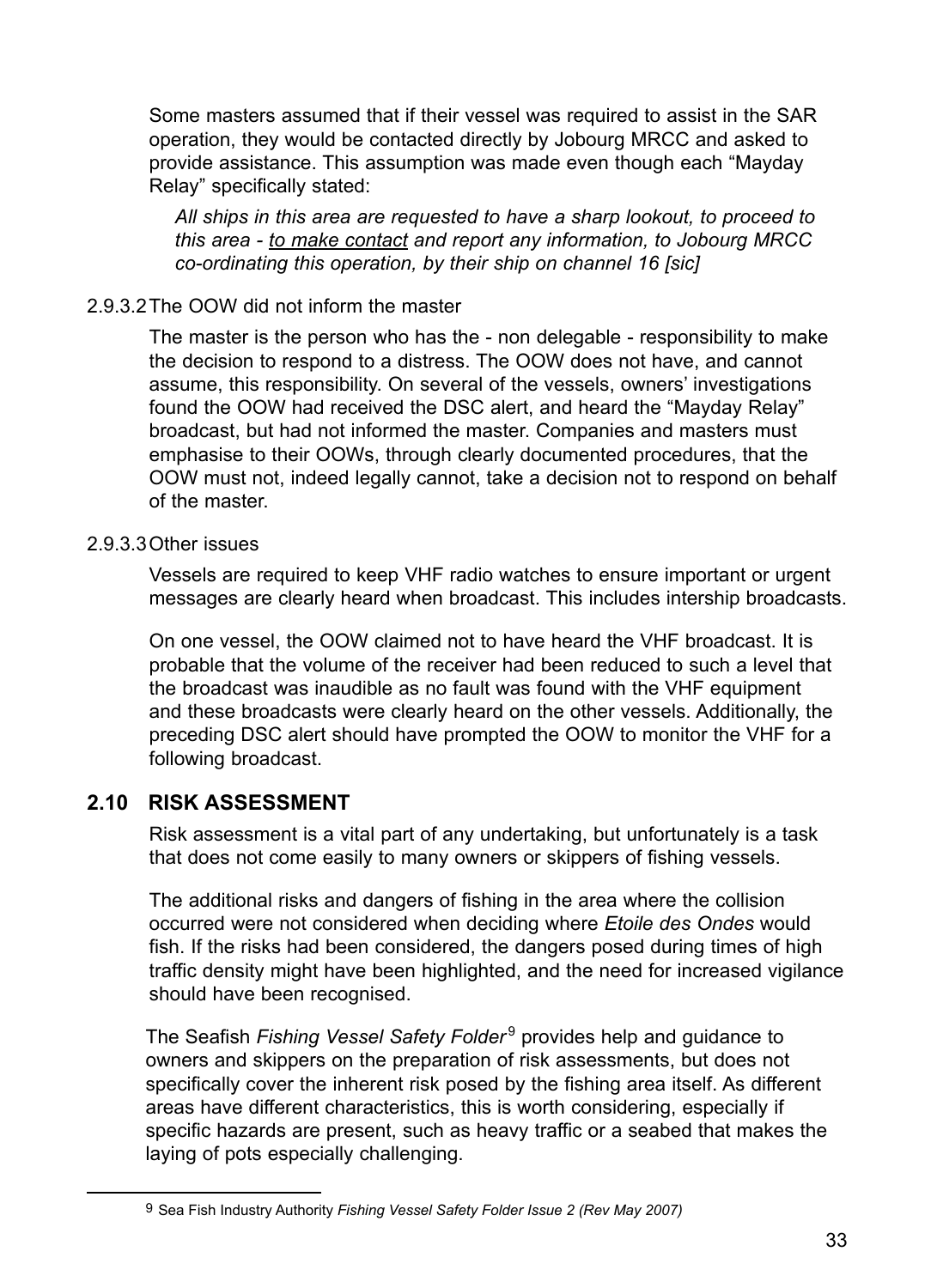Some masters assumed that if their vessel was required to assist in the SAR operation, they would be contacted directly by Jobourg MRCC and asked to provide assistance. This assumption was made even though each "Mayday Relay" specifically stated:

*All ships in this area are requested to have a sharp lookout, to proceed to this area - to make contact and report any information, to Jobourg MRCC co-ordinating this operation, by their ship on channel 16 [sic]*

### 2.9.3.2The OOW did not inform the master

The master is the person who has the - non delegable - responsibility to make the decision to respond to a distress. The OOW does not have, and cannot assume, this responsibility. On several of the vessels, owners' investigations found the OOW had received the DSC alert, and heard the "Mayday Relay" broadcast, but had not informed the master. Companies and masters must emphasise to their OOWs, through clearly documented procedures, that the OOW must not, indeed legally cannot, take a decision not to respond on behalf of the master.

#### 2.9.3.3Other issues

Vessels are required to keep VHF radio watches to ensure important or urgent messages are clearly heard when broadcast. This includes intership broadcasts.

On one vessel, the OOW claimed not to have heard the VHF broadcast. It is probable that the volume of the receiver had been reduced to such a level that the broadcast was inaudible as no fault was found with the VHF equipment and these broadcasts were clearly heard on the other vessels. Additionally, the preceding DSC alert should have prompted the OOW to monitor the VHF for a following broadcast.

## **2.10 Risk assessment**

Risk assessment is a vital part of any undertaking, but unfortunately is a task that does not come easily to many owners or skippers of fishing vessels.

The additional risks and dangers of fishing in the area where the collision occurred were not considered when deciding where *Etoile des Ondes* would fish. If the risks had been considered, the dangers posed during times of high traffic density might have been highlighted, and the need for increased vigilance should have been recognised.

The Seafish Fishing Vessel Safety Folder<sup>9</sup> provides help and guidance to owners and skippers on the preparation of risk assessments, but does not specifically cover the inherent risk posed by the fishing area itself. As different areas have different characteristics, this is worth considering, especially if specific hazards are present, such as heavy traffic or a seabed that makes the laying of pots especially challenging.

<sup>9</sup> Sea Fish Industry Authority *Fishing Vessel Safety Folder Issue 2 (Rev May 2007)*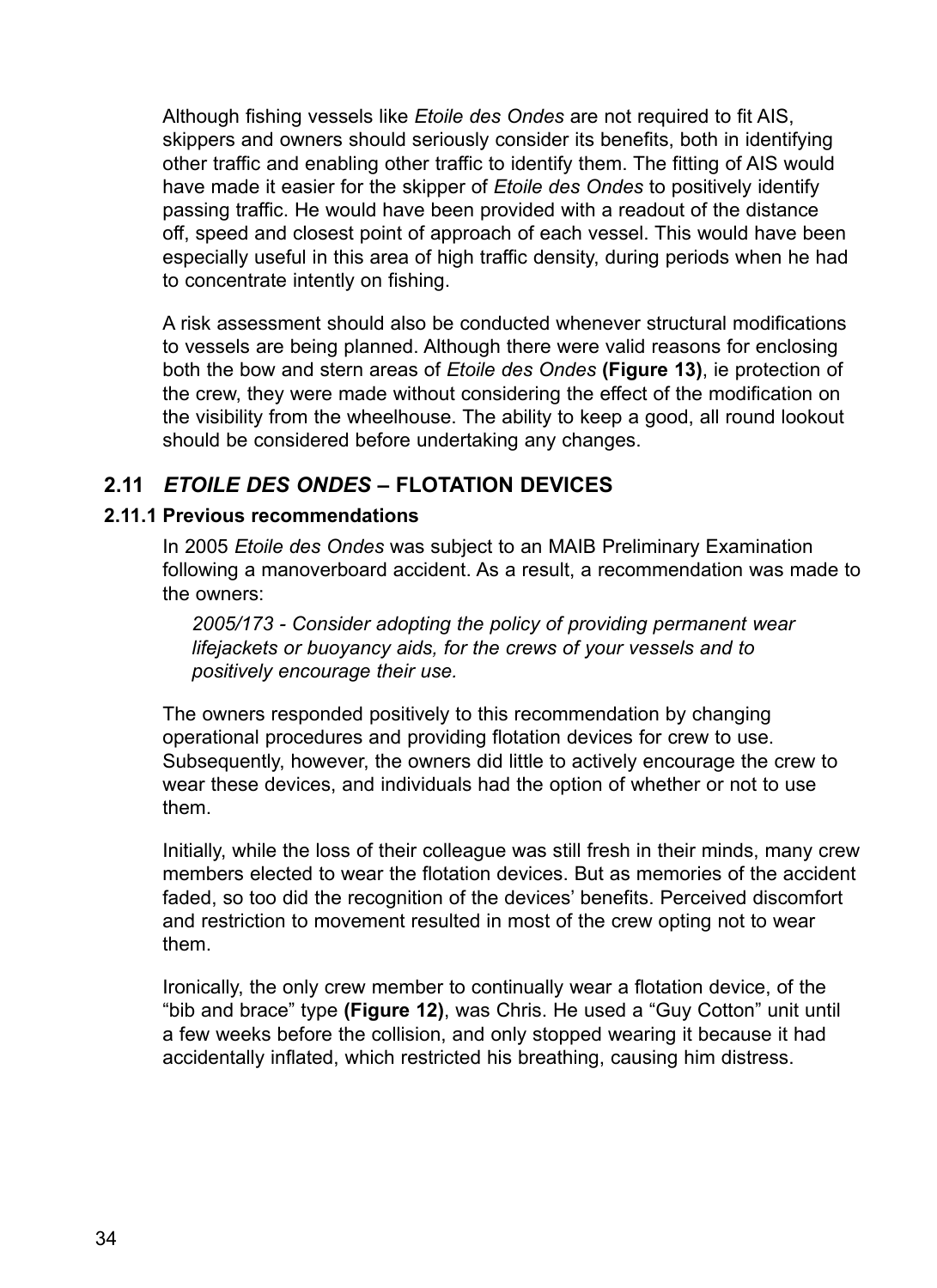Although fishing vessels like *Etoile des Ondes* are not required to fit AIS, skippers and owners should seriously consider its benefits, both in identifying other traffic and enabling other traffic to identify them. The fitting of AIS would have made it easier for the skipper of *Etoile des Ondes* to positively identify passing traffic. He would have been provided with a readout of the distance off, speed and closest point of approach of each vessel. This would have been especially useful in this area of high traffic density, during periods when he had to concentrate intently on fishing.

A risk assessment should also be conducted whenever structural modifications to vessels are being planned. Although there were valid reasons for enclosing both the bow and stern areas of *Etoile des Ondes* **(Figure 13)**, ie protection of the crew, they were made without considering the effect of the modification on the visibility from the wheelhouse. The ability to keep a good, all round lookout should be considered before undertaking any changes.

# **2.11** *Etoile des Ondes* **– flotation devices**

#### **2.11.1 Previous recommendations**

In 2005 *Etoile des Ondes* was subject to an MAIB Preliminary Examination following a manoverboard accident. As a result, a recommendation was made to the owners:

*2005/173 - Consider adopting the policy of providing permanent wear lifejackets or buoyancy aids, for the crews of your vessels and to positively encourage their use.* 

The owners responded positively to this recommendation by changing operational procedures and providing flotation devices for crew to use. Subsequently, however, the owners did little to actively encourage the crew to wear these devices, and individuals had the option of whether or not to use them.

Initially, while the loss of their colleague was still fresh in their minds, many crew members elected to wear the flotation devices. But as memories of the accident faded, so too did the recognition of the devices' benefits. Perceived discomfort and restriction to movement resulted in most of the crew opting not to wear them.

Ironically, the only crew member to continually wear a flotation device, of the "bib and brace" type **(Figure 12)**, was Chris. He used a "Guy Cotton" unit until a few weeks before the collision, and only stopped wearing it because it had accidentally inflated, which restricted his breathing, causing him distress.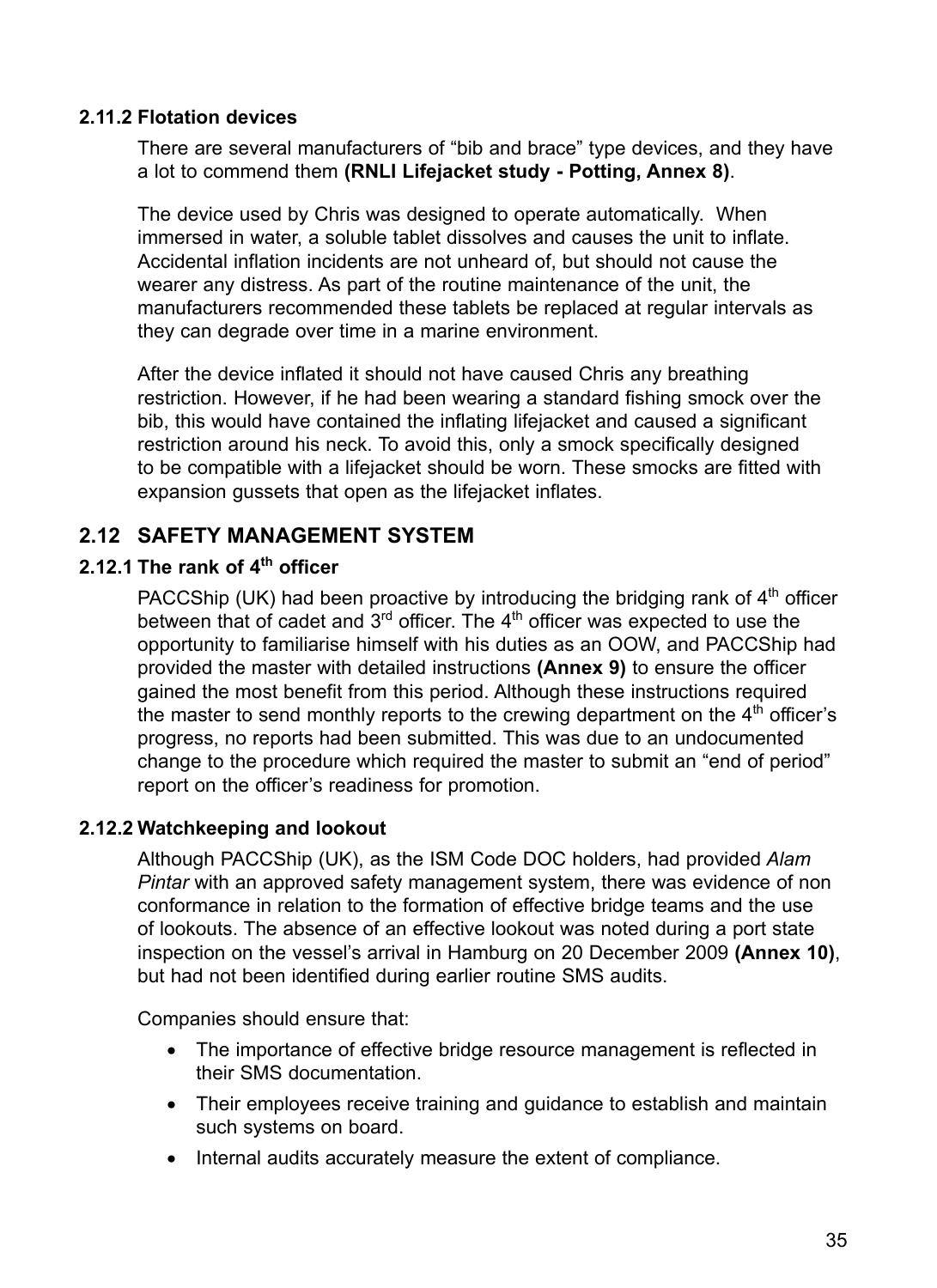#### **2.11.2 Flotation devices**

There are several manufacturers of "bib and brace" type devices, and they have a lot to commend them **(RNLI Lifejacket study - Potting, Annex 8)**.

The device used by Chris was designed to operate automatically. When immersed in water, a soluble tablet dissolves and causes the unit to inflate. Accidental inflation incidents are not unheard of, but should not cause the wearer any distress. As part of the routine maintenance of the unit, the manufacturers recommended these tablets be replaced at regular intervals as they can degrade over time in a marine environment.

After the device inflated it should not have caused Chris any breathing restriction. However, if he had been wearing a standard fishing smock over the bib, this would have contained the inflating lifejacket and caused a significant restriction around his neck. To avoid this, only a smock specifically designed to be compatible with a lifejacket should be worn. These smocks are fitted with expansion gussets that open as the lifejacket inflates.

## **2.12 Safety management system**

### **2.12.1 The rank of 4th officer**

PACCShip (UK) had been proactive by introducing the bridging rank of  $4<sup>th</sup>$  officer between that of cadet and  $3<sup>rd</sup>$  officer. The 4<sup>th</sup> officer was expected to use the opportunity to familiarise himself with his duties as an OOW, and PACCShip had provided the master with detailed instructions **(Annex 9)** to ensure the officer gained the most benefit from this period. Although these instructions required the master to send monthly reports to the crewing department on the  $4<sup>th</sup>$  officer's progress, no reports had been submitted. This was due to an undocumented change to the procedure which required the master to submit an "end of period" report on the officer's readiness for promotion.

#### **2.12.2 Watchkeeping and lookout**

Although PACCShip (UK), as the ISM Code DOC holders, had provided *Alam Pintar* with an approved safety management system, there was evidence of non conformance in relation to the formation of effective bridge teams and the use of lookouts. The absence of an effective lookout was noted during a port state inspection on the vessel's arrival in Hamburg on 20 December 2009 **(Annex 10)**, but had not been identified during earlier routine SMS audits.

Companies should ensure that:

- The importance of effective bridge resource management is reflected in their SMS documentation.
- Their employees receive training and quidance to establish and maintain such systems on board.
- Internal audits accurately measure the extent of compliance.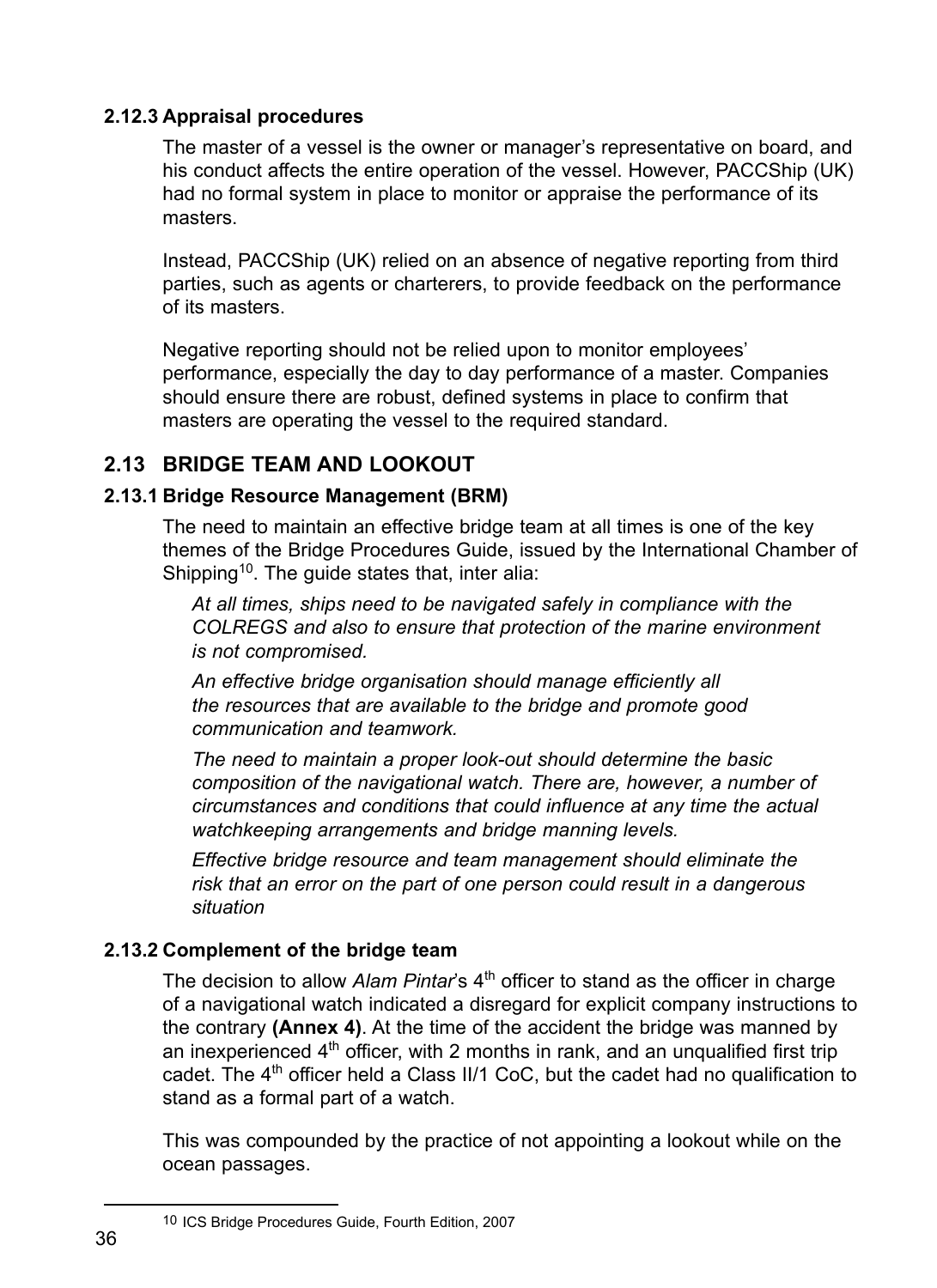### **2.12.3 Appraisal procedures**

The master of a vessel is the owner or manager's representative on board, and his conduct affects the entire operation of the vessel. However, PACCShip (UK) had no formal system in place to monitor or appraise the performance of its masters.

Instead, PACCShip (UK) relied on an absence of negative reporting from third parties, such as agents or charterers, to provide feedback on the performance of its masters.

Negative reporting should not be relied upon to monitor employees' performance, especially the day to day performance of a master. Companies should ensure there are robust, defined systems in place to confirm that masters are operating the vessel to the required standard.

# **2.13 Bridge team and lookout**

## **2.13.1 Bridge Resource Management (BRM)**

The need to maintain an effective bridge team at all times is one of the key themes of the Bridge Procedures Guide, issued by the International Chamber of Shipping<sup>10</sup>. The guide states that, inter alia:

*At all times, ships need to be navigated safely in compliance with the COLREGS and also to ensure that protection of the marine environment is not compromised.*

*An effective bridge organisation should manage efficiently all the resources that are available to the bridge and promote good communication and teamwork.*

*The need to maintain a proper look-out should determine the basic composition of the navigational watch. There are, however, a number of circumstances and conditions that could influence at any time the actual watchkeeping arrangements and bridge manning levels.*

*Effective bridge resource and team management should eliminate the risk that an error on the part of one person could result in a dangerous situation*

## **2.13.2 Complement of the bridge team**

The decision to allow *Alam Pintar's* 4<sup>th</sup> officer to stand as the officer in charge of a navigational watch indicated a disregard for explicit company instructions to the contrary **(Annex 4)**. At the time of the accident the bridge was manned by an inexperienced  $4<sup>th</sup>$  officer, with 2 months in rank, and an unqualified first trip cadet. The  $4<sup>th</sup>$  officer held a Class II/1 CoC, but the cadet had no qualification to stand as a formal part of a watch.

This was compounded by the practice of not appointing a lookout while on the ocean passages.

<sup>10</sup> ICS Bridge Procedures Guide, Fourth Edition, 2007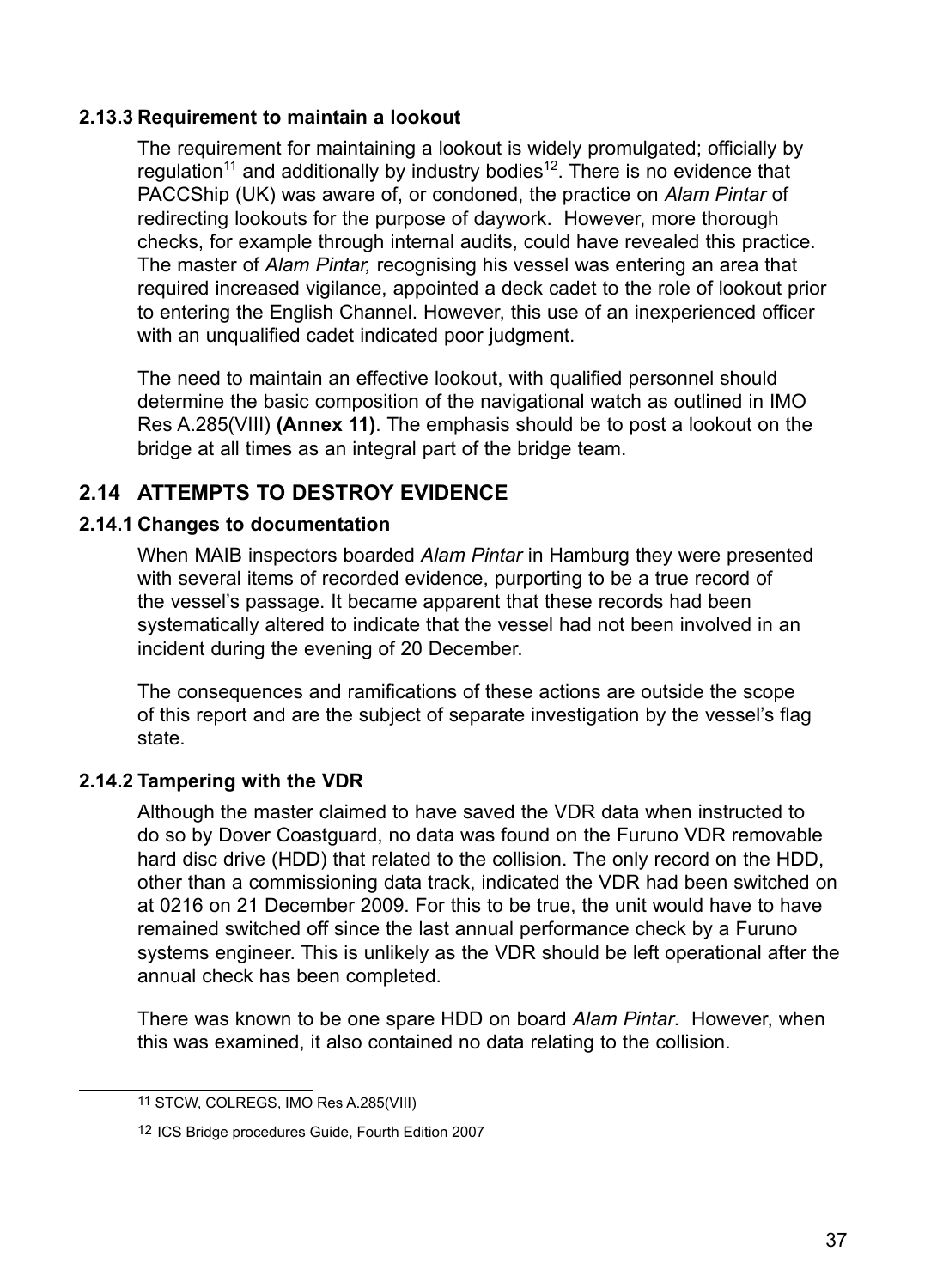#### **2.13.3 Requirement to maintain a lookout**

The requirement for maintaining a lookout is widely promulgated; officially by regulation<sup>11</sup> and additionally by industry bodies<sup>12</sup>. There is no evidence that PACCShip (UK) was aware of, or condoned, the practice on *Alam Pintar* of redirecting lookouts for the purpose of daywork. However, more thorough checks, for example through internal audits, could have revealed this practice. The master of *Alam Pintar,* recognising his vessel was entering an area that required increased vigilance, appointed a deck cadet to the role of lookout prior to entering the English Channel. However, this use of an inexperienced officer with an unqualified cadet indicated poor judgment.

The need to maintain an effective lookout, with qualified personnel should determine the basic composition of the navigational watch as outlined in IMO Res A.285(VIII) **(Annex 11)**. The emphasis should be to post a lookout on the bridge at all times as an integral part of the bridge team.

# **2.14 Attempts to destroy evidence**

#### **2.14.1 Changes to documentation**

When MAIB inspectors boarded *Alam Pintar* in Hamburg they were presented with several items of recorded evidence, purporting to be a true record of the vessel's passage. It became apparent that these records had been systematically altered to indicate that the vessel had not been involved in an incident during the evening of 20 December.

The consequences and ramifications of these actions are outside the scope of this report and are the subject of separate investigation by the vessel's flag state.

#### **2.14.2 Tampering with the VDR**

Although the master claimed to have saved the VDR data when instructed to do so by Dover Coastguard, no data was found on the Furuno VDR removable hard disc drive (HDD) that related to the collision. The only record on the HDD, other than a commissioning data track, indicated the VDR had been switched on at 0216 on 21 December 2009. For this to be true, the unit would have to have remained switched off since the last annual performance check by a Furuno systems engineer. This is unlikely as the VDR should be left operational after the annual check has been completed.

There was known to be one spare HDD on board *Alam Pintar*. However, when this was examined, it also contained no data relating to the collision.

<sup>11</sup> STCW, COLREGS, IMO Res A.285(VIII)

<sup>12</sup> ICS Bridge procedures Guide, Fourth Edition 2007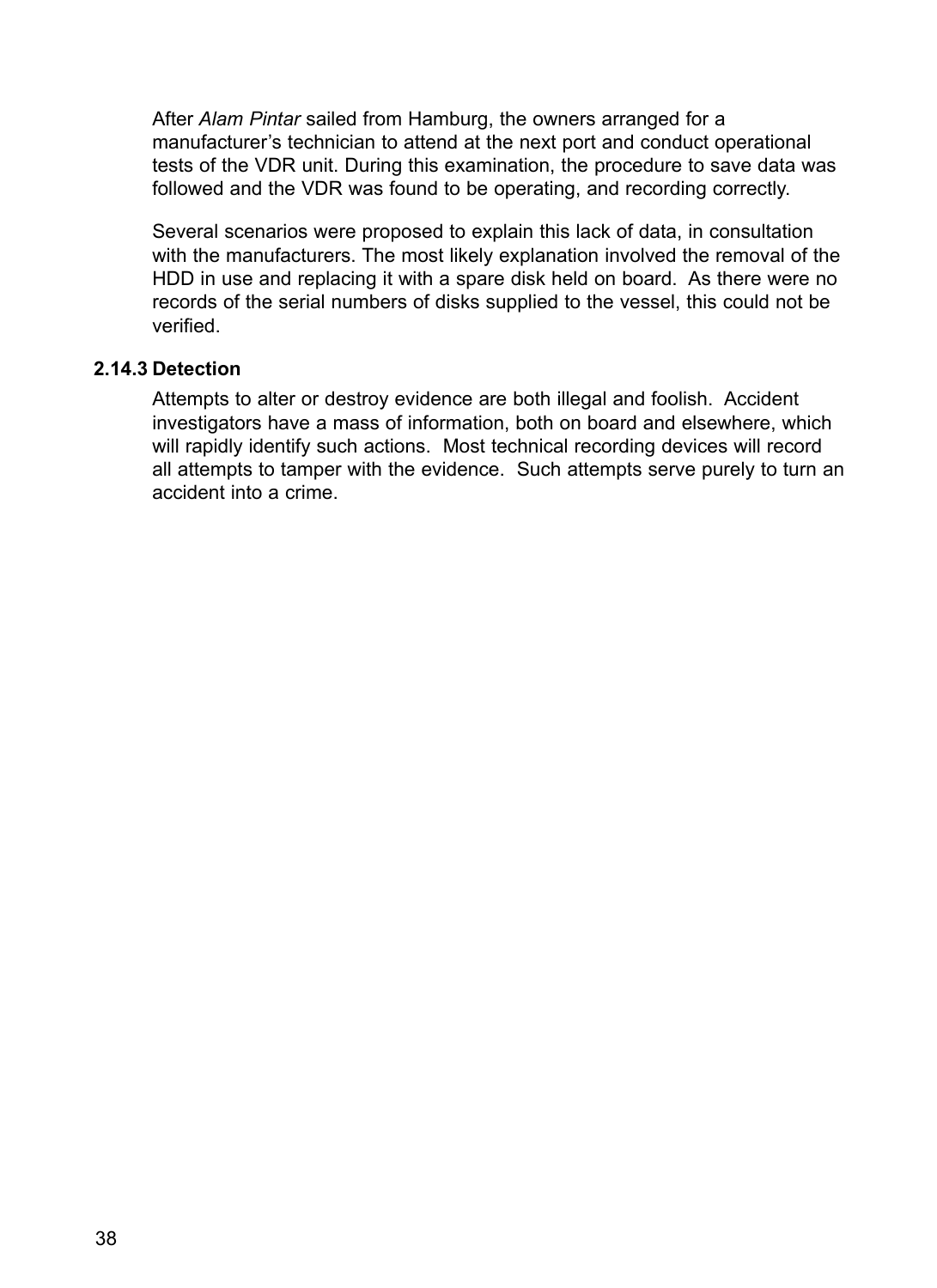After *Alam Pintar* sailed from Hamburg, the owners arranged for a manufacturer's technician to attend at the next port and conduct operational tests of the VDR unit. During this examination, the procedure to save data was followed and the VDR was found to be operating, and recording correctly.

Several scenarios were proposed to explain this lack of data, in consultation with the manufacturers. The most likely explanation involved the removal of the HDD in use and replacing it with a spare disk held on board. As there were no records of the serial numbers of disks supplied to the vessel, this could not be verified.

#### **2.14.3 Detection**

Attempts to alter or destroy evidence are both illegal and foolish. Accident investigators have a mass of information, both on board and elsewhere, which will rapidly identify such actions. Most technical recording devices will record all attempts to tamper with the evidence. Such attempts serve purely to turn an accident into a crime.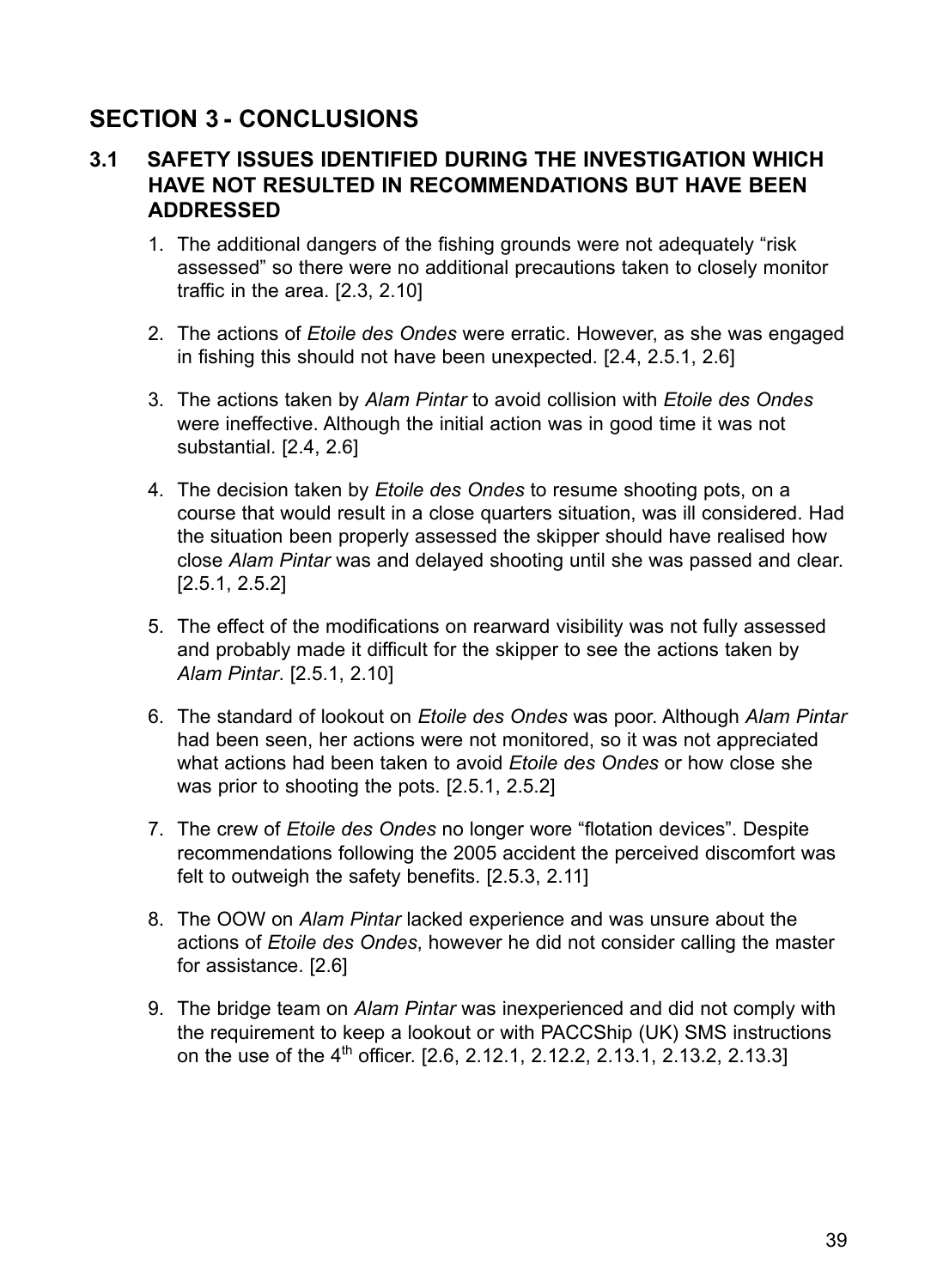# **Section 3 - CONCLUSIONS**

# **3.1 Safety issues identified during the investigation which have not resulted in recommendations but have been ADDRESSED**

- 1. The additional dangers of the fishing grounds were not adequately "risk assessed" so there were no additional precautions taken to closely monitor traffic in the area. [2.3, 2.10]
- 2. The actions of *Etoile des Ondes* were erratic. However, as she was engaged in fishing this should not have been unexpected. [2.4, 2.5.1, 2.6]
- 3. The actions taken by *Alam Pintar* to avoid collision with *Etoile des Ondes* were ineffective. Although the initial action was in good time it was not substantial. [2.4, 2.6]
- 4. The decision taken by *Etoile des Ondes* to resume shooting pots, on a course that would result in a close quarters situation, was ill considered. Had the situation been properly assessed the skipper should have realised how close *Alam Pintar* was and delayed shooting until she was passed and clear. [2.5.1, 2.5.2]
- 5. The effect of the modifications on rearward visibility was not fully assessed and probably made it difficult for the skipper to see the actions taken by *Alam Pintar*. [2.5.1, 2.10]
- 6. The standard of lookout on *Etoile des Ondes* was poor. Although *Alam Pintar* had been seen, her actions were not monitored, so it was not appreciated what actions had been taken to avoid *Etoile des Ondes* or how close she was prior to shooting the pots. [2.5.1, 2.5.2]
- 7. The crew of *Etoile des Ondes* no longer wore "flotation devices". Despite recommendations following the 2005 accident the perceived discomfort was felt to outweigh the safety benefits. [2.5.3, 2.11]
- 8. The OOW on *Alam Pintar* lacked experience and was unsure about the actions of *Etoile des Ondes*, however he did not consider calling the master for assistance. [2.6]
- 9. The bridge team on *Alam Pintar* was inexperienced and did not comply with the requirement to keep a lookout or with PACCShip (UK) SMS instructions on the use of the  $4<sup>th</sup>$  officer. [2.6, 2.12.1, 2.12.2, 2.13.1, 2.13.2, 2.13.3]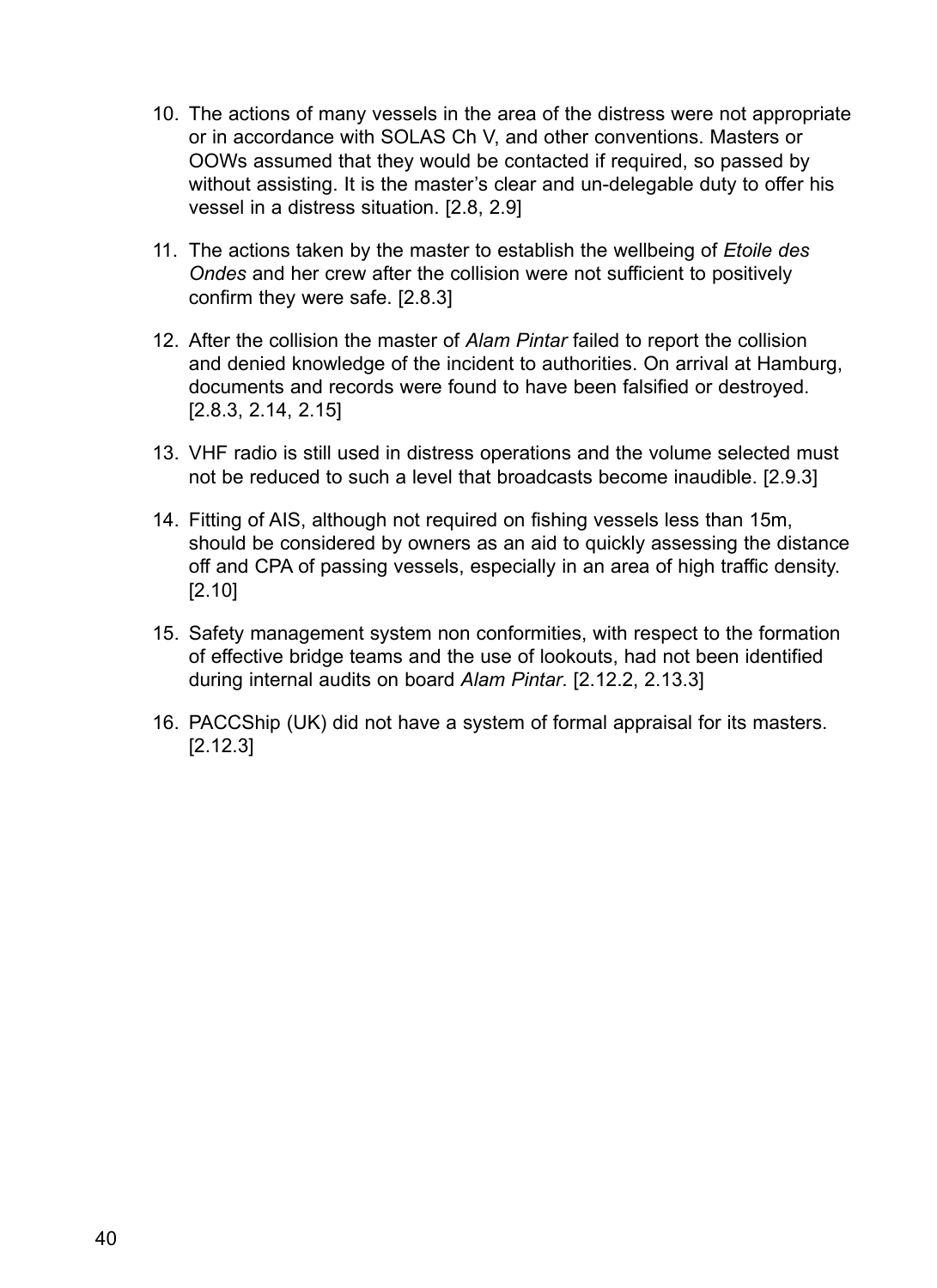- 10. The actions of many vessels in the area of the distress were not appropriate or in accordance with SOLAS Ch V, and other conventions. Masters or OOWs assumed that they would be contacted if required, so passed by without assisting. It is the master's clear and un-delegable duty to offer his vessel in a distress situation. [2.8, 2.9]
- 11. The actions taken by the master to establish the wellbeing of *Etoile des Ondes* and her crew after the collision were not sufficient to positively confirm they were safe. [2.8.3]
- 12. After the collision the master of *Alam Pintar* failed to report the collision and denied knowledge of the incident to authorities. On arrival at Hamburg, documents and records were found to have been falsified or destroyed. [2.8.3, 2.14, 2.15]
- 13. VHF radio is still used in distress operations and the volume selected must not be reduced to such a level that broadcasts become inaudible. [2.9.3]
- 14. Fitting of AIS, although not required on fishing vessels less than 15m, should be considered by owners as an aid to quickly assessing the distance off and CPA of passing vessels, especially in an area of high traffic density. [2.10]
- 15. Safety management system non conformities, with respect to the formation of effective bridge teams and the use of lookouts, had not been identified during internal audits on board *Alam Pintar*. [2.12.2, 2.13.3]
- 16. PACCShip (UK) did not have a system of formal appraisal for its masters. [2.12.3]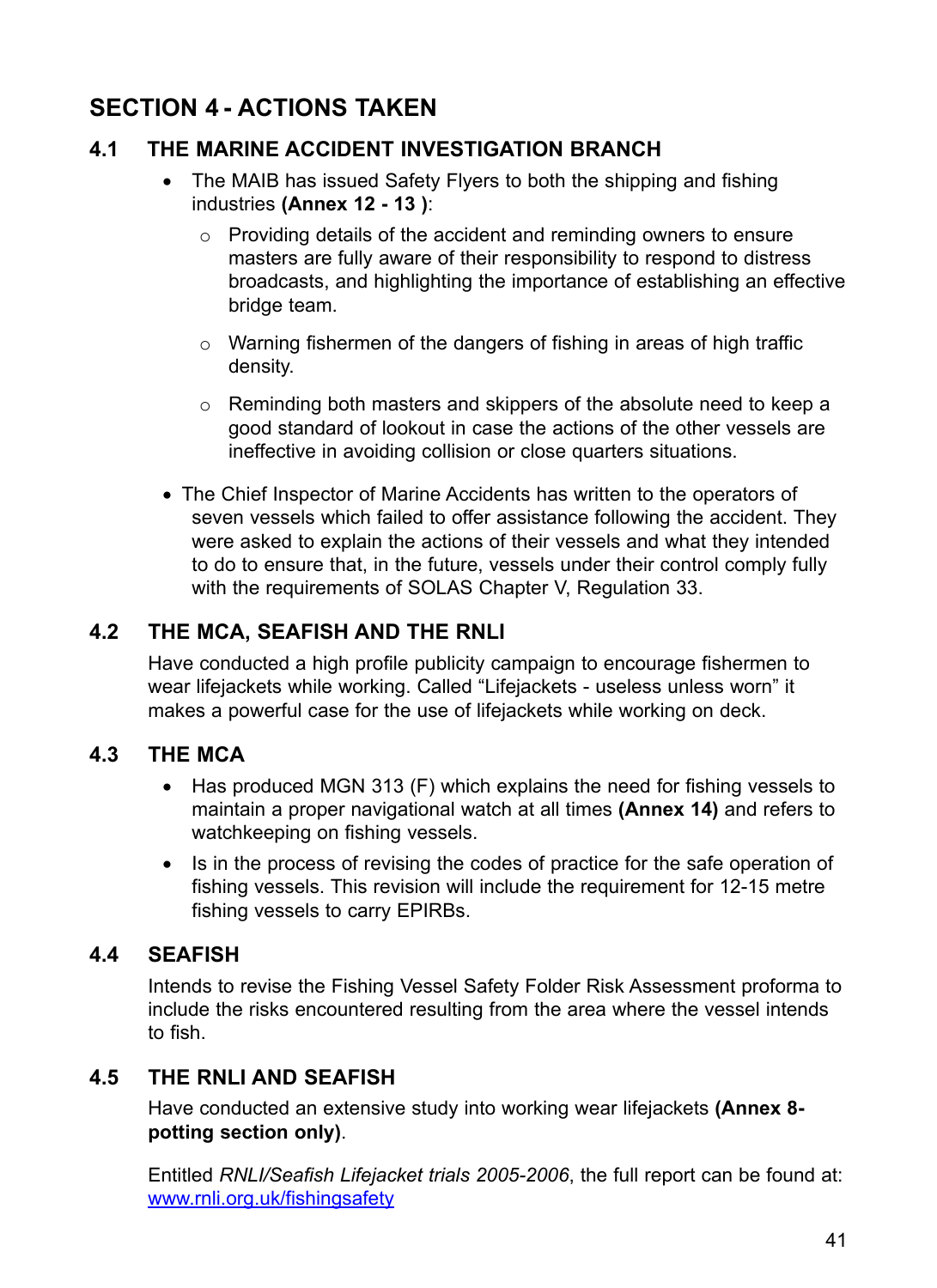# **Section 4 - actionS taken**

# **4.1 The Marine Accident Investigation Branch**

- The MAIB has issued Safety Flyers to both the shipping and fishing industries **(Annex 12 - 13 )**:
	- o Providing details of the accident and reminding owners to ensure masters are fully aware of their responsibility to respond to distress broadcasts, and highlighting the importance of establishing an effective bridge team.
	- $\circ$  Warning fishermen of the dangers of fishing in areas of high traffic density.
	- o Reminding both masters and skippers of the absolute need to keep a good standard of lookout in case the actions of the other vessels are ineffective in avoiding collision or close quarters situations.
- The Chief Inspector of Marine Accidents has written to the operators of seven vessels which failed to offer assistance following the accident. They were asked to explain the actions of their vessels and what they intended to do to ensure that, in the future, vessels under their control comply fully with the requirements of SOLAS Chapter V, Regulation 33.

# **4.2 The MCA, Seafish and the RNLI**

Have conducted a high profile publicity campaign to encourage fishermen to wear lifejackets while working. Called "Lifejackets - useless unless worn" it makes a powerful case for the use of lifejackets while working on deck.

## **4.3 The MCA**

- Has produced MGN 313 (F) which explains the need for fishing vessels to maintain a proper navigational watch at all times **(Annex 14)** and refers to watchkeeping on fishing vessels.
- Is in the process of revising the codes of practice for the safe operation of fishing vessels. This revision will include the requirement for 12-15 metre fishing vessels to carry EPIRBs.

# **4.4 Seafish**

Intends to revise the Fishing Vessel Safety Folder Risk Assessment proforma to include the risks encountered resulting from the area where the vessel intends to fish.

# **4.5 The RNLI and Seafish**

Have conducted an extensive study into working wear lifejackets **(Annex 8 potting section only)**.

Entitled *RNLI/Seafish Lifejacket trials 2005-2006*, the full report can be found at: www.rnli.org.uk/fishingsafety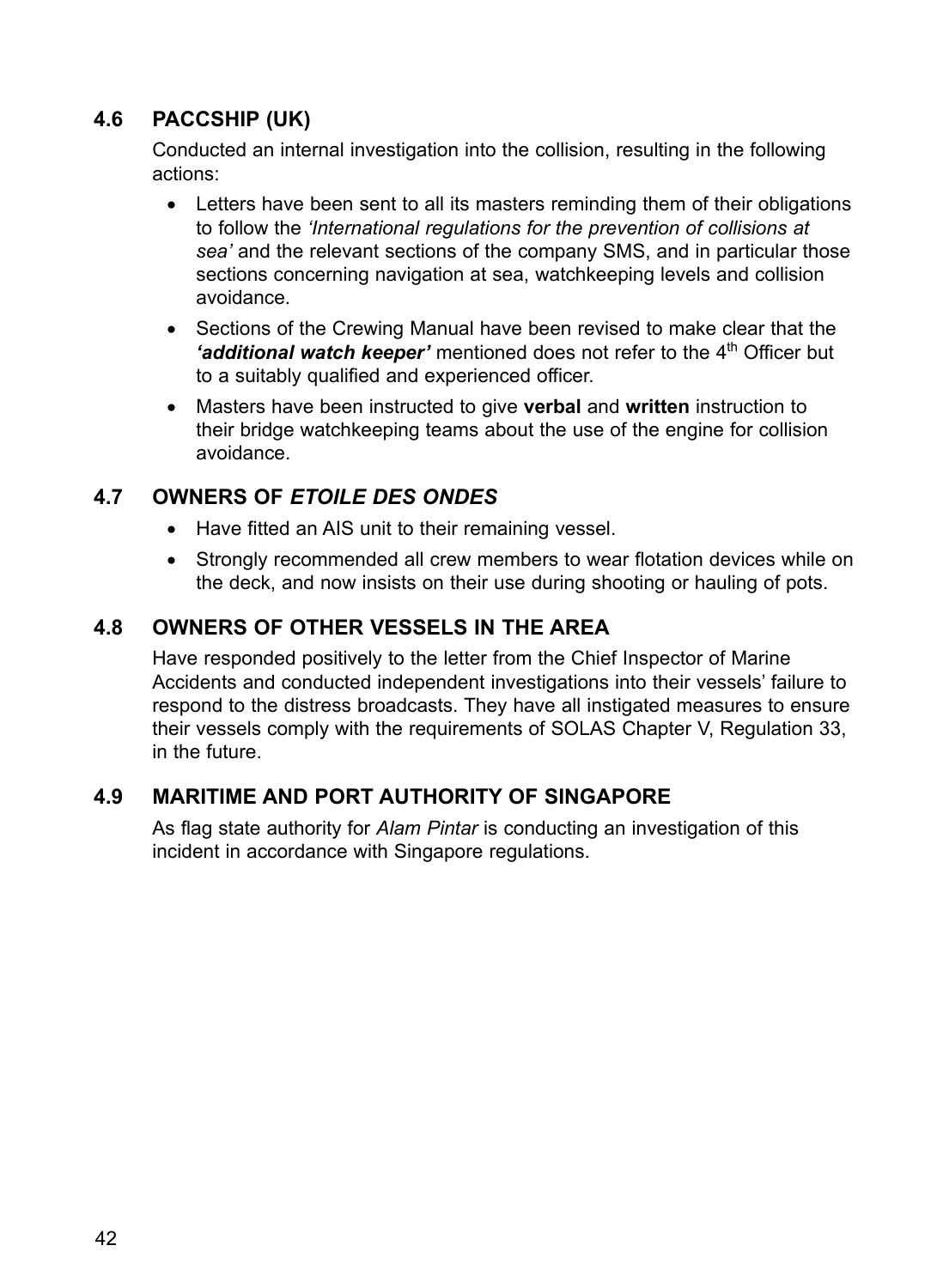# **4.6 PACCShip (UK)**

Conducted an internal investigation into the collision, resulting in the following actions:

- Letters have been sent to all its masters reminding them of their obligations to follow the *'International regulations for the prevention of collisions at sea'* and the relevant sections of the company SMS, and in particular those sections concerning navigation at sea, watchkeeping levels and collision avoidance.
- Sections of the Crewing Manual have been revised to make clear that the 'additional watch keeper' mentioned does not refer to the 4<sup>th</sup> Officer but to a suitably qualified and experienced officer.
- • Masters have been instructed to give **verbal** and **written** instruction to their bridge watchkeeping teams about the use of the engine for collision avoidance.

# **4.7 Owners of** *Etoile des Ondes*

- Have fitted an AIS unit to their remaining vessel.
- Strongly recommended all crew members to wear flotation devices while on the deck, and now insists on their use during shooting or hauling of pots.

# **4.8 Owners of other vessels in the area**

Have responded positively to the letter from the Chief Inspector of Marine Accidents and conducted independent investigations into their vessels' failure to respond to the distress broadcasts. They have all instigated measures to ensure their vessels comply with the requirements of SOLAS Chapter V, Regulation 33, in the future.

# **4.9 Maritime and Port Authority of Singapore**

As flag state authority for *Alam Pintar* is conducting an investigation of this incident in accordance with Singapore regulations.